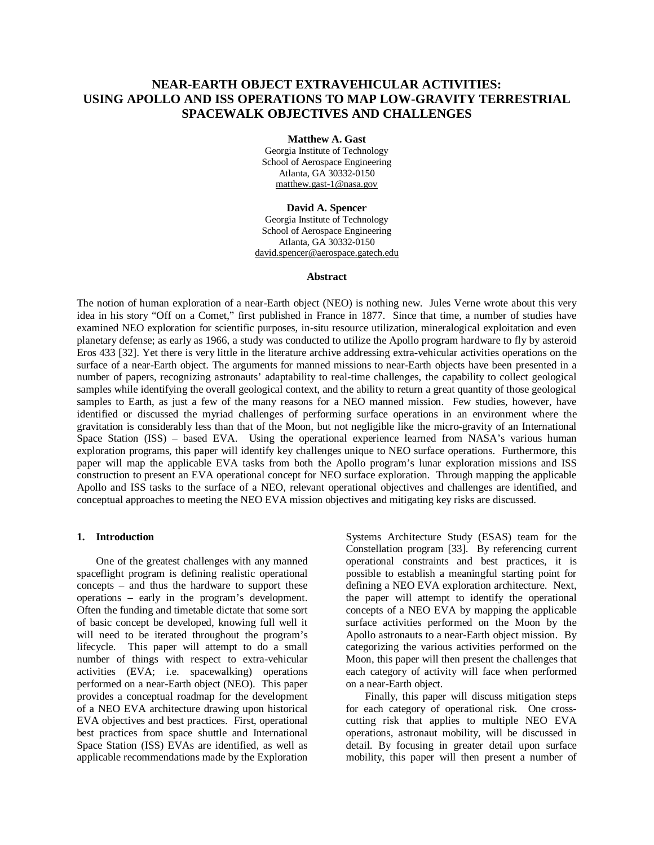# **NEAR-EARTH OBJECT EXTRAVEHICULAR ACTIVITIES: USING APOLLO AND ISS OPERATIONS TO MAP LOW-GRAVITY TERRESTRIAL SPACEWALK OBJECTIVES AND CHALLENGES**

#### **Matthew A. Gast**

Georgia Institute of Technology School of Aerospace Engineering Atlanta, GA 30332-0150 [matthew.gast-1@nasa.gov](mailto:matthew.gast-1@nasa.gov)

### **David A. Spencer**

Georgia Institute of Technology School of Aerospace Engineering Atlanta, GA 30332-0150 [david.spencer@aerospace.gatech.edu](mailto:david.spencer@aerospace.gatech.edu)

### **Abstract**

The notion of human exploration of a near-Earth object (NEO) is nothing new. Jules Verne wrote about this very idea in his story "Off on a Comet," first published in France in 1877. Since that time, a number of studies have examined NEO exploration for scientific purposes, in-situ resource utilization, mineralogical exploitation and even planetary defense; as early as 1966, a study was conducted to utilize the Apollo program hardware to fly by asteroid Eros 433 [32]. Yet there is very little in the literature archive addressing extra-vehicular activities operations on the surface of a near-Earth object. The arguments for manned missions to near-Earth objects have been presented in a number of papers, recognizing astronauts' adaptability to real-time challenges, the capability to collect geological samples while identifying the overall geological context, and the ability to return a great quantity of those geological samples to Earth, as just a few of the many reasons for a NEO manned mission. Few studies, however, have identified or discussed the myriad challenges of performing surface operations in an environment where the gravitation is considerably less than that of the Moon, but not negligible like the micro-gravity of an International Space Station (ISS) – based EVA. Using the operational experience learned from NASA's various human exploration programs, this paper will identify key challenges unique to NEO surface operations. Furthermore, this paper will map the applicable EVA tasks from both the Apollo program's lunar exploration missions and ISS construction to present an EVA operational concept for NEO surface exploration. Through mapping the applicable Apollo and ISS tasks to the surface of a NEO, relevant operational objectives and challenges are identified, and conceptual approaches to meeting the NEO EVA mission objectives and mitigating key risks are discussed.

### **1. Introduction**

One of the greatest challenges with any manned spaceflight program is defining realistic operational concepts – and thus the hardware to support these operations – early in the program's development. Often the funding and timetable dictate that some sort of basic concept be developed, knowing full well it will need to be iterated throughout the program's lifecycle. This paper will attempt to do a small number of things with respect to extra-vehicular activities (EVA; i.e. spacewalking) operations performed on a near-Earth object (NEO). This paper provides a conceptual roadmap for the development of a NEO EVA architecture drawing upon historical EVA objectives and best practices. First, operational best practices from space shuttle and International Space Station (ISS) EVAs are identified, as well as applicable recommendations made by the Exploration Systems Architecture Study (ESAS) team for the Constellation program [33]. By referencing current operational constraints and best practices, it is possible to establish a meaningful starting point for defining a NEO EVA exploration architecture. Next, the paper will attempt to identify the operational concepts of a NEO EVA by mapping the applicable surface activities performed on the Moon by the Apollo astronauts to a near-Earth object mission. By categorizing the various activities performed on the Moon, this paper will then present the challenges that each category of activity will face when performed on a near-Earth object.

Finally, this paper will discuss mitigation steps for each category of operational risk. One crosscutting risk that applies to multiple NEO EVA operations, astronaut mobility, will be discussed in detail. By focusing in greater detail upon surface mobility, this paper will then present a number of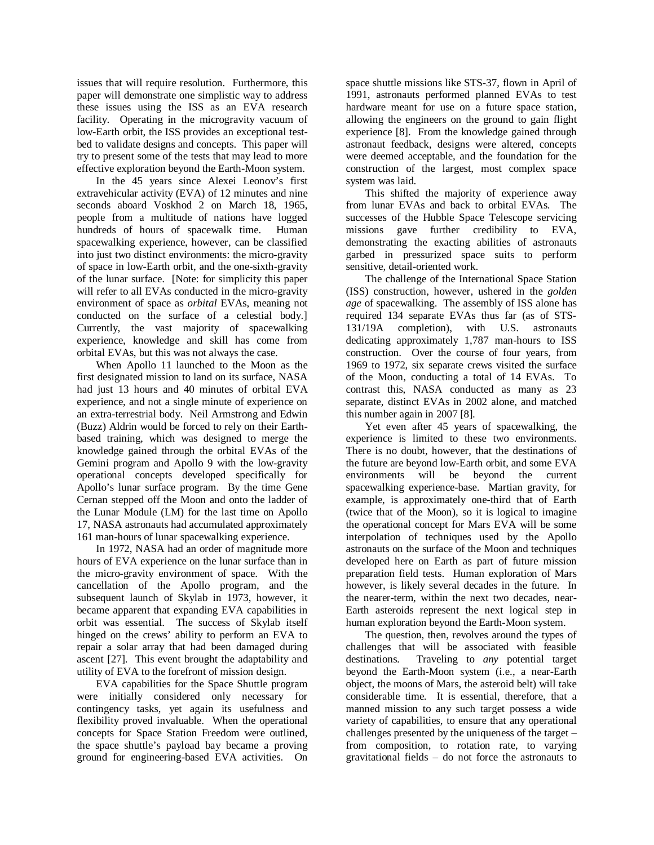issues that will require resolution. Furthermore, this paper will demonstrate one simplistic way to address these issues using the ISS as an EVA research facility. Operating in the microgravity vacuum of low-Earth orbit, the ISS provides an exceptional testbed to validate designs and concepts. This paper will try to present some of the tests that may lead to more effective exploration beyond the Earth-Moon system.

In the 45 years since Alexei Leonov's first extravehicular activity (EVA) of 12 minutes and nine seconds aboard Voskhod 2 on March 18, 1965, people from a multitude of nations have logged hundreds of hours of spacewalk time. Human spacewalking experience, however, can be classified into just two distinct environments: the micro-gravity of space in low-Earth orbit, and the one-sixth-gravity of the lunar surface. [Note: for simplicity this paper will refer to all EVAs conducted in the micro-gravity environment of space as *orbital* EVAs, meaning not conducted on the surface of a celestial body.] Currently, the vast majority of spacewalking experience, knowledge and skill has come from orbital EVAs, but this was not always the case.

When Apollo 11 launched to the Moon as the first designated mission to land on its surface, NASA had just 13 hours and 40 minutes of orbital EVA experience, and not a single minute of experience on an extra-terrestrial body. Neil Armstrong and Edwin (Buzz) Aldrin would be forced to rely on their Earthbased training, which was designed to merge the knowledge gained through the orbital EVAs of the Gemini program and Apollo 9 with the low-gravity operational concepts developed specifically for Apollo's lunar surface program. By the time Gene Cernan stepped off the Moon and onto the ladder of the Lunar Module (LM) for the last time on Apollo 17, NASA astronauts had accumulated approximately 161 man-hours of lunar spacewalking experience.

In 1972, NASA had an order of magnitude more hours of EVA experience on the lunar surface than in the micro-gravity environment of space. With the cancellation of the Apollo program, and the subsequent launch of Skylab in 1973, however, it became apparent that expanding EVA capabilities in orbit was essential. The success of Skylab itself hinged on the crews' ability to perform an EVA to repair a solar array that had been damaged during ascent [27]. This event brought the adaptability and utility of EVA to the forefront of mission design.

EVA capabilities for the Space Shuttle program were initially considered only necessary for contingency tasks, yet again its usefulness and flexibility proved invaluable. When the operational concepts for Space Station Freedom were outlined, the space shuttle's payload bay became a proving ground for engineering-based EVA activities. On

space shuttle missions like STS-37, flown in April of 1991, astronauts performed planned EVAs to test hardware meant for use on a future space station, allowing the engineers on the ground to gain flight experience [8]. From the knowledge gained through astronaut feedback, designs were altered, concepts were deemed acceptable, and the foundation for the construction of the largest, most complex space system was laid.

This shifted the majority of experience away from lunar EVAs and back to orbital EVAs. The successes of the Hubble Space Telescope servicing missions gave further credibility to EVA, demonstrating the exacting abilities of astronauts garbed in pressurized space suits to perform sensitive, detail-oriented work.

The challenge of the International Space Station (ISS) construction, however, ushered in the *golden age* of spacewalking. The assembly of ISS alone has required 134 separate EVAs thus far (as of STS-131/19A completion), with U.S. astronauts dedicating approximately 1,787 man-hours to ISS construction. Over the course of four years, from 1969 to 1972, six separate crews visited the surface of the Moon, conducting a total of 14 EVAs. To contrast this, NASA conducted as many as 23 separate, distinct EVAs in 2002 alone, and matched this number again in 2007 [8].

Yet even after 45 years of spacewalking, the experience is limited to these two environments. There is no doubt, however, that the destinations of the future are beyond low-Earth orbit, and some EVA environments will be beyond the current spacewalking experience-base. Martian gravity, for example, is approximately one-third that of Earth (twice that of the Moon), so it is logical to imagine the operational concept for Mars EVA will be some interpolation of techniques used by the Apollo astronauts on the surface of the Moon and techniques developed here on Earth as part of future mission preparation field tests. Human exploration of Mars however, is likely several decades in the future. In the nearer-term, within the next two decades, near-Earth asteroids represent the next logical step in human exploration beyond the Earth-Moon system.

The question, then, revolves around the types of challenges that will be associated with feasible destinations. Traveling to *any* potential target beyond the Earth-Moon system (i.e., a near-Earth object, the moons of Mars, the asteroid belt) will take considerable time. It is essential, therefore, that a manned mission to any such target possess a wide variety of capabilities, to ensure that any operational challenges presented by the uniqueness of the target – from composition, to rotation rate, to varying gravitational fields – do not force the astronauts to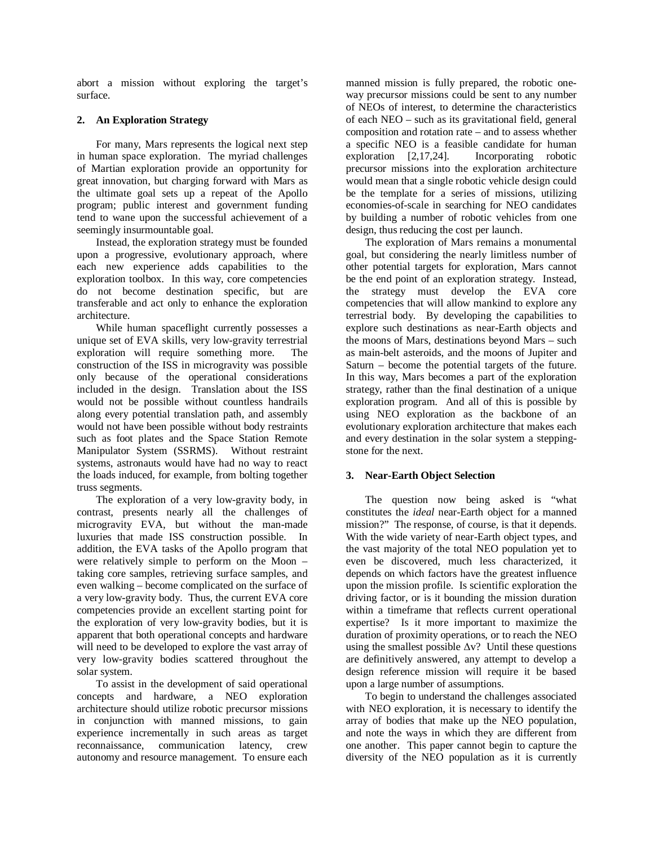abort a mission without exploring the target's surface.

## **2. An Exploration Strategy**

For many, Mars represents the logical next step in human space exploration. The myriad challenges of Martian exploration provide an opportunity for great innovation, but charging forward with Mars as the ultimate goal sets up a repeat of the Apollo program; public interest and government funding tend to wane upon the successful achievement of a seemingly insurmountable goal.

Instead, the exploration strategy must be founded upon a progressive, evolutionary approach, where each new experience adds capabilities to the exploration toolbox. In this way, core competencies do not become destination specific, but are transferable and act only to enhance the exploration architecture.

While human spaceflight currently possesses a unique set of EVA skills, very low-gravity terrestrial exploration will require something more. The construction of the ISS in microgravity was possible only because of the operational considerations included in the design. Translation about the ISS would not be possible without countless handrails along every potential translation path, and assembly would not have been possible without body restraints such as foot plates and the Space Station Remote Manipulator System (SSRMS). Without restraint systems, astronauts would have had no way to react the loads induced, for example, from bolting together truss segments.

The exploration of a very low-gravity body, in contrast, presents nearly all the challenges of microgravity EVA, but without the man-made luxuries that made ISS construction possible. In addition, the EVA tasks of the Apollo program that were relatively simple to perform on the Moon – taking core samples, retrieving surface samples, and even walking – become complicated on the surface of a very low-gravity body. Thus, the current EVA core competencies provide an excellent starting point for the exploration of very low-gravity bodies, but it is apparent that both operational concepts and hardware will need to be developed to explore the vast array of very low-gravity bodies scattered throughout the solar system.

To assist in the development of said operational concepts and hardware, a NEO exploration architecture should utilize robotic precursor missions in conjunction with manned missions, to gain experience incrementally in such areas as target reconnaissance, communication latency, crew autonomy and resource management. To ensure each manned mission is fully prepared, the robotic oneway precursor missions could be sent to any number of NEOs of interest, to determine the characteristics of each NEO – such as its gravitational field, general composition and rotation rate – and to assess whether a specific NEO is a feasible candidate for human exploration [2,17,24]. Incorporating robotic precursor missions into the exploration architecture would mean that a single robotic vehicle design could be the template for a series of missions, utilizing economies-of-scale in searching for NEO candidates by building a number of robotic vehicles from one design, thus reducing the cost per launch.

The exploration of Mars remains a monumental goal, but considering the nearly limitless number of other potential targets for exploration, Mars cannot be the end point of an exploration strategy. Instead, the strategy must develop the EVA core competencies that will allow mankind to explore any terrestrial body. By developing the capabilities to explore such destinations as near-Earth objects and the moons of Mars, destinations beyond Mars – such as main-belt asteroids, and the moons of Jupiter and Saturn – become the potential targets of the future. In this way, Mars becomes a part of the exploration strategy, rather than the final destination of a unique exploration program. And all of this is possible by using NEO exploration as the backbone of an evolutionary exploration architecture that makes each and every destination in the solar system a steppingstone for the next.

## **3. Near-Earth Object Selection**

The question now being asked is "what constitutes the *ideal* near-Earth object for a manned mission?" The response, of course, is that it depends. With the wide variety of near-Earth object types, and the vast majority of the total NEO population yet to even be discovered, much less characterized, it depends on which factors have the greatest influence upon the mission profile. Is scientific exploration the driving factor, or is it bounding the mission duration within a timeframe that reflects current operational expertise? Is it more important to maximize the duration of proximity operations, or to reach the NEO using the smallest possible  $\Delta v$ ? Until these questions are definitively answered, any attempt to develop a design reference mission will require it be based upon a large number of assumptions.

To begin to understand the challenges associated with NEO exploration, it is necessary to identify the array of bodies that make up the NEO population, and note the ways in which they are different from one another. This paper cannot begin to capture the diversity of the NEO population as it is currently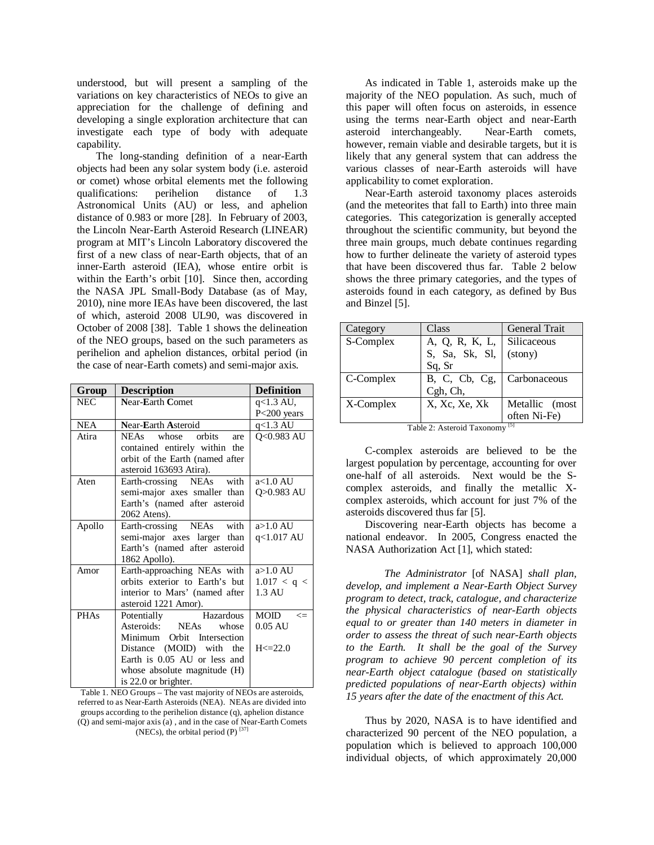understood, but will present a sampling of the variations on key characteristics of NEOs to give an appreciation for the challenge of defining and developing a single exploration architecture that can investigate each type of body with adequate capability.

The long-standing definition of a near-Earth objects had been any solar system body (i.e. asteroid or comet) whose orbital elements met the following<br>qualifications: perihelion distance of 1.3 qualifications: perihelion distance of 1.3 Astronomical Units (AU) or less, and aphelion distance of 0.983 or more [28]. In February of 2003, the Lincoln Near-Earth Asteroid Research (LINEAR) program at MIT's Lincoln Laboratory discovered the first of a new class of near-Earth objects, that of an inner-Earth asteroid (IEA), whose entire orbit is within the Earth's orbit [10]. Since then, according the NASA JPL Small-Body Database (as of May, 2010), nine more IEAs have been discovered, the last of which, asteroid 2008 UL90, was discovered in October of 2008 [38]. Table 1 shows the delineation of the NEO groups, based on the such parameters as perihelion and aphelion distances, orbital period (in the case of near-Earth comets) and semi-major axis.

| Group       | <b>Description</b>              | <b>Definition</b>                     |
|-------------|---------------------------------|---------------------------------------|
| <b>NEC</b>  | <b>Near-Earth Comet</b>         | $q<1.3$ AU,<br>P <sub>200</sub> years |
| <b>NEA</b>  | Near-Earth Asteroid             | $q<1.3$ AU                            |
| Atira       | NEAs whose orbits<br>are        | Q<0.983 AU                            |
|             | contained entirely within the   |                                       |
|             | orbit of the Earth (named after |                                       |
|             | asteroid 163693 Atira).         |                                       |
| Aten        | Earth-crossing NEAs with        | $a<1.0$ AU                            |
|             | semi-major axes smaller than    | Q>0.983 AU                            |
|             | Earth's (named after asteroid   |                                       |
|             | 2062 Atens).                    |                                       |
| Apollo      | Earth-crossing NEAs with        | $a > 1.0$ AU                          |
|             | semi-major axes larger than     | q<1.017 AU                            |
|             | Earth's (named after asteroid   |                                       |
|             | 1862 Apollo).                   |                                       |
| Amor        | Earth-approaching NEAs with     | $a > 1.0$ AU                          |
|             | orbits exterior to Earth's but  | 1.017 < q <                           |
|             | interior to Mars' (named after  | 1.3 AU                                |
|             | asteroid 1221 Amor).            |                                       |
| <b>PHAs</b> | Potentially Hazardous           | MOID<br>$\leq$                        |
|             | Asteroids: NEAs whose           | $0.05$ AU                             |
|             | Minimum Orbit Intersection      |                                       |
|             | Distance (MOID) with the        | H < 22.0                              |
|             | Earth is 0.05 AU or less and    |                                       |
|             | whose absolute magnitude (H)    |                                       |
|             | is 22.0 or brighter.            |                                       |

Table 1. NEO Groups – The vast majority of NEOs are asteroids, referred to as Near-Earth Asteroids (NEA). NEAs are divided into groups according to the perihelion distance (q), aphelion distance (Q) and semi-major axis (a) , and in the case of Near-Earth Comets (NECs), the orbital period (P)  $^{[37]}$ 

As indicated in Table 1, asteroids make up the majority of the NEO population. As such, much of this paper will often focus on asteroids, in essence using the terms near-Earth object and near-Earth asteroid interchangeably. Near-Earth comets, however, remain viable and desirable targets, but it is likely that any general system that can address the various classes of near-Earth asteroids will have applicability to comet exploration.

Near-Earth asteroid taxonomy places asteroids (and the meteorites that fall to Earth) into three main categories. This categorization is generally accepted throughout the scientific community, but beyond the three main groups, much debate continues regarding how to further delineate the variety of asteroid types that have been discovered thus far. Table 2 below shows the three primary categories, and the types of asteroids found in each category, as defined by Bus and Binzel [5].

| Category                            | Class          | <b>General Trait</b> |  |  |
|-------------------------------------|----------------|----------------------|--|--|
| S-Complex                           | A, Q, R, K, L, | Silicaceous          |  |  |
|                                     | S, Sa, Sk, Sl, | (stony)              |  |  |
|                                     | Sq, Sr         |                      |  |  |
| C-Complex                           | B, C, Cb, Cg,  | Carbonaceous         |  |  |
|                                     | Cgh, Ch,       |                      |  |  |
| X-Complex                           | X, Xc, Xe, Xk  | Metallic (most       |  |  |
|                                     |                | often Ni-Fe)         |  |  |
| $[5]$<br>Table 2: Asteroid Taxonomy |                |                      |  |  |

C-complex asteroids are believed to be the largest population by percentage, accounting for over one-half of all asteroids. Next would be the Scomplex asteroids, and finally the metallic X-

asteroids discovered thus far [5]. Discovering near-Earth objects has become a national endeavor. In 2005, Congress enacted the NASA Authorization Act [1], which stated:

complex asteroids, which account for just 7% of the

*The Administrator* [of NASA] *shall plan, develop, and implement a Near-Earth Object Survey program to detect, track, catalogue, and characterize the physical characteristics of near-Earth objects equal to or greater than 140 meters in diameter in order to assess the threat of such near-Earth objects to the Earth. It shall be the goal of the Survey program to achieve 90 percent completion of its near-Earth object catalogue (based on statistically predicted populations of near-Earth objects) within 15 years after the date of the enactment of this Act.* 

Thus by 2020, NASA is to have identified and characterized 90 percent of the NEO population, a population which is believed to approach 100,000 individual objects, of which approximately 20,000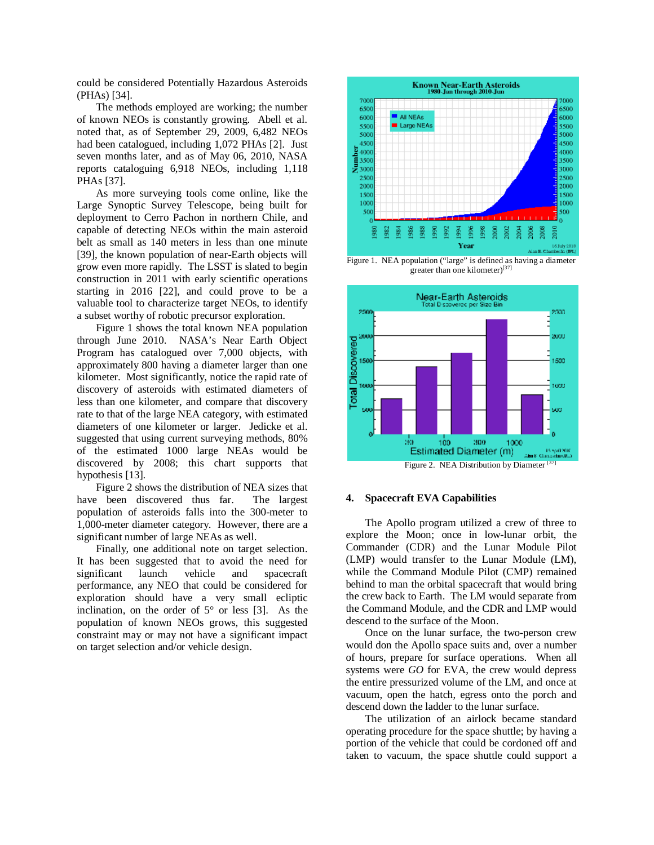could be considered Potentially Hazardous Asteroids (PHAs) [34].

The methods employed are working; the number of known NEOs is constantly growing. Abell et al. noted that, as of September 29, 2009, 6,482 NEOs had been catalogued, including 1,072 PHAs [2]. Just seven months later, and as of May 06, 2010, NASA reports cataloguing 6,918 NEOs, including 1,118 PHAs [37].

As more surveying tools come online, like the Large Synoptic Survey Telescope, being built for deployment to Cerro Pachon in northern Chile, and capable of detecting NEOs within the main asteroid belt as small as 140 meters in less than one minute [39], the known population of near-Earth objects will grow even more rapidly. The LSST is slated to begin construction in 2011 with early scientific operations starting in 2016 [22], and could prove to be a valuable tool to characterize target NEOs, to identify a subset worthy of robotic precursor exploration.

Figure 1 shows the total known NEA population through June 2010. NASA's Near Earth Object Program has catalogued over 7,000 objects, with approximately 800 having a diameter larger than one kilometer. Most significantly, notice the rapid rate of discovery of asteroids with estimated diameters of less than one kilometer, and compare that discovery rate to that of the large NEA category, with estimated diameters of one kilometer or larger. Jedicke et al. suggested that using current surveying methods, 80% of the estimated 1000 large NEAs would be discovered by 2008; this chart supports that hypothesis [13].

Figure 2 shows the distribution of NEA sizes that have been discovered thus far. The largest population of asteroids falls into the 300-meter to 1,000-meter diameter category. However, there are a significant number of large NEAs as well.

Finally, one additional note on target selection. It has been suggested that to avoid the need for significant launch vehicle and spacecraft performance, any NEO that could be considered for exploration should have a very small ecliptic inclination, on the order of  $5^{\circ}$  or less [3]. As the population of known NEOs grows, this suggested constraint may or may not have a significant impact on target selection and/or vehicle design.



Figure 1. NEA population ("large" is defined as having a diameter greater than one kilometer)<sup>[37]</sup>



Figure 2. NEA Distribution by Diameter<sup>[37]</sup>

### **4. Spacecraft EVA Capabilities**

The Apollo program utilized a crew of three to explore the Moon; once in low-lunar orbit, the Commander (CDR) and the Lunar Module Pilot (LMP) would transfer to the Lunar Module (LM), while the Command Module Pilot (CMP) remained behind to man the orbital spacecraft that would bring the crew back to Earth. The LM would separate from the Command Module, and the CDR and LMP would descend to the surface of the Moon.

Once on the lunar surface, the two-person crew would don the Apollo space suits and, over a number of hours, prepare for surface operations. When all systems were *GO* for EVA, the crew would depress the entire pressurized volume of the LM, and once at vacuum, open the hatch, egress onto the porch and descend down the ladder to the lunar surface.

The utilization of an airlock became standard operating procedure for the space shuttle; by having a portion of the vehicle that could be cordoned off and taken to vacuum, the space shuttle could support a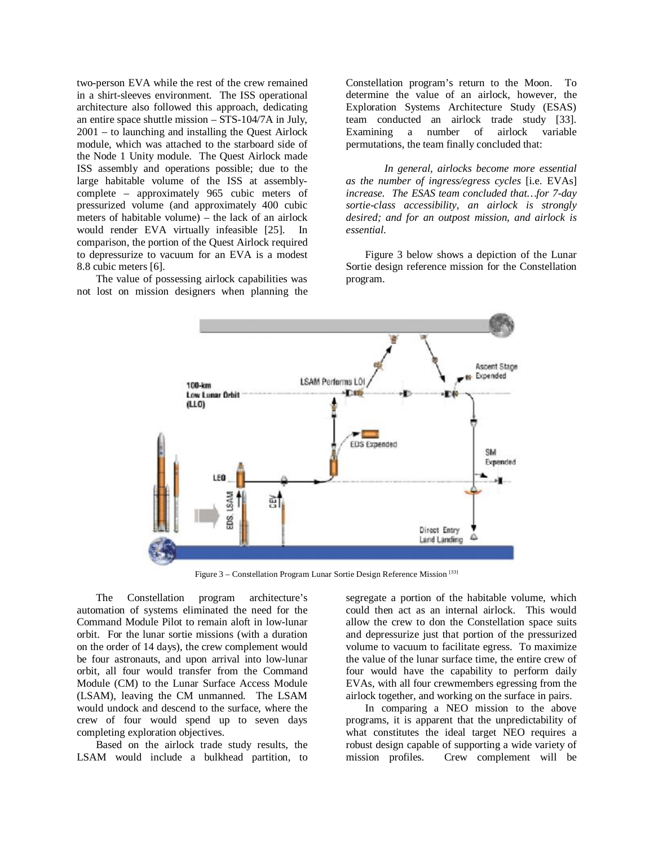two-person EVA while the rest of the crew remained in a shirt-sleeves environment. The ISS operational architecture also followed this approach, dedicating an entire space shuttle mission – STS-104/7A in July, 2001 – to launching and installing the Quest Airlock module, which was attached to the starboard side of the Node 1 Unity module. The Quest Airlock made ISS assembly and operations possible; due to the large habitable volume of the ISS at assemblycomplete – approximately 965 cubic meters of pressurized volume (and approximately 400 cubic meters of habitable volume) – the lack of an airlock would render EVA virtually infeasible [25]. In comparison, the portion of the Quest Airlock required to depressurize to vacuum for an EVA is a modest 8.8 cubic meters [6].

The value of possessing airlock capabilities was not lost on mission designers when planning the Constellation program's return to the Moon. To determine the value of an airlock, however, the Exploration Systems Architecture Study (ESAS) team conducted an airlock trade study [33]. Examining a number of airlock variable permutations, the team finally concluded that:

*In general, airlocks become more essential as the number of ingress/egress cycles* [i.e. EVAs] *increase. The ESAS team concluded that…for 7-day sortie-class accessibility, an airlock is strongly desired; and for an outpost mission, and airlock is essential*.

Figure 3 below shows a depiction of the Lunar Sortie design reference mission for the Constellation program.



Figure 3 – Constellation Program Lunar Sortie Design Reference Mission <a>[33]</a>

The Constellation program architecture's automation of systems eliminated the need for the Command Module Pilot to remain aloft in low-lunar orbit. For the lunar sortie missions (with a duration on the order of 14 days), the crew complement would be four astronauts, and upon arrival into low-lunar orbit, all four would transfer from the Command Module (CM) to the Lunar Surface Access Module (LSAM), leaving the CM unmanned. The LSAM would undock and descend to the surface, where the crew of four would spend up to seven days completing exploration objectives.

Based on the airlock trade study results, the LSAM would include a bulkhead partition, to segregate a portion of the habitable volume, which could then act as an internal airlock. This would allow the crew to don the Constellation space suits and depressurize just that portion of the pressurized volume to vacuum to facilitate egress. To maximize the value of the lunar surface time, the entire crew of four would have the capability to perform daily EVAs, with all four crewmembers egressing from the airlock together, and working on the surface in pairs.

In comparing a NEO mission to the above programs, it is apparent that the unpredictability of what constitutes the ideal target NEO requires a robust design capable of supporting a wide variety of mission profiles. Crew complement will be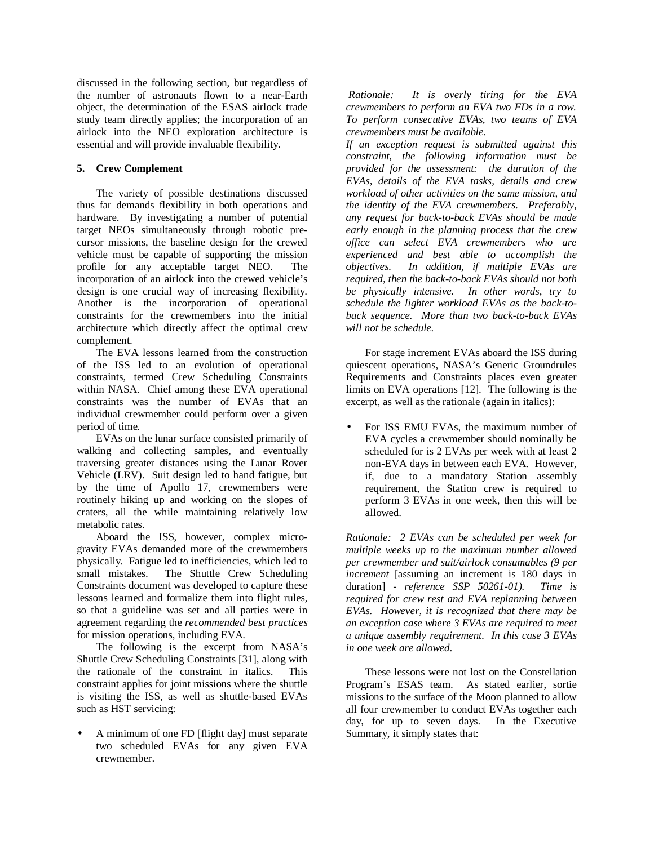discussed in the following section, but regardless of the number of astronauts flown to a near-Earth object, the determination of the ESAS airlock trade study team directly applies; the incorporation of an airlock into the NEO exploration architecture is essential and will provide invaluable flexibility.

## **5. Crew Complement**

The variety of possible destinations discussed thus far demands flexibility in both operations and hardware. By investigating a number of potential target NEOs simultaneously through robotic precursor missions, the baseline design for the crewed vehicle must be capable of supporting the mission profile for any acceptable target NEO. The incorporation of an airlock into the crewed vehicle's design is one crucial way of increasing flexibility. Another is the incorporation of operational constraints for the crewmembers into the initial architecture which directly affect the optimal crew complement.

The EVA lessons learned from the construction of the ISS led to an evolution of operational constraints, termed Crew Scheduling Constraints within NASA. Chief among these EVA operational constraints was the number of EVAs that an individual crewmember could perform over a given period of time.

EVAs on the lunar surface consisted primarily of walking and collecting samples, and eventually traversing greater distances using the Lunar Rover Vehicle (LRV). Suit design led to hand fatigue, but by the time of Apollo 17, crewmembers were routinely hiking up and working on the slopes of craters, all the while maintaining relatively low metabolic rates.

Aboard the ISS, however, complex microgravity EVAs demanded more of the crewmembers physically. Fatigue led to inefficiencies, which led to small mistakes. The Shuttle Crew Scheduling Constraints document was developed to capture these lessons learned and formalize them into flight rules, so that a guideline was set and all parties were in agreement regarding the *recommended best practices*  for mission operations, including EVA.

The following is the excerpt from NASA's Shuttle Crew Scheduling Constraints [31], along with the rationale of the constraint in italics. This constraint applies for joint missions where the shuttle is visiting the ISS, as well as shuttle-based EVAs such as HST servicing:

• A minimum of one FD [flight day] must separate two scheduled EVAs for any given EVA crewmember.

*Rationale: It is overly tiring for the EVA crewmembers to perform an EVA two FDs in a row. To perform consecutive EVAs, two teams of EVA crewmembers must be available.* 

*If an exception request is submitted against this constraint, the following information must be provided for the assessment: the duration of the EVAs, details of the EVA tasks, details and crew workload of other activities on the same mission, and the identity of the EVA crewmembers. Preferably, any request for back-to-back EVAs should be made early enough in the planning process that the crew office can select EVA crewmembers who are experienced and best able to accomplish the objectives. In addition, if multiple EVAs are required, then the back-to-back EVAs should not both be physically intensive. In other words, try to schedule the lighter workload EVAs as the back-toback sequence. More than two back-to-back EVAs will not be schedule*.

For stage increment EVAs aboard the ISS during quiescent operations, NASA's Generic Groundrules Requirements and Constraints places even greater limits on EVA operations [12]. The following is the excerpt, as well as the rationale (again in italics):

• For ISS EMU EVAs, the maximum number of EVA cycles a crewmember should nominally be scheduled for is 2 EVAs per week with at least 2 non-EVA days in between each EVA. However, if, due to a mandatory Station assembly requirement, the Station crew is required to perform 3 EVAs in one week, then this will be allowed.

*Rationale: 2 EVAs can be scheduled per week for multiple weeks up to the maximum number allowed per crewmember and suit/airlock consumables (9 per increment* [assuming an increment is 180 days in duration] *- reference SSP 50261-01). Time is required for crew rest and EVA replanning between EVAs. However, it is recognized that there may be an exception case where 3 EVAs are required to meet a unique assembly requirement. In this case 3 EVAs in one week are allowed*.

These lessons were not lost on the Constellation Program's ESAS team. As stated earlier, sortie missions to the surface of the Moon planned to allow all four crewmember to conduct EVAs together each day, for up to seven days. In the Executive Summary, it simply states that: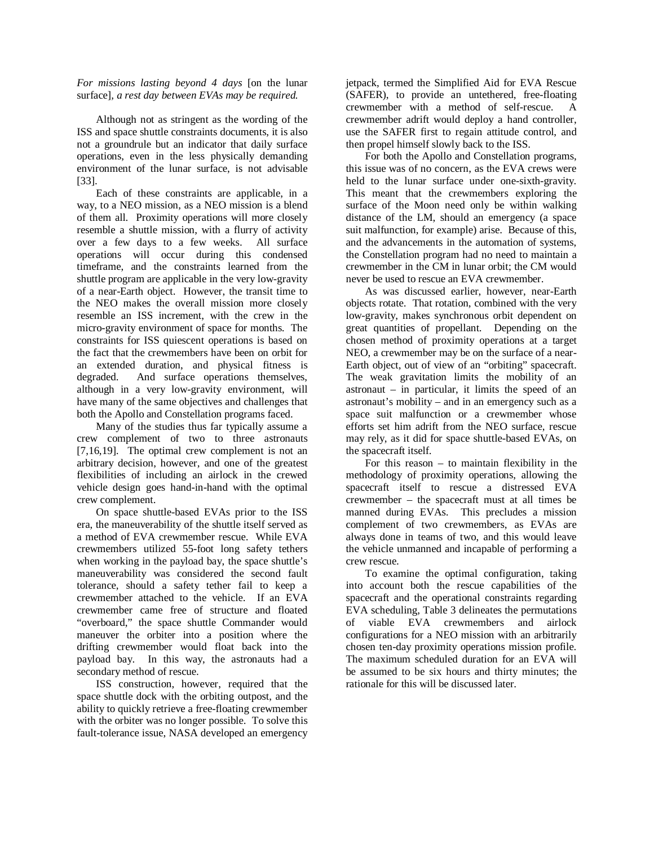*For missions lasting beyond 4 days* [on the lunar surface]*, a rest day between EVAs may be required.*

Although not as stringent as the wording of the ISS and space shuttle constraints documents, it is also not a groundrule but an indicator that daily surface operations, even in the less physically demanding environment of the lunar surface, is not advisable [33].

Each of these constraints are applicable, in a way, to a NEO mission, as a NEO mission is a blend of them all. Proximity operations will more closely resemble a shuttle mission, with a flurry of activity over a few days to a few weeks. All surface operations will occur during this condensed timeframe, and the constraints learned from the shuttle program are applicable in the very low-gravity of a near-Earth object. However, the transit time to the NEO makes the overall mission more closely resemble an ISS increment, with the crew in the micro-gravity environment of space for months. The constraints for ISS quiescent operations is based on the fact that the crewmembers have been on orbit for an extended duration, and physical fitness is degraded. And surface operations themselves, although in a very low-gravity environment, will have many of the same objectives and challenges that both the Apollo and Constellation programs faced.

Many of the studies thus far typically assume a crew complement of two to three astronauts [7,16,19]. The optimal crew complement is not an arbitrary decision, however, and one of the greatest flexibilities of including an airlock in the crewed vehicle design goes hand-in-hand with the optimal crew complement.

On space shuttle-based EVAs prior to the ISS era, the maneuverability of the shuttle itself served as a method of EVA crewmember rescue. While EVA crewmembers utilized 55-foot long safety tethers when working in the payload bay, the space shuttle's maneuverability was considered the second fault tolerance, should a safety tether fail to keep a crewmember attached to the vehicle. If an EVA crewmember came free of structure and floated "overboard," the space shuttle Commander would maneuver the orbiter into a position where the drifting crewmember would float back into the payload bay. In this way, the astronauts had a secondary method of rescue.

ISS construction, however, required that the space shuttle dock with the orbiting outpost, and the ability to quickly retrieve a free-floating crewmember with the orbiter was no longer possible. To solve this fault-tolerance issue, NASA developed an emergency

jetpack, termed the Simplified Aid for EVA Rescue (SAFER), to provide an untethered, free-floating crewmember with a method of self-rescue. A crewmember adrift would deploy a hand controller, use the SAFER first to regain attitude control, and then propel himself slowly back to the ISS.

For both the Apollo and Constellation programs, this issue was of no concern, as the EVA crews were held to the lunar surface under one-sixth-gravity. This meant that the crewmembers exploring the surface of the Moon need only be within walking distance of the LM, should an emergency (a space suit malfunction, for example) arise. Because of this, and the advancements in the automation of systems, the Constellation program had no need to maintain a crewmember in the CM in lunar orbit; the CM would never be used to rescue an EVA crewmember.

As was discussed earlier, however, near-Earth objects rotate. That rotation, combined with the very low-gravity, makes synchronous orbit dependent on great quantities of propellant. Depending on the chosen method of proximity operations at a target NEO, a crewmember may be on the surface of a near-Earth object, out of view of an "orbiting" spacecraft. The weak gravitation limits the mobility of an  $astronaut - in particular, it limits the speed of an$ astronaut's mobility – and in an emergency such as a space suit malfunction or a crewmember whose efforts set him adrift from the NEO surface, rescue may rely, as it did for space shuttle-based EVAs, on the spacecraft itself.

For this reason – to maintain flexibility in the methodology of proximity operations, allowing the spacecraft itself to rescue a distressed EVA crewmember – the spacecraft must at all times be manned during EVAs. This precludes a mission complement of two crewmembers, as EVAs are always done in teams of two, and this would leave the vehicle unmanned and incapable of performing a crew rescue.

To examine the optimal configuration, taking into account both the rescue capabilities of the spacecraft and the operational constraints regarding EVA scheduling, Table 3 delineates the permutations of viable EVA crewmembers and airlock configurations for a NEO mission with an arbitrarily chosen ten-day proximity operations mission profile. The maximum scheduled duration for an EVA will be assumed to be six hours and thirty minutes; the rationale for this will be discussed later.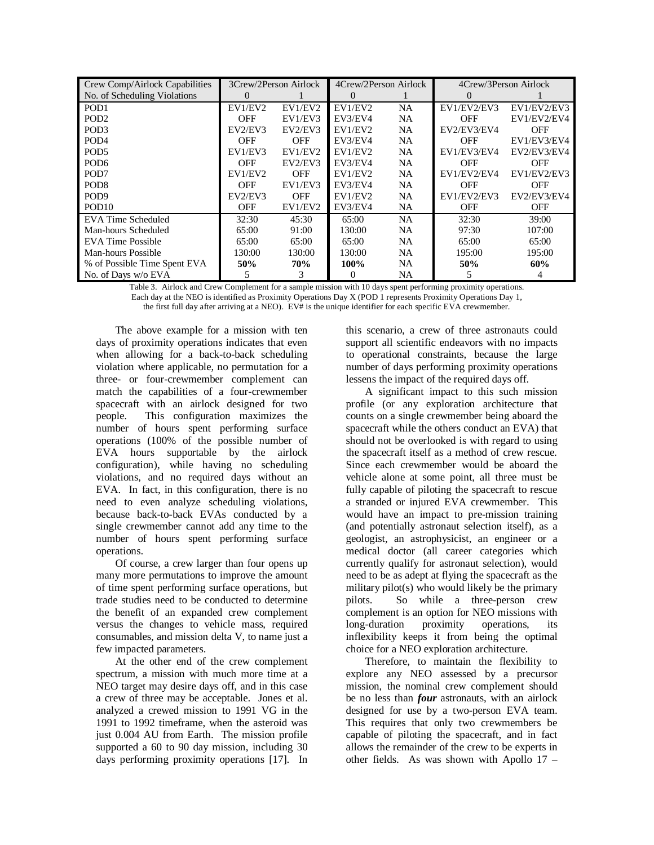| Crew Comp/Airlock Capabilities | 3Crew/2Person Airlock |            | 4Crew/2Person Airlock |           | 4Crew/3Person Airlock |             |
|--------------------------------|-----------------------|------------|-----------------------|-----------|-----------------------|-------------|
| No. of Scheduling Violations   | 0                     |            | $\theta$              |           |                       |             |
| PO <sub>D</sub> 1              | EV1/EV2               | EV1/EV2    | EV1/EV2               | <b>NA</b> | EV1/EV2/EV3           | EV1/EV2/EV3 |
| PO <sub>D</sub> <sub>2</sub>   | <b>OFF</b>            | EV1/EV3    | EV3/EV4               | NA        | <b>OFF</b>            | EV1/EV2/EV4 |
| POD <sub>3</sub>               | EV2/EV3               | EV2/EV3    | EV1/EV2               | <b>NA</b> | EV2/EV3/EV4           | <b>OFF</b>  |
| POD <sub>4</sub>               | OFF                   | <b>OFF</b> | EV3/EV4               | <b>NA</b> | <b>OFF</b>            | EV1/EV3/EV4 |
| POD <sub>5</sub>               | EV1/EV3               | EV1/EV2    | EV1/EV2               | <b>NA</b> | EV1/EV3/EV4           | EV2/EV3/EV4 |
| POD <sub>6</sub>               | <b>OFF</b>            | EV2/EV3    | EV3/EV4               | <b>NA</b> | <b>OFF</b>            | <b>OFF</b>  |
| POD <sub>7</sub>               | EV1/EV2               | <b>OFF</b> | EV1/EV2               | <b>NA</b> | EV1/EV2/EV4           | EV1/EV2/EV3 |
| PO <sub>D</sub> <sup>8</sup>   | OFF                   | EV1/EV3    | EV3/EV4               | <b>NA</b> | OFF                   | <b>OFF</b>  |
| PO <sub>D</sub> <sub>9</sub>   | EV2/EV3               | <b>OFF</b> | EV1/EV2               | <b>NA</b> | EV1/EV2/EV3           | EV2/EV3/EV4 |
| POD <sub>10</sub>              | <b>OFF</b>            | EV1/EV2    | EV3/EV4               | <b>NA</b> | <b>OFF</b>            | <b>OFF</b>  |
| EVA Time Scheduled             | 32:30                 | 45:30      | 65:00                 | <b>NA</b> | 32:30                 | 39:00       |
| Man-hours Scheduled            | 65:00                 | 91:00      | 130:00                | NA        | 97:30                 | 107:00      |
| <b>EVA Time Possible</b>       | 65:00                 | 65:00      | 65:00                 | NA        | 65:00                 | 65:00       |
| Man-hours Possible             | 130:00                | 130:00     | 130:00                | NA        | 195:00                | 195:00      |
| % of Possible Time Spent EVA   | 50%                   | <b>70%</b> | 100%                  | NA        | 50%                   | 60%         |
| No. of Days w/o EVA            |                       | 3          | 0                     | NA        |                       |             |

Table 3. Airlock and Crew Complement for a sample mission with 10 days spent performing proximity operations. Each day at the NEO is identified as Proximity Operations Day X (POD 1 represents Proximity Operations Day 1, the first full day after arriving at a NEO). EV $\ddot{\tau}$  is the unique identifier for each specific EVA crewmember.

The above example for a mission with ten days of proximity operations indicates that even when allowing for a back-to-back scheduling violation where applicable, no permutation for a three- or four-crewmember complement can match the capabilities of a four-crewmember spacecraft with an airlock designed for two people. This configuration maximizes the number of hours spent performing surface operations (100% of the possible number of EVA hours supportable by the airlock configuration), while having no scheduling violations, and no required days without an EVA. In fact, in this configuration, there is no need to even analyze scheduling violations, because back-to-back EVAs conducted by a single crewmember cannot add any time to the number of hours spent performing surface operations.

Of course, a crew larger than four opens up many more permutations to improve the amount of time spent performing surface operations, but trade studies need to be conducted to determine the benefit of an expanded crew complement versus the changes to vehicle mass, required consumables, and mission delta V, to name just a few impacted parameters.

At the other end of the crew complement spectrum, a mission with much more time at a NEO target may desire days off, and in this case a crew of three may be acceptable. Jones et al. analyzed a crewed mission to 1991 VG in the 1991 to 1992 timeframe, when the asteroid was just 0.004 AU from Earth. The mission profile supported a 60 to 90 day mission, including 30 days performing proximity operations [17]. In

this scenario, a crew of three astronauts could support all scientific endeavors with no impacts to operational constraints, because the large number of days performing proximity operations lessens the impact of the required days off.

A significant impact to this such mission profile (or any exploration architecture that counts on a single crewmember being aboard the spacecraft while the others conduct an EVA) that should not be overlooked is with regard to using the spacecraft itself as a method of crew rescue. Since each crewmember would be aboard the vehicle alone at some point, all three must be fully capable of piloting the spacecraft to rescue a stranded or injured EVA crewmember. This would have an impact to pre-mission training (and potentially astronaut selection itself), as a geologist, an astrophysicist, an engineer or a medical doctor (all career categories which currently qualify for astronaut selection), would need to be as adept at flying the spacecraft as the military pilot(s) who would likely be the primary pilots. So while a three-person crew complement is an option for NEO missions with long-duration proximity operations, its inflexibility keeps it from being the optimal choice for a NEO exploration architecture.

Therefore, to maintain the flexibility to explore any NEO assessed by a precursor mission, the nominal crew complement should be no less than *four* astronauts, with an airlock designed for use by a two-person EVA team. This requires that only two crewmembers be capable of piloting the spacecraft, and in fact allows the remainder of the crew to be experts in other fields. As was shown with Apollo 17 –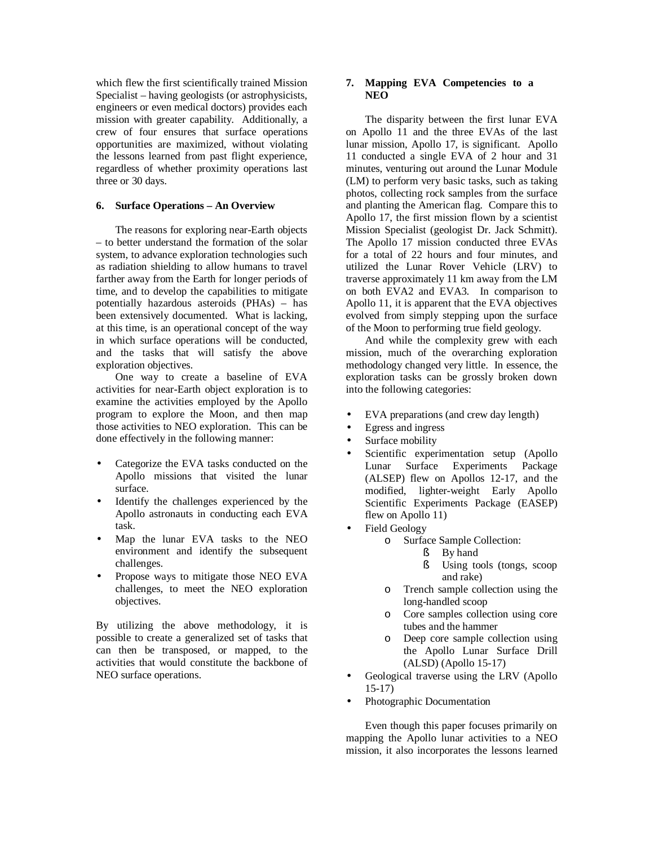which flew the first scientifically trained Mission Specialist – having geologists (or astrophysicists, engineers or even medical doctors) provides each mission with greater capability. Additionally, a crew of four ensures that surface operations opportunities are maximized, without violating the lessons learned from past flight experience, regardless of whether proximity operations last three or 30 days.

### **6. Surface Operations – An Overview**

The reasons for exploring near-Earth objects – to better understand the formation of the solar system, to advance exploration technologies such as radiation shielding to allow humans to travel farther away from the Earth for longer periods of time, and to develop the capabilities to mitigate potentially hazardous asteroids (PHAs) – has been extensively documented. What is lacking, at this time, is an operational concept of the way in which surface operations will be conducted, and the tasks that will satisfy the above exploration objectives.

One way to create a baseline of EVA activities for near-Earth object exploration is to examine the activities employed by the Apollo program to explore the Moon, and then map those activities to NEO exploration. This can be done effectively in the following manner:

- Categorize the EVA tasks conducted on the Apollo missions that visited the lunar surface.
- Identify the challenges experienced by the Apollo astronauts in conducting each EVA task.
- Map the lunar EVA tasks to the NEO environment and identify the subsequent challenges.
- Propose ways to mitigate those NEO EVA challenges, to meet the NEO exploration objectives.

By utilizing the above methodology, it is possible to create a generalized set of tasks that can then be transposed, or mapped, to the activities that would constitute the backbone of NEO surface operations.

### **7. Mapping EVA Competencies to a NEO**

The disparity between the first lunar EVA on Apollo 11 and the three EVAs of the last lunar mission, Apollo 17, is significant. Apollo 11 conducted a single EVA of 2 hour and 31 minutes, venturing out around the Lunar Module (LM) to perform very basic tasks, such as taking photos, collecting rock samples from the surface and planting the American flag. Compare this to Apollo 17, the first mission flown by a scientist Mission Specialist (geologist Dr. Jack Schmitt). The Apollo 17 mission conducted three EVAs for a total of 22 hours and four minutes, and utilized the Lunar Rover Vehicle (LRV) to traverse approximately 11 km away from the LM on both EVA2 and EVA3. In comparison to Apollo 11, it is apparent that the EVA objectives evolved from simply stepping upon the surface of the Moon to performing true field geology.

And while the complexity grew with each mission, much of the overarching exploration methodology changed very little. In essence, the exploration tasks can be grossly broken down into the following categories:

- EVA preparations (and crew day length)
- Egress and ingress
- Surface mobility
- Scientific experimentation setup (Apollo Lunar Surface Experiments Package (ALSEP) flew on Apollos 12-17, and the modified, lighter-weight Early Apollo Scientific Experiments Package (EASEP) flew on Apollo 11)
- Field Geology
	- o Surface Sample Collection:
		- § By hand
			- § Using tools (tongs, scoop and rake)
	- o Trench sample collection using the long-handled scoop
	- o Core samples collection using core tubes and the hammer
	- o Deep core sample collection using the Apollo Lunar Surface Drill (ALSD) (Apollo 15-17)
- Geological traverse using the LRV (Apollo 15-17)
- Photographic Documentation

Even though this paper focuses primarily on mapping the Apollo lunar activities to a NEO mission, it also incorporates the lessons learned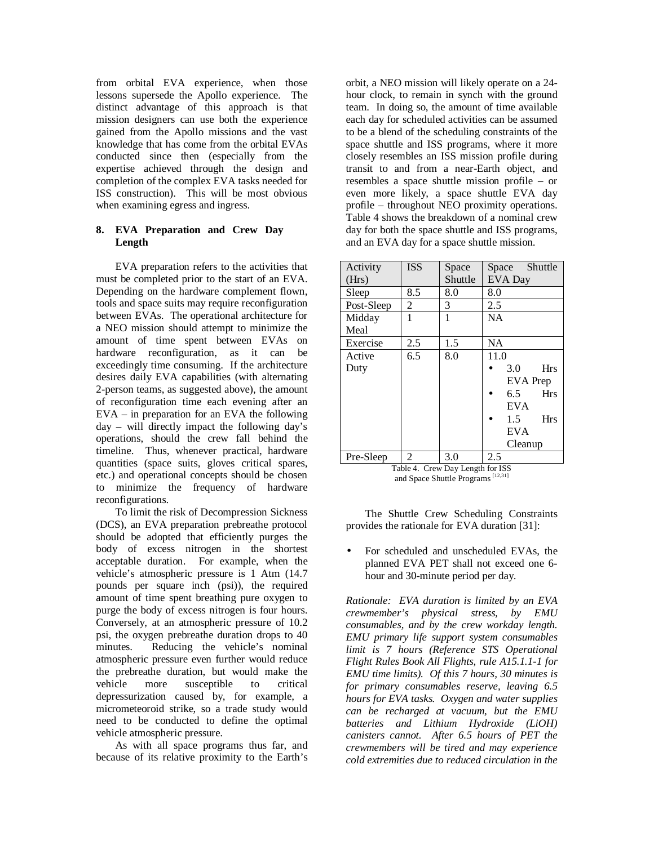from orbital EVA experience, when those lessons supersede the Apollo experience. The distinct advantage of this approach is that mission designers can use both the experience gained from the Apollo missions and the vast knowledge that has come from the orbital EVAs conducted since then (especially from the expertise achieved through the design and completion of the complex EVA tasks needed for ISS construction). This will be most obvious when examining egress and ingress.

## **8. EVA Preparation and Crew Day Length**

EVA preparation refers to the activities that must be completed prior to the start of an EVA. Depending on the hardware complement flown, tools and space suits may require reconfiguration between EVAs. The operational architecture for a NEO mission should attempt to minimize the amount of time spent between EVAs on hardware reconfiguration, as it can be exceedingly time consuming. If the architecture desires daily EVA capabilities (with alternating 2-person teams, as suggested above), the amount of reconfiguration time each evening after an EVA – in preparation for an EVA the following day – will directly impact the following day's operations, should the crew fall behind the timeline. Thus, whenever practical, hardware quantities (space suits, gloves critical spares, etc.) and operational concepts should be chosen to minimize the frequency of hardware reconfigurations.

To limit the risk of Decompression Sickness (DCS), an EVA preparation prebreathe protocol should be adopted that efficiently purges the body of excess nitrogen in the shortest acceptable duration. For example, when the vehicle's atmospheric pressure is 1 Atm (14.7 pounds per square inch (psi)), the required amount of time spent breathing pure oxygen to purge the body of excess nitrogen is four hours. Conversely, at an atmospheric pressure of 10.2 psi, the oxygen prebreathe duration drops to 40 minutes. Reducing the vehicle's nominal atmospheric pressure even further would reduce the prebreathe duration, but would make the vehicle more susceptible to critical depressurization caused by, for example, a micrometeoroid strike, so a trade study would need to be conducted to define the optimal vehicle atmospheric pressure.

As with all space programs thus far, and because of its relative proximity to the Earth's

orbit, a NEO mission will likely operate on a 24 hour clock, to remain in synch with the ground team. In doing so, the amount of time available each day for scheduled activities can be assumed to be a blend of the scheduling constraints of the space shuttle and ISS programs, where it more closely resembles an ISS mission profile during transit to and from a near-Earth object, and resembles a space shuttle mission profile – or even more likely, a space shuttle EVA day profile – throughout NEO proximity operations. Table 4 shows the breakdown of a nominal crew day for both the space shuttle and ISS programs, and an EVA day for a space shuttle mission.

| Activity<br>(Hrs) | <b>ISS</b> | Space<br>Shuttle | Shuttle<br>Space<br>EVA Day |
|-------------------|------------|------------------|-----------------------------|
| Sleep             | 8.5        | 8.0              | 8.0                         |
| Post-Sleep        | 2          | 3                | 2.5                         |
| Midday            | 1          | 1                | <b>NA</b>                   |
| Meal              |            |                  |                             |
| Exercise          | 2.5        | 1.5              | <b>NA</b>                   |
| Active            | 6.5        | 8.0              | 11.0                        |
| Duty              |            |                  | <b>Hrs</b><br>3.0           |
|                   |            |                  | <b>EVA</b> Prep             |
|                   |            |                  | <b>Hrs</b><br>6.5           |
|                   |            |                  | <b>EVA</b>                  |
|                   |            |                  | <b>Hrs</b><br>1.5           |
|                   |            |                  | <b>EVA</b>                  |
|                   |            |                  | Cleanup                     |
| Pre-Sleep         | 2          | 3.0              | 2.5                         |

Table 4. Crew Day Length for ISS<br>and Space Shuttle Programs<sup>[12,31]</sup>

The Shuttle Crew Scheduling Constraints provides the rationale for EVA duration [31]:

• For scheduled and unscheduled EVAs, the planned EVA PET shall not exceed one 6 hour and 30-minute period per day.

*Rationale: EVA duration is limited by an EVA crewmember's physical stress, by EMU consumables, and by the crew workday length. EMU primary life support system consumables limit is 7 hours (Reference STS Operational Flight Rules Book All Flights, rule A15.1.1-1 for EMU time limits). Of this 7 hours, 30 minutes is for primary consumables reserve, leaving 6.5 hours for EVA tasks. Oxygen and water supplies can be recharged at vacuum, but the EMU batteries and Lithium Hydroxide (LiOH) canisters cannot. After 6.5 hours of PET the crewmembers will be tired and may experience cold extremities due to reduced circulation in the*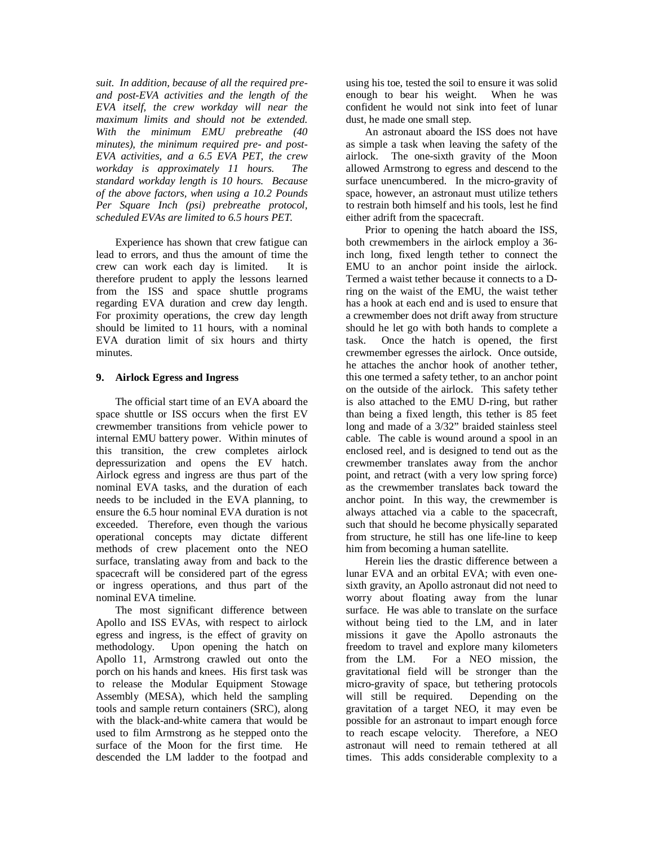*suit. In addition, because of all the required preand post-EVA activities and the length of the EVA itself, the crew workday will near the maximum limits and should not be extended. With the minimum EMU prebreathe (40 minutes), the minimum required pre- and post-EVA activities, and a 6.5 EVA PET, the crew workday is approximately 11 hours. The standard workday length is 10 hours. Because of the above factors, when using a 10.2 Pounds Per Square Inch (psi) prebreathe protocol, scheduled EVAs are limited to 6.5 hours PET.*

Experience has shown that crew fatigue can lead to errors, and thus the amount of time the crew can work each day is limited. It is therefore prudent to apply the lessons learned from the ISS and space shuttle programs regarding EVA duration and crew day length. For proximity operations, the crew day length should be limited to 11 hours, with a nominal EVA duration limit of six hours and thirty minutes.

### **9. Airlock Egress and Ingress**

The official start time of an EVA aboard the space shuttle or ISS occurs when the first EV crewmember transitions from vehicle power to internal EMU battery power. Within minutes of this transition, the crew completes airlock depressurization and opens the EV hatch. Airlock egress and ingress are thus part of the nominal EVA tasks, and the duration of each needs to be included in the EVA planning, to ensure the 6.5 hour nominal EVA duration is not exceeded. Therefore, even though the various operational concepts may dictate different methods of crew placement onto the NEO surface, translating away from and back to the spacecraft will be considered part of the egress or ingress operations, and thus part of the nominal EVA timeline.

The most significant difference between Apollo and ISS EVAs, with respect to airlock egress and ingress, is the effect of gravity on methodology. Upon opening the hatch on Apollo 11, Armstrong crawled out onto the porch on his hands and knees. His first task was to release the Modular Equipment Stowage Assembly (MESA), which held the sampling tools and sample return containers (SRC), along with the black-and-white camera that would be used to film Armstrong as he stepped onto the surface of the Moon for the first time. He descended the LM ladder to the footpad and using his toe, tested the soil to ensure it was solid enough to bear his weight. When he was confident he would not sink into feet of lunar dust, he made one small step.

An astronaut aboard the ISS does not have as simple a task when leaving the safety of the airlock. The one-sixth gravity of the Moon allowed Armstrong to egress and descend to the surface unencumbered. In the micro-gravity of space, however, an astronaut must utilize tethers to restrain both himself and his tools, lest he find either adrift from the spacecraft.

Prior to opening the hatch aboard the ISS, both crewmembers in the airlock employ a 36 inch long, fixed length tether to connect the EMU to an anchor point inside the airlock. Termed a waist tether because it connects to a Dring on the waist of the EMU, the waist tether has a hook at each end and is used to ensure that a crewmember does not drift away from structure should he let go with both hands to complete a task. Once the hatch is opened, the first crewmember egresses the airlock. Once outside, he attaches the anchor hook of another tether, this one termed a safety tether, to an anchor point on the outside of the airlock. This safety tether is also attached to the EMU D-ring, but rather than being a fixed length, this tether is 85 feet long and made of a 3/32" braided stainless steel cable. The cable is wound around a spool in an enclosed reel, and is designed to tend out as the crewmember translates away from the anchor point, and retract (with a very low spring force) as the crewmember translates back toward the anchor point. In this way, the crewmember is always attached via a cable to the spacecraft, such that should he become physically separated from structure, he still has one life-line to keep him from becoming a human satellite.

Herein lies the drastic difference between a lunar EVA and an orbital EVA; with even onesixth gravity, an Apollo astronaut did not need to worry about floating away from the lunar surface. He was able to translate on the surface without being tied to the LM, and in later missions it gave the Apollo astronauts the freedom to travel and explore many kilometers from the LM. For a NEO mission, the gravitational field will be stronger than the micro-gravity of space, but tethering protocols will still be required. Depending on the gravitation of a target NEO, it may even be possible for an astronaut to impart enough force to reach escape velocity. Therefore, a NEO astronaut will need to remain tethered at all times. This adds considerable complexity to a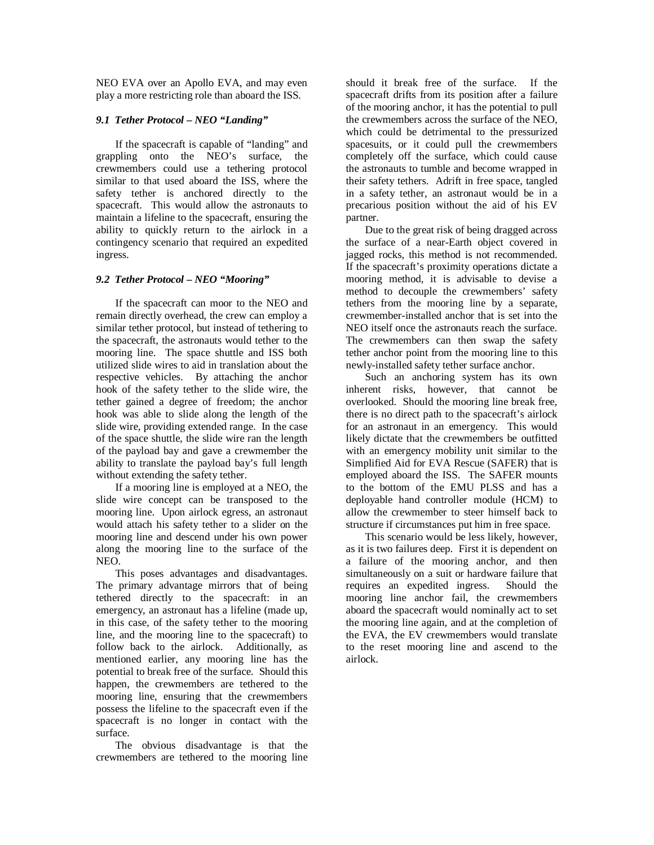NEO EVA over an Apollo EVA, and may even play a more restricting role than aboard the ISS.

### *9.1 Tether Protocol – NEO "Landing"*

If the spacecraft is capable of "landing" and grappling onto the NEO's surface, the crewmembers could use a tethering protocol similar to that used aboard the ISS, where the safety tether is anchored directly to the spacecraft. This would allow the astronauts to maintain a lifeline to the spacecraft, ensuring the ability to quickly return to the airlock in a contingency scenario that required an expedited ingress.

### *9.2 Tether Protocol – NEO "Mooring"*

If the spacecraft can moor to the NEO and remain directly overhead, the crew can employ a similar tether protocol, but instead of tethering to the spacecraft, the astronauts would tether to the mooring line. The space shuttle and ISS both utilized slide wires to aid in translation about the respective vehicles. By attaching the anchor hook of the safety tether to the slide wire, the tether gained a degree of freedom; the anchor hook was able to slide along the length of the slide wire, providing extended range. In the case of the space shuttle, the slide wire ran the length of the payload bay and gave a crewmember the ability to translate the payload bay's full length without extending the safety tether.

If a mooring line is employed at a NEO, the slide wire concept can be transposed to the mooring line. Upon airlock egress, an astronaut would attach his safety tether to a slider on the mooring line and descend under his own power along the mooring line to the surface of the NEO.

This poses advantages and disadvantages. The primary advantage mirrors that of being tethered directly to the spacecraft: in an emergency, an astronaut has a lifeline (made up, in this case, of the safety tether to the mooring line, and the mooring line to the spacecraft) to follow back to the airlock. Additionally, as mentioned earlier, any mooring line has the potential to break free of the surface. Should this happen, the crewmembers are tethered to the mooring line, ensuring that the crewmembers possess the lifeline to the spacecraft even if the spacecraft is no longer in contact with the surface.

The obvious disadvantage is that the crewmembers are tethered to the mooring line

should it break free of the surface. If the spacecraft drifts from its position after a failure of the mooring anchor, it has the potential to pull the crewmembers across the surface of the NEO, which could be detrimental to the pressurized spacesuits, or it could pull the crewmembers completely off the surface, which could cause the astronauts to tumble and become wrapped in their safety tethers. Adrift in free space, tangled in a safety tether, an astronaut would be in a precarious position without the aid of his EV partner.

Due to the great risk of being dragged across the surface of a near-Earth object covered in jagged rocks, this method is not recommended. If the spacecraft's proximity operations dictate a mooring method, it is advisable to devise a method to decouple the crewmembers' safety tethers from the mooring line by a separate, crewmember-installed anchor that is set into the NEO itself once the astronauts reach the surface. The crewmembers can then swap the safety tether anchor point from the mooring line to this newly-installed safety tether surface anchor.

Such an anchoring system has its own inherent risks, however, that cannot be overlooked. Should the mooring line break free, there is no direct path to the spacecraft's airlock for an astronaut in an emergency. This would likely dictate that the crewmembers be outfitted with an emergency mobility unit similar to the Simplified Aid for EVA Rescue (SAFER) that is employed aboard the ISS. The SAFER mounts to the bottom of the EMU PLSS and has a deployable hand controller module (HCM) to allow the crewmember to steer himself back to structure if circumstances put him in free space.

This scenario would be less likely, however, as it is two failures deep. First it is dependent on a failure of the mooring anchor, and then simultaneously on a suit or hardware failure that requires an expedited ingress. Should the mooring line anchor fail, the crewmembers aboard the spacecraft would nominally act to set the mooring line again, and at the completion of the EVA, the EV crewmembers would translate to the reset mooring line and ascend to the airlock.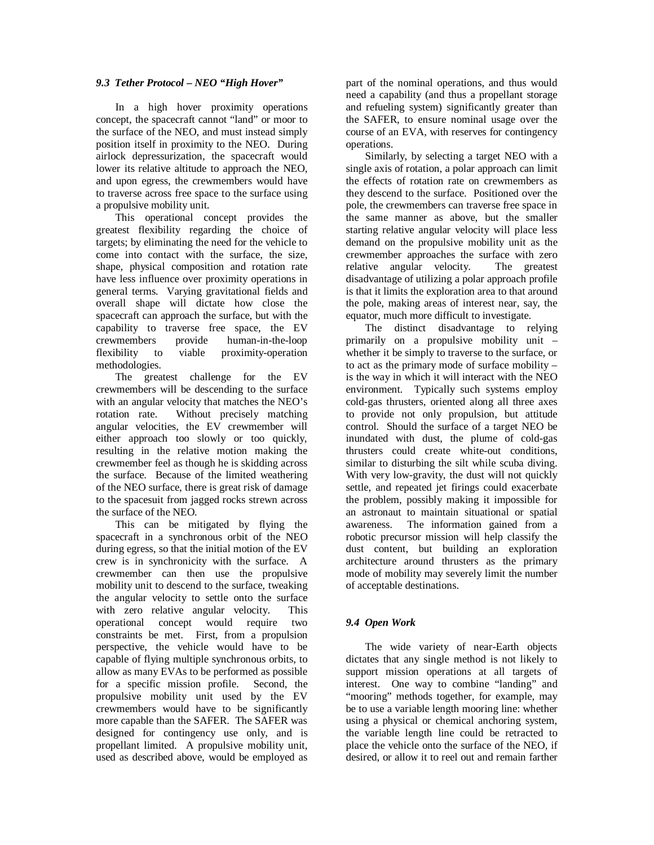## *9.3 Tether Protocol – NEO "High Hover"*

In a high hover proximity operations concept, the spacecraft cannot "land" or moor to the surface of the NEO, and must instead simply position itself in proximity to the NEO. During airlock depressurization, the spacecraft would lower its relative altitude to approach the NEO, and upon egress, the crewmembers would have to traverse across free space to the surface using a propulsive mobility unit.

This operational concept provides the greatest flexibility regarding the choice of targets; by eliminating the need for the vehicle to come into contact with the surface, the size, shape, physical composition and rotation rate have less influence over proximity operations in general terms. Varying gravitational fields and overall shape will dictate how close the spacecraft can approach the surface, but with the capability to traverse free space, the EV crewmembers provide human-in-the-loop flexibility to viable proximity-operation methodologies.

The greatest challenge for the EV crewmembers will be descending to the surface with an angular velocity that matches the NEO's rotation rate. Without precisely matching angular velocities, the EV crewmember will either approach too slowly or too quickly, resulting in the relative motion making the crewmember feel as though he is skidding across the surface. Because of the limited weathering of the NEO surface, there is great risk of damage to the spacesuit from jagged rocks strewn across the surface of the NEO.

This can be mitigated by flying the spacecraft in a synchronous orbit of the NEO during egress, so that the initial motion of the EV crew is in synchronicity with the surface. A crewmember can then use the propulsive mobility unit to descend to the surface, tweaking the angular velocity to settle onto the surface with zero relative angular velocity. This operational concept would require two constraints be met. First, from a propulsion perspective, the vehicle would have to be capable of flying multiple synchronous orbits, to allow as many EVAs to be performed as possible for a specific mission profile. Second, the propulsive mobility unit used by the EV crewmembers would have to be significantly more capable than the SAFER. The SAFER was designed for contingency use only, and is propellant limited. A propulsive mobility unit, used as described above, would be employed as

part of the nominal operations, and thus would need a capability (and thus a propellant storage and refueling system) significantly greater than the SAFER, to ensure nominal usage over the course of an EVA, with reserves for contingency operations.

Similarly, by selecting a target NEO with a single axis of rotation, a polar approach can limit the effects of rotation rate on crewmembers as they descend to the surface. Positioned over the pole, the crewmembers can traverse free space in the same manner as above, but the smaller starting relative angular velocity will place less demand on the propulsive mobility unit as the crewmember approaches the surface with zero relative angular velocity. The greatest disadvantage of utilizing a polar approach profile is that it limits the exploration area to that around the pole, making areas of interest near, say, the equator, much more difficult to investigate.

The distinct disadvantage to relying primarily on a propulsive mobility unit – whether it be simply to traverse to the surface, or to act as the primary mode of surface mobility – is the way in which it will interact with the NEO environment. Typically such systems employ cold-gas thrusters, oriented along all three axes to provide not only propulsion, but attitude control. Should the surface of a target NEO be inundated with dust, the plume of cold-gas thrusters could create white-out conditions, similar to disturbing the silt while scuba diving. With very low-gravity, the dust will not quickly settle, and repeated jet firings could exacerbate the problem, possibly making it impossible for an astronaut to maintain situational or spatial awareness. The information gained from a robotic precursor mission will help classify the dust content, but building an exploration architecture around thrusters as the primary mode of mobility may severely limit the number of acceptable destinations.

## *9.4 Open Work*

The wide variety of near-Earth objects dictates that any single method is not likely to support mission operations at all targets of interest. One way to combine "landing" and "mooring" methods together, for example, may be to use a variable length mooring line: whether using a physical or chemical anchoring system, the variable length line could be retracted to place the vehicle onto the surface of the NEO, if desired, or allow it to reel out and remain farther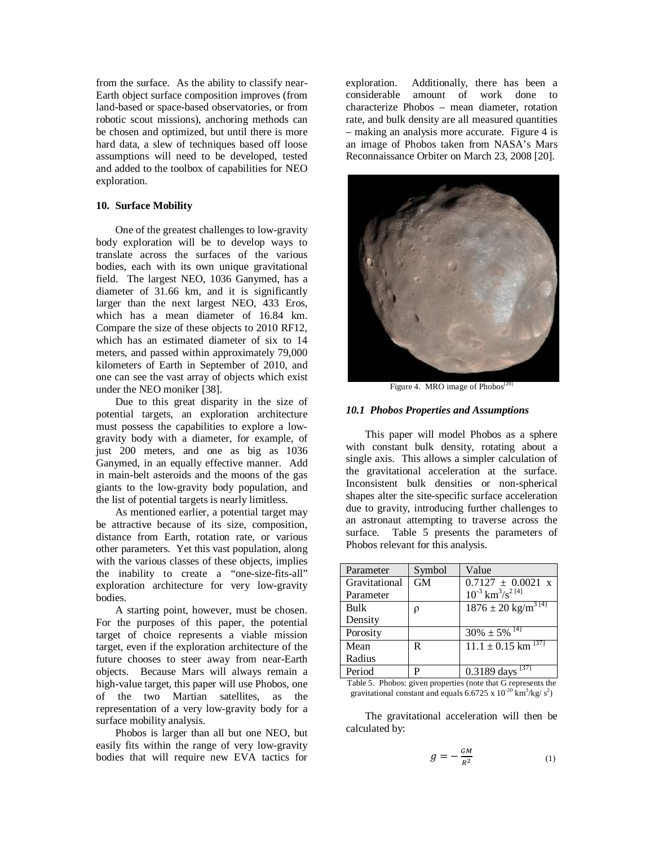from the surface. As the ability to classify near-Earth object surface composition improves (from land-based or space-based observatories, or from robotic scout missions), anchoring methods can be chosen and optimized, but until there is more hard data, a slew of techniques based off loose assumptions will need to be developed, tested and added to the toolbox of capabilities for NEO exploration.

### **10. Surface Mobility**

One of the greatest challenges to low-gravity body exploration will be to develop ways to translate across the surfaces of the various bodies, each with its own unique gravitational field. The largest NEO, 1036 Ganymed, has a diameter of 31.66 km, and it is significantly larger than the next largest NEO, 433 Eros, which has a mean diameter of 16.84 km. Compare the size of these objects to 2010 RF12, which has an estimated diameter of six to 14 meters, and passed within approximately 79,000 kilometers of Earth in September of 2010, and one can see the vast array of objects which exist under the NEO moniker [38].

Due to this great disparity in the size of potential targets, an exploration architecture must possess the capabilities to explore a lowgravity body with a diameter, for example, of just 200 meters, and one as big as 1036 Ganymed, in an equally effective manner. Add in main-belt asteroids and the moons of the gas giants to the low-gravity body population, and the list of potential targets is nearly limitless.

As mentioned earlier, a potential target may be attractive because of its size, composition, distance from Earth, rotation rate, or various other parameters. Yet this vast population, along with the various classes of these objects, implies the inability to create a "one-size-fits-all" exploration architecture for very low-gravity bodies.

A starting point, however, must be chosen. For the purposes of this paper, the potential target of choice represents a viable mission target, even if the exploration architecture of the future chooses to steer away from near-Earth objects. Because Mars will always remain a high-value target, this paper will use Phobos, one of the two Martian satellites, as the representation of a very low-gravity body for a surface mobility analysis.

Phobos is larger than all but one NEO, but easily fits within the range of very low-gravity bodies that will require new EVA tactics for

exploration. Additionally, there has been a considerable amount of work done to characterize Phobos – mean diameter, rotation rate, and bulk density are all measured quantities – making an analysis more accurate. Figure 4 is an image of Phobos taken from NASA's Mars Reconnaissance Orbiter on March 23, 2008 [20].



Figure 4. MRO image of Phobos<sup>[2</sup>]

### *10.1 Phobos Properties and Assumptions*

This paper will model Phobos as a sphere with constant bulk density, rotating about a single axis. This allows a simpler calculation of the gravitational acceleration at the surface. Inconsistent bulk densities or non-spherical shapes alter the site-specific surface acceleration due to gravity, introducing further challenges to an astronaut attempting to traverse across the surface. Table 5 presents the parameters of Phobos relevant for this analysis.

| Parameter     | Symbol | Value                                        |
|---------------|--------|----------------------------------------------|
| Gravitational | GM     | $0.7127 \pm 0.0021$ x                        |
| Parameter     |        | $10^{-3}$ km <sup>3</sup> /s <sup>2[4]</sup> |
| Bulk          | ρ      | $1876 \pm 20$ kg/m <sup>3 [4]</sup>          |
| Density       |        |                                              |
| Porosity      |        | $30\% \pm 5\%$ <sup>[4]</sup>                |
| Mean          | R      | $11.1 \pm 0.15$ km <sup>[37]</sup>           |
| Radius        |        |                                              |
| Period        | P      | $0.3189$ days $^{[37]}$                      |

Table 5. Phobos: given properties (note that G represents the gravitational constant and equals  $6.6725 \times 10^{-20} \text{ km}^3/\text{kg/s}^2$ 

The gravitational acceleration will then be calculated by:

$$
g = -\frac{GM}{R^2} \tag{1}
$$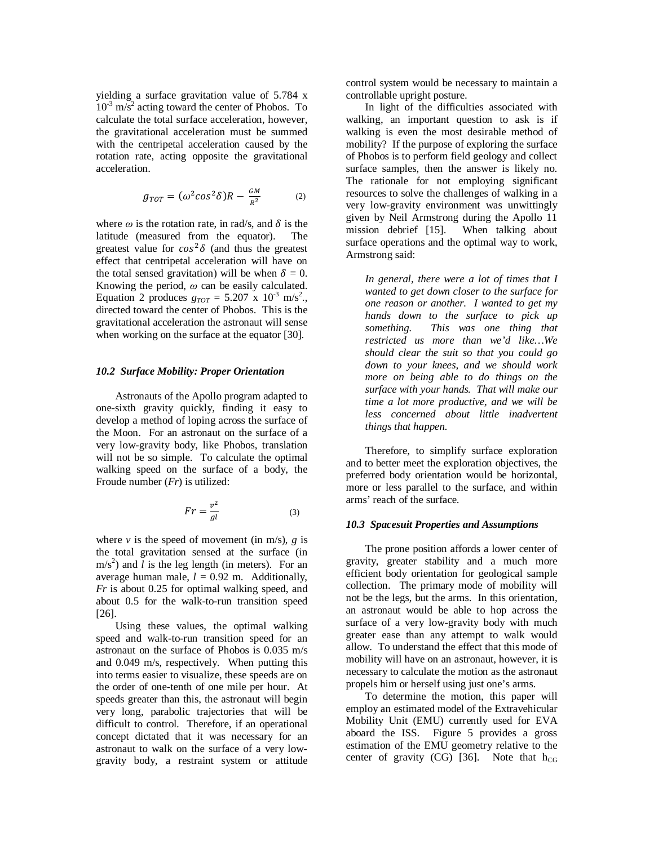yielding a surface gravitation value of 5.784 x  $10^{-3}$  m/s<sup>2</sup> acting toward the center of Phobos. To calculate the total surface acceleration, however, the gravitational acceleration must be summed with the centripetal acceleration caused by the rotation rate, acting opposite the gravitational acceleration.

$$
g_{TOT} = (\omega^2 \cos^2 \delta) R - \frac{GM}{R^2}
$$
 (2)

where  $\omega$  is the rotation rate, in rad/s, and  $\delta$  is the latitude (measured from the equator). The greatest value for  $cos^2\delta$  (and thus the greatest effect that centripetal acceleration will have on the total sensed gravitation) will be when  $\delta = 0$ . Knowing the period, *ω* can be easily calculated. Equation 2 produces  $g_{TOT} = 5.207 \times 10^{-3} \text{ m/s}^2$ . directed toward the center of Phobos. This is the gravitational acceleration the astronaut will sense when working on the surface at the equator [30].

### *10.2 Surface Mobility: Proper Orientation*

Astronauts of the Apollo program adapted to one-sixth gravity quickly, finding it easy to develop a method of loping across the surface of the Moon. For an astronaut on the surface of a very low-gravity body, like Phobos, translation will not be so simple. To calculate the optimal walking speed on the surface of a body, the Froude number (*Fr*) is utilized:

$$
Fr = \frac{v^2}{gl} \tag{3}
$$

where  $v$  is the speed of movement (in m/s),  $g$  is the total gravitation sensed at the surface (in  $\text{m/s}^2$ ) and *l* is the leg length (in meters). For an average human male,  $l = 0.92$  m. Additionally, *Fr* is about 0.25 for optimal walking speed, and about 0.5 for the walk-to-run transition speed [26].

Using these values, the optimal walking speed and walk-to-run transition speed for an astronaut on the surface of Phobos is 0.035 m/s and 0.049 m/s, respectively. When putting this into terms easier to visualize, these speeds are on the order of one-tenth of one mile per hour. At speeds greater than this, the astronaut will begin very long, parabolic trajectories that will be difficult to control. Therefore, if an operational concept dictated that it was necessary for an astronaut to walk on the surface of a very lowgravity body, a restraint system or attitude control system would be necessary to maintain a controllable upright posture.

In light of the difficulties associated with walking, an important question to ask is if walking is even the most desirable method of mobility? If the purpose of exploring the surface of Phobos is to perform field geology and collect surface samples, then the answer is likely no. The rationale for not employing significant resources to solve the challenges of walking in a very low-gravity environment was unwittingly given by Neil Armstrong during the Apollo 11 mission debrief [15]. When talking about surface operations and the optimal way to work, Armstrong said:

*In general, there were a lot of times that I wanted to get down closer to the surface for one reason or another. I wanted to get my hands down to the surface to pick up something. This was one thing that restricted us more than we'd like…We should clear the suit so that you could go down to your knees, and we should work more on being able to do things on the surface with your hands. That will make our time a lot more productive, and we will be less concerned about little inadvertent things that happen.*

Therefore, to simplify surface exploration and to better meet the exploration objectives, the preferred body orientation would be horizontal, more or less parallel to the surface, and within arms' reach of the surface.

### *10.3 Spacesuit Properties and Assumptions*

The prone position affords a lower center of gravity, greater stability and a much more efficient body orientation for geological sample collection. The primary mode of mobility will not be the legs, but the arms. In this orientation, an astronaut would be able to hop across the surface of a very low-gravity body with much greater ease than any attempt to walk would allow. To understand the effect that this mode of mobility will have on an astronaut, however, it is necessary to calculate the motion as the astronaut propels him or herself using just one's arms.

To determine the motion, this paper will employ an estimated model of the Extravehicular Mobility Unit (EMU) currently used for EVA aboard the ISS. Figure 5 provides a gross estimation of the EMU geometry relative to the center of gravity (CG) [36]. Note that  $h_{CG}$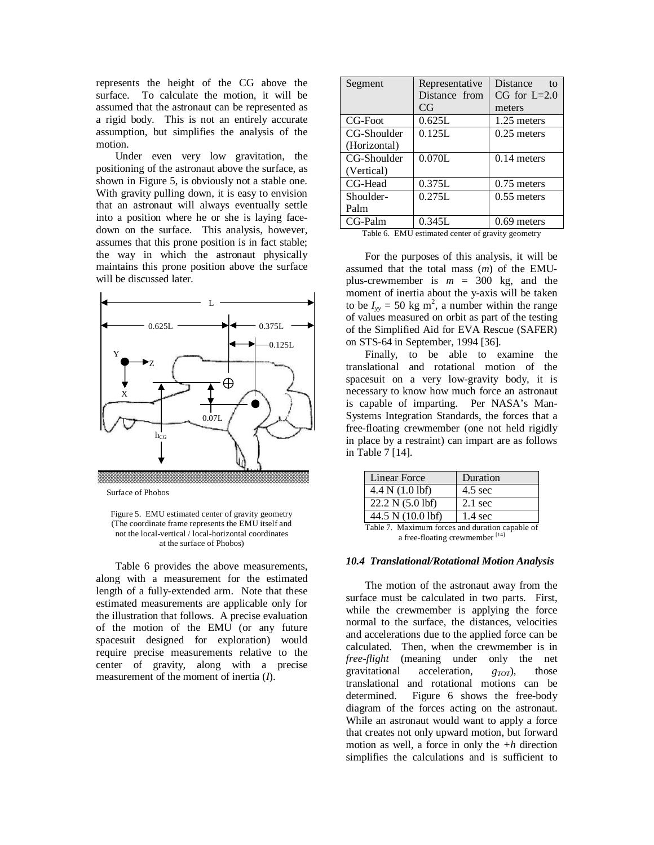represents the height of the CG above the surface. To calculate the motion, it will be assumed that the astronaut can be represented as a rigid body. This is not an entirely accurate assumption, but simplifies the analysis of the motion.

Under even very low gravitation, the positioning of the astronaut above the surface, as shown in Figure 5, is obviously not a stable one. With gravity pulling down, it is easy to envision that an astronaut will always eventually settle into a position where he or she is laying facedown on the surface. This analysis, however, assumes that this prone position is in fact stable; the way in which the astronaut physically maintains this prone position above the surface will be discussed later.



Surface of Phobos

Figure 5. EMU estimated center of gravity geometry (The coordinate frame represents the EMU itself and not the local-vertical / local-horizontal coordinates at the surface of Phobos)

Table 6 provides the above measurements, along with a measurement for the estimated length of a fully-extended arm. Note that these estimated measurements are applicable only for the illustration that follows. A precise evaluation of the motion of the EMU (or any future spacesuit designed for exploration) would require precise measurements relative to the center of gravity, along with a precise measurement of the moment of inertia (*I*).

| Segment      | Representative | Distance<br>to   |
|--------------|----------------|------------------|
|              | Distance from  | $CG$ for $L=2.0$ |
|              | CG             | meters           |
| CG-Foot      | 0.625L         | 1.25 meters      |
| CG-Shoulder  | 0.125L         | $0.25$ meters    |
| (Horizontal) |                |                  |
| CG-Shoulder  | 0.070L         | $0.14$ meters    |
| (Vertical)   |                |                  |
| CG-Head      | 0.375L         | $0.75$ meters    |
| Shoulder-    | 0.275L         | $0.55$ meters    |
| Palm         |                |                  |
| CG-Palm      | 0.345L         | $0.69$ meters    |

| Table 6. EMU estimated center of gravity geometry |  |  |
|---------------------------------------------------|--|--|
|                                                   |  |  |

For the purposes of this analysis, it will be assumed that the total mass (*m*) of the EMUplus-crewmember is  $m = 300$  kg, and the moment of inertia about the y-axis will be taken to be  $I_{yy} = 50$  kg m<sup>2</sup>, a number within the range of values measured on orbit as part of the testing of the Simplified Aid for EVA Rescue (SAFER) on STS-64 in September, 1994 [36].

Finally, to be able to examine the translational and rotational motion of the spacesuit on a very low-gravity body, it is necessary to know how much force an astronaut is capable of imparting. Per NASA's Man-Systems Integration Standards, the forces that a free-floating crewmember (one not held rigidly in place by a restraint) can impart are as follows in Table 7 [14].

| Linear Force                                    | Duration          |  |  |  |
|-------------------------------------------------|-------------------|--|--|--|
| 4.4 N (1.0 lbf)                                 | $4.5 \text{ sec}$ |  |  |  |
| 22.2 N (5.0 lbf)                                | $2.1$ sec         |  |  |  |
| 44.5 N (10.0 lbf)                               | $1.4 \text{ sec}$ |  |  |  |
| Table 7. Maximum forces and duration capable of |                   |  |  |  |

a free-floating crewmember<sup>[14]</sup>

### *10.4 Translational/Rotational Motion Analysis*

The motion of the astronaut away from the surface must be calculated in two parts. First, while the crewmember is applying the force normal to the surface, the distances, velocities and accelerations due to the applied force can be calculated. Then, when the crewmember is in *free-flight* (meaning under only the net gravitational acceleration, *gTOT*), those translational and rotational motions can be determined. Figure 6 shows the free-body diagram of the forces acting on the astronaut. While an astronaut would want to apply a force that creates not only upward motion, but forward motion as well, a force in only the *+h* direction simplifies the calculations and is sufficient to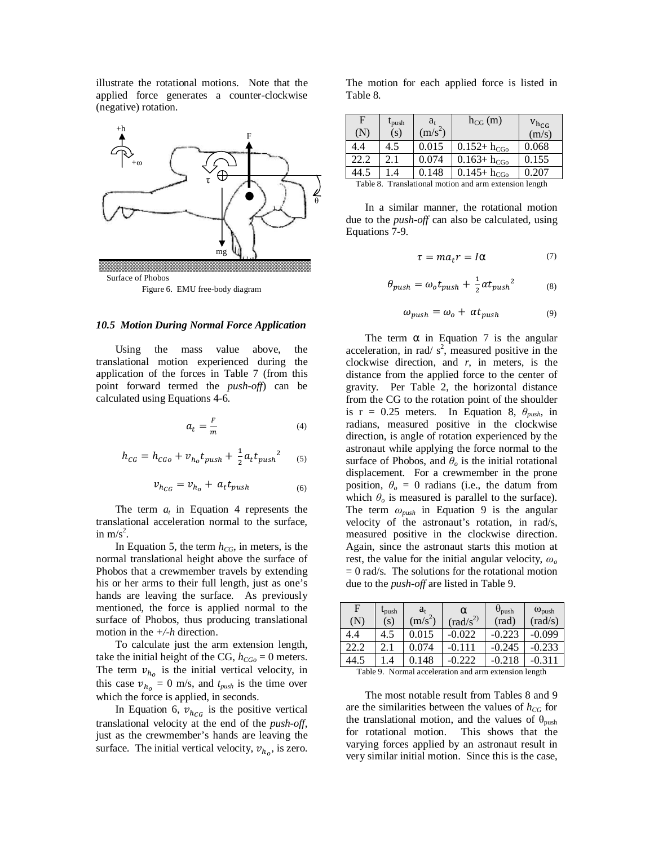illustrate the rotational motions. Note that the applied force generates a counter-clockwise (negative) rotation.



## *10.5 Motion During Normal Force Application*

Using the mass value above, the translational motion experienced during the application of the forces in Table 7 (from this point forward termed the *push-off*) can be calculated using Equations 4-6.

$$
a_t = \frac{F}{m} \tag{4}
$$

$$
h_{CG} = h_{CGo} + v_{h_o} t_{push} + \frac{1}{2} a_t t_{push}^2 \qquad (5)
$$

$$
v_{h_{CG}} = v_{h_o} + a_t t_{push} \tag{6}
$$

The term  $a_t$  in Equation 4 represents the translational acceleration normal to the surface, in  $m/s^2$ .

In Equation 5, the term  $h_{CG}$ , in meters, is the normal translational height above the surface of Phobos that a crewmember travels by extending his or her arms to their full length, just as one's hands are leaving the surface. As previously mentioned, the force is applied normal to the surface of Phobos, thus producing translational motion in the *+/-h* direction.

To calculate just the arm extension length, take the initial height of the CG,  $h_{CGO} = 0$  meters. The term  $v_{h_0}$  is the initial vertical velocity, in this case  $v_{h_0} = 0$  m/s, and  $t_{push}$  is the time over which the force is applied, in seconds.

In Equation 6,  $v_{hcG}$  is the positive vertical translational velocity at the end of the *push-off*, just as the crewmember's hands are leaving the surface. The initial vertical velocity,  $v_{h_0}$ , is zero.

The motion for each applied force is listed in Table 8.

| F<br>(N)      | $\iota_{\text{push}}$<br>(s) | $a_{t}$<br>$(m/s^2)$ | $h_{CG}$ (m)                                 | $V_{h_{CG}}$<br>(m/s) |
|---------------|------------------------------|----------------------|----------------------------------------------|-----------------------|
| 4.4           | 4.5                          | 0.015                | $0.152 + h_{CGO}$                            | 0.068                 |
| 22.2          | 2.1                          | 0.074                | $0.163 + h_{CGo}$                            | 0.155                 |
| 44.5          | $\cdot$                      | 0.148                | $0.145 + h_{CGO}$                            | 0.207                 |
| $T0$ $L1$ , 0 |                              |                      | Trendetianal motion and arm artengian langth |                       |

Table 8. Translational motion and arm extension length

In a similar manner, the rotational motion due to the *push-off* can also be calculated, using Equations 7-9.

$$
\tau = ma_t r = Ia \tag{7}
$$

$$
\theta_{push} = \omega_o t_{push} + \frac{1}{2} \alpha t_{push}^2 \tag{8}
$$

$$
\omega_{push} = \omega_o + \alpha t_{push} \tag{9}
$$

The term  $\alpha$  in Equation 7 is the angular acceleration, in rad/ $s^2$ , measured positive in the clockwise direction, and *r*, in meters, is the distance from the applied force to the center of gravity. Per Table 2, the horizontal distance from the CG to the rotation point of the shoulder is  $r = 0.25$  meters. In Equation 8,  $\theta_{push}$ , in radians, measured positive in the clockwise direction, is angle of rotation experienced by the astronaut while applying the force normal to the surface of Phobos, and  $\theta$ <sup>*o*</sup> is the initial rotational displacement. For a crewmember in the prone position,  $\theta_o = 0$  radians (i.e., the datum from which  $\theta$ <sup>*o*</sup> is measured is parallel to the surface). The term *ωpush* in Equation 9 is the angular velocity of the astronaut's rotation, in rad/s, measured positive in the clockwise direction. Again, since the astronaut starts this motion at rest, the value for the initial angular velocity, *ω<sup>o</sup>*  $= 0$  rad/s. The solutions for the rotational motion due to the *push-off* are listed in Table 9.

| F         | $t_{\text{push}}$ | $a_{t}$   | $\alpha$                                                                                                                                                                                                                                                                                           | $\theta_{\text{push}}$ | $\omega_{\text{push}}$ |
|-----------|-------------------|-----------|----------------------------------------------------------------------------------------------------------------------------------------------------------------------------------------------------------------------------------------------------------------------------------------------------|------------------------|------------------------|
| $(\rm N)$ | (s)               | $(m/s^2)$ | $\text{(rad/s}^2)$                                                                                                                                                                                                                                                                                 | $\text{(rad)}$         | $\text{(rad/s)}$       |
| 4.4       | 4.5               | 0.015     | -0.022                                                                                                                                                                                                                                                                                             | $-0.223$               | -0.099                 |
| 22.2      | 2.1               | 0.074     | $-0.111$                                                                                                                                                                                                                                                                                           | -0.245                 | $-0.233$               |
| 14.5      | $\overline{A}$    | 0.148     | 0.222                                                                                                                                                                                                                                                                                              |                        |                        |
|           |                   |           | $\mathbf{T}$ and $\mathbf{A}$ are $\mathbf{A}$ and $\mathbf{A}$ are $\mathbf{A}$ and $\mathbf{A}$ are all $\mathbf{A}$ and $\mathbf{A}$ are $\mathbf{A}$ and $\mathbf{A}$ are $\mathbf{A}$ and $\mathbf{A}$ are $\mathbf{A}$ are $\mathbf{A}$ and $\mathbf{A}$ are $\mathbf{A}$ are $\mathbf{A}$ a |                        |                        |

Table 9. Normal acceleration and arm extension length

The most notable result from Tables 8 and 9 are the similarities between the values of  $h_{CG}$  for the translational motion, and the values of  $\theta_{\text{push}}$ for rotational motion. This shows that the varying forces applied by an astronaut result in very similar initial motion. Since this is the case,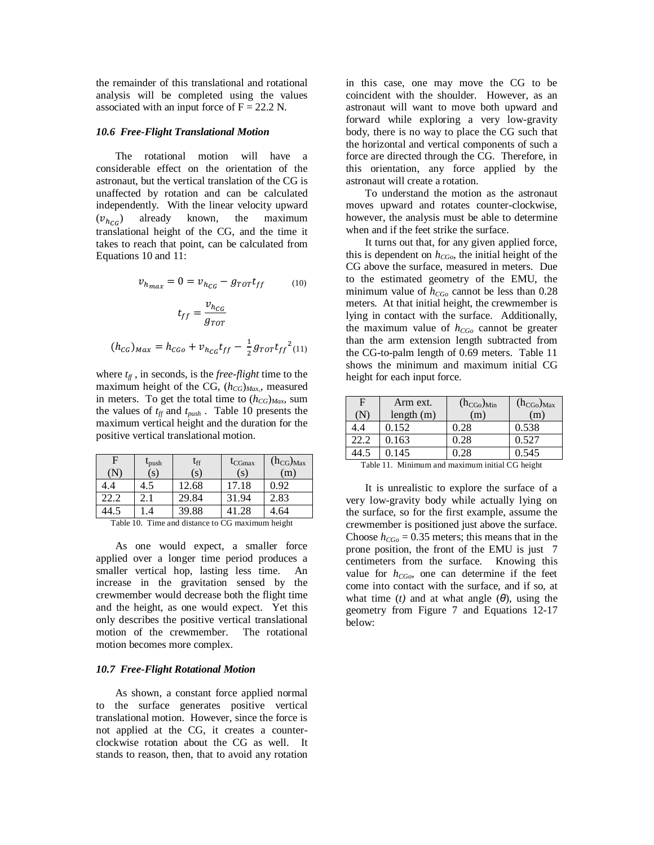the remainder of this translational and rotational analysis will be completed using the values associated with an input force of  $F = 22.2$  N.

#### *10.6 Free-Flight Translational Motion*

The rotational motion will have a considerable effect on the orientation of the astronaut, but the vertical translation of the CG is unaffected by rotation and can be calculated independently. With the linear velocity upward  $(v_{h_{CG}})$  already known, the maximum translational height of the CG, and the time it takes to reach that point, can be calculated from Equations 10 and 11:

$$
v_{h_{max}} = 0 = v_{h_{CG}} - g_{TOT}t_{ff}
$$
\n
$$
t_{ff} = \frac{v_{h_{CG}}}{g_{TOT}}
$$
\n(10)

$$
(h_{CG})_{Max} = h_{CGo} + v_{h_{CG}} t_{ff} - \frac{1}{2} g_{TOT} t_{ff}^{2} (11)
$$

where  $t_f$ , in seconds, is the *free-flight* time to the maximum height of the CG, (*hCG*)*Max,*, measured in meters. To get the total time to  $(h_{CG})_{Max}$ , sum the values of *tff* and *tpush* . Table 10 presents the maximum vertical height and the duration for the positive vertical translational motion.

| F    | $t_{\rm push}$<br>(s) | $t_{\rm ff}$<br>(s) | $t_{CGmax}$<br>$(\mathbf{s})$ | $(h_{CG})_{Max}$<br>(m) |
|------|-----------------------|---------------------|-------------------------------|-------------------------|
| 4.4  | 4.)                   | 12.68               | 17.18                         | 0.92                    |
| 22.2 | 2.1                   | 29.84               | 31.94                         | 2.83                    |
|      | .4                    | 39.88               | 41.28                         | 4.64                    |

Table 10. Time and distance to CG maximum height

As one would expect, a smaller force applied over a longer time period produces a smaller vertical hop, lasting less time. An increase in the gravitation sensed by the crewmember would decrease both the flight time and the height, as one would expect. Yet this only describes the positive vertical translational motion of the crewmember. The rotational motion becomes more complex.

### *10.7 Free-Flight Rotational Motion*

As shown, a constant force applied normal to the surface generates positive vertical translational motion. However, since the force is not applied at the CG, it creates a counterclockwise rotation about the CG as well. It stands to reason, then, that to avoid any rotation

in this case, one may move the CG to be coincident with the shoulder. However, as an astronaut will want to move both upward and forward while exploring a very low-gravity body, there is no way to place the CG such that the horizontal and vertical components of such a force are directed through the CG. Therefore, in this orientation, any force applied by the astronaut will create a rotation.

To understand the motion as the astronaut moves upward and rotates counter-clockwise, however, the analysis must be able to determine when and if the feet strike the surface.

It turns out that, for any given applied force, this is dependent on  $h_{CGo}$ , the initial height of the CG above the surface, measured in meters. Due to the estimated geometry of the EMU, the minimum value of *hCGo* cannot be less than 0.28 meters. At that initial height, the crewmember is lying in contact with the surface. Additionally, the maximum value of *hCGo* cannot be greater than the arm extension length subtracted from the CG-to-palm length of 0.69 meters. Table 11 shows the minimum and maximum initial CG height for each input force.

| F    | Arm ext.     | $(h_{CGo})_{Min}$ | $(h_{CGo})_{Max}$ |
|------|--------------|-------------------|-------------------|
| IN.  | length $(m)$ | (m)               | (m)               |
|      | 0.152        | 0.28              | 0.538             |
| 22.2 | 0.163        | 0.28              | 0.527             |
|      | 0.145        | 0.28              | 0.545             |

Table 11. Minimum and maximum initial CG height

It is unrealistic to explore the surface of a very low-gravity body while actually lying on the surface, so for the first example, assume the crewmember is positioned just above the surface. Choose  $h_{CGO} = 0.35$  meters; this means that in the prone position, the front of the EMU is just 7 centimeters from the surface. Knowing this value for  $h_{CGO}$ , one can determine if the feet come into contact with the surface, and if so, at what time (*t*) and at what angle  $(\theta)$ , using the geometry from Figure 7 and Equations 12-17 below: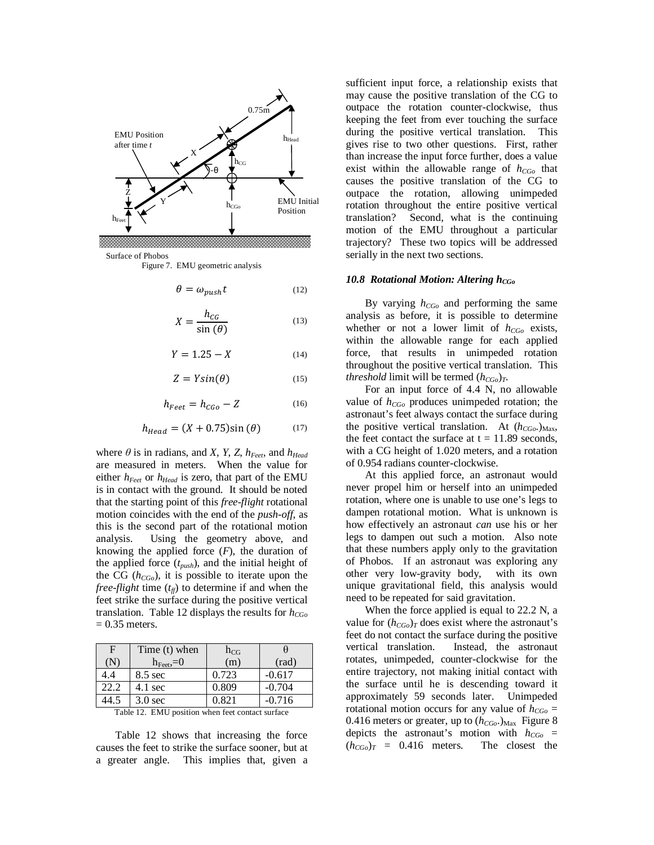

Surface of Phobos

Figure 7. EMU geometric analysis

$$
\theta = \omega_{push} t \tag{12}
$$

$$
X = \frac{h_{CG}}{\sin(\theta)}\tag{13}
$$

$$
Y = 1.25 - X \tag{14}
$$

$$
Z = Y\sin(\theta) \tag{15}
$$

$$
h_{Feet} = h_{CGo} - Z \tag{16}
$$

$$
h_{Head} = (X + 0.75)\sin(\theta) \tag{17}
$$

where  $\theta$  is in radians, and *X*, *Y*, *Z*,  $h_{\text{Feet}}$ , and  $h_{\text{Head}}$ are measured in meters. When the value for either  $h_{\text{Feet}}$  or  $h_{\text{Head}}$  is zero, that part of the EMU is in contact with the ground. It should be noted that the starting point of this *free-flight* rotational motion coincides with the end of the *push-off*, as this is the second part of the rotational motion analysis. Using the geometry above, and knowing the applied force  $(F)$ , the duration of the applied force (*tpush*), and the initial height of the CG (*hCGo*), it is possible to iterate upon the *free-flight* time  $(t_f)$  to determine if and when the feet strike the surface during the positive vertical translation. Table 12 displays the results for *hCGo*  $= 0.35$  meters.

| Time (t) when       | $h_{CG}$ |                |
|---------------------|----------|----------------|
| $h_{\text{Feet}}=0$ | (m)      | $\text{(rad)}$ |
| $8.5 \text{ sec}$   | 0.723    | $-0.617$       |
| $4.1 \text{ sec}$   | 0.809    | $-0.704$       |
| $3.0$ sec           | 0.821    | $-0.716$       |
|                     |          |                |

Table 12. EMU position when feet contact surface

Table 12 shows that increasing the force causes the feet to strike the surface sooner, but at a greater angle. This implies that, given a

sufficient input force, a relationship exists that may cause the positive translation of the CG to outpace the rotation counter-clockwise, thus keeping the feet from ever touching the surface during the positive vertical translation. This gives rise to two other questions. First, rather than increase the input force further, does a value exist within the allowable range of  $h_{CGO}$  that causes the positive translation of the CG to outpace the rotation, allowing unimpeded rotation throughout the entire positive vertical translation? Second, what is the continuing motion of the EMU throughout a particular trajectory? These two topics will be addressed serially in the next two sections.

#### *10.8 Rotational Motion: Altering hCGo*

By varying *hCGo* and performing the same analysis as before, it is possible to determine whether or not a lower limit of *hCGo* exists, within the allowable range for each applied force, that results in unimpeded rotation throughout the positive vertical translation. This *threshold* limit will be termed  $(h_{CGo})_T$ .

For an input force of 4.4 N, no allowable value of *hCGo* produces unimpeded rotation; the astronaut's feet always contact the surface during the positive vertical translation. At  $(h_{CGo})_{\text{Max}}$ , the feet contact the surface at  $t = 11.89$  seconds, with a CG height of 1.020 meters, and a rotation of 0.954 radians counter-clockwise.

At this applied force, an astronaut would never propel him or herself into an unimpeded rotation, where one is unable to use one's legs to dampen rotational motion. What is unknown is how effectively an astronaut *can* use his or her legs to dampen out such a motion. Also note that these numbers apply only to the gravitation of Phobos. If an astronaut was exploring any other very low-gravity body, with its own unique gravitational field, this analysis would need to be repeated for said gravitation.

When the force applied is equal to 22.2 N, a value for  $(h_{CGo})_T$  does exist where the astronaut's feet do not contact the surface during the positive vertical translation. Instead, the astronaut rotates, unimpeded, counter-clockwise for the entire trajectory, not making initial contact with the surface until he is descending toward it approximately 59 seconds later. Unimpeded rotational motion occurs for any value of  $h_{CGO}$  = 0.416 meters or greater, up to  $(h_{CGo})_{\text{Max}}$  Figure 8 depicts the astronaut's motion with *hCGo* =  $(h_{CGo})_T = 0.416$  meters. The closest the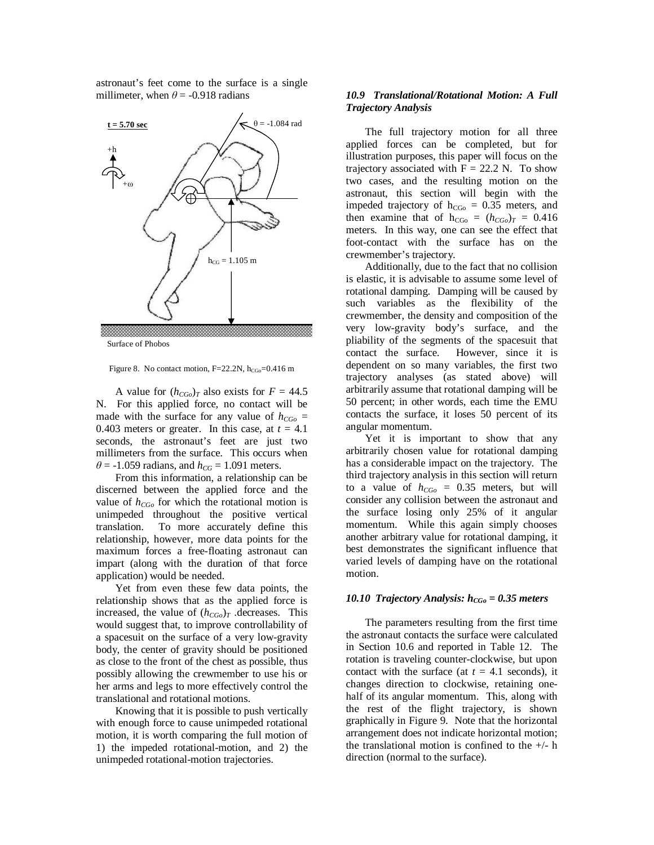astronaut's feet come to the surface is a single millimeter, when  $\theta$  = -0.918 radians



Surface of Phobos

Figure 8. No contact motion,  $F=22.2N$ ,  $h_{CGo}=0.416$  m

A value for  $(h_{CGo})_T$  also exists for  $F = 44.5$ N. For this applied force, no contact will be made with the surface for any value of  $h_{CGO}$  = 0.403 meters or greater. In this case, at  $t = 4.1$ seconds, the astronaut's feet are just two millimeters from the surface. This occurs when  $\theta$  = -1.059 radians, and  $h_{CG}$  = 1.091 meters.

From this information, a relationship can be discerned between the applied force and the value of  $h_{CGo}$  for which the rotational motion is unimpeded throughout the positive vertical translation. To more accurately define this relationship, however, more data points for the maximum forces a free-floating astronaut can impart (along with the duration of that force application) would be needed.

Yet from even these few data points, the relationship shows that as the applied force is increased, the value of  $(h_{CGo})_T$  decreases. This would suggest that, to improve controllability of a spacesuit on the surface of a very low-gravity body, the center of gravity should be positioned as close to the front of the chest as possible, thus possibly allowing the crewmember to use his or her arms and legs to more effectively control the translational and rotational motions.

Knowing that it is possible to push vertically with enough force to cause unimpeded rotational motion, it is worth comparing the full motion of 1) the impeded rotational-motion, and 2) the unimpeded rotational-motion trajectories.

### *10.9 Translational/Rotational Motion: A Full Trajectory Analysis*

The full trajectory motion for all three applied forces can be completed, but for illustration purposes, this paper will focus on the trajectory associated with  $F = 22.2$  N. To show two cases, and the resulting motion on the astronaut, this section will begin with the impeded trajectory of  $h_{CGo} = 0.35$  meters, and then examine that of  $h_{CGo} = (h_{CGo})_T = 0.416$ meters. In this way, one can see the effect that foot-contact with the surface has on the crewmember's trajectory.

Additionally, due to the fact that no collision is elastic, it is advisable to assume some level of rotational damping. Damping will be caused by such variables as the flexibility of the crewmember, the density and composition of the very low-gravity body's surface, and the pliability of the segments of the spacesuit that contact the surface. However, since it is dependent on so many variables, the first two trajectory analyses (as stated above) will arbitrarily assume that rotational damping will be 50 percent; in other words, each time the EMU contacts the surface, it loses 50 percent of its angular momentum.

Yet it is important to show that any arbitrarily chosen value for rotational damping has a considerable impact on the trajectory. The third trajectory analysis in this section will return to a value of  $h_{CGO} = 0.35$  meters, but will consider any collision between the astronaut and the surface losing only 25% of it angular momentum. While this again simply chooses another arbitrary value for rotational damping, it best demonstrates the significant influence that varied levels of damping have on the rotational motion.

### *10.10 Trajectory Analysis:*  $h_{CGo} = 0.35$  *meters*

The parameters resulting from the first time the astronaut contacts the surface were calculated in Section 10.6 and reported in Table 12. The rotation is traveling counter-clockwise, but upon contact with the surface (at  $t = 4.1$  seconds), it changes direction to clockwise, retaining onehalf of its angular momentum. This, along with the rest of the flight trajectory, is shown graphically in Figure 9. Note that the horizontal arrangement does not indicate horizontal motion; the translational motion is confined to the  $+/-$  h direction (normal to the surface).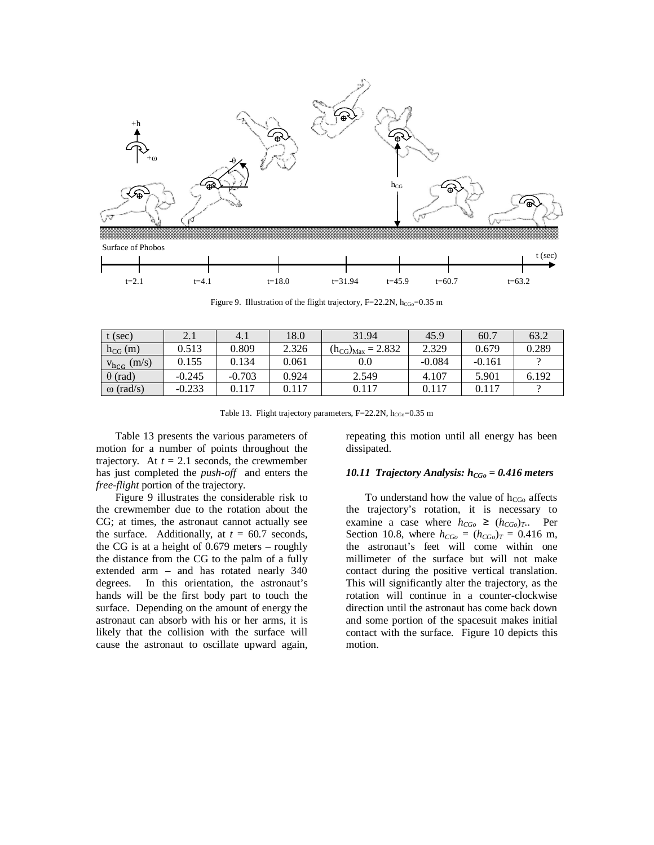

Figure 9. Illustration of the flight trajectory,  $F=22.2N$ ,  $h_{CGO}=0.35$  m

| t (sec)            | 2.1      | 4.1      | 18.0  | 31.94                    | 45.9     | 60.7     | 63.2  |
|--------------------|----------|----------|-------|--------------------------|----------|----------|-------|
| $h_{CG}(m)$        | 0.513    | 0.809    | 2.326 | $(h_{CG})_{Max} = 2.832$ | 2.329    | 0.679    | 0.289 |
| $v_{h_{CG}}$ (m/s) | 0.155    | 0.134    | 0.061 | 0.0                      | $-0.084$ | $-0.161$ |       |
| $\theta$ (rad)     | $-0.245$ | $-0.703$ | 0.924 | 2.549                    | 4.107    | 5.901    | 6.192 |
| $\omega$ (rad/s)   | $-0.233$ | 0.117    | 0.117 | 0.117                    | 0.117    | 0.117    |       |

Table 13. Flight trajectory parameters,  $F=22.2N$ ,  $h_{CGo}=0.35$  m

Table 13 presents the various parameters of motion for a number of points throughout the trajectory. At  $t = 2.1$  seconds, the crewmember has just completed the *push-off* and enters the *free-flight* portion of the trajectory.

Figure 9 illustrates the considerable risk to the crewmember due to the rotation about the CG; at times, the astronaut cannot actually see the surface. Additionally, at  $t = 60.7$  seconds, the CG is at a height of 0.679 meters – roughly the distance from the CG to the palm of a fully extended arm – and has rotated nearly 340 degrees. In this orientation, the astronaut's hands will be the first body part to touch the surface. Depending on the amount of energy the astronaut can absorb with his or her arms, it is likely that the collision with the surface will cause the astronaut to oscillate upward again, repeating this motion until all energy has been dissipated.

### *10.11 Trajectory Analysis:*  $h_{CGO} = 0.416$  *meters*

To understand how the value of  $h_{CGo}$  affects the trajectory's rotation, it is necessary to examine a case where  $h_{CGo} \ge (h_{CGo})_T$ .. Per Section 10.8, where  $h_{CGo} = (h_{CGo})_T = 0.416$  m, the astronaut's feet will come within one millimeter of the surface but will not make contact during the positive vertical translation. This will significantly alter the trajectory, as the rotation will continue in a counter-clockwise direction until the astronaut has come back down and some portion of the spacesuit makes initial contact with the surface. Figure 10 depicts this motion.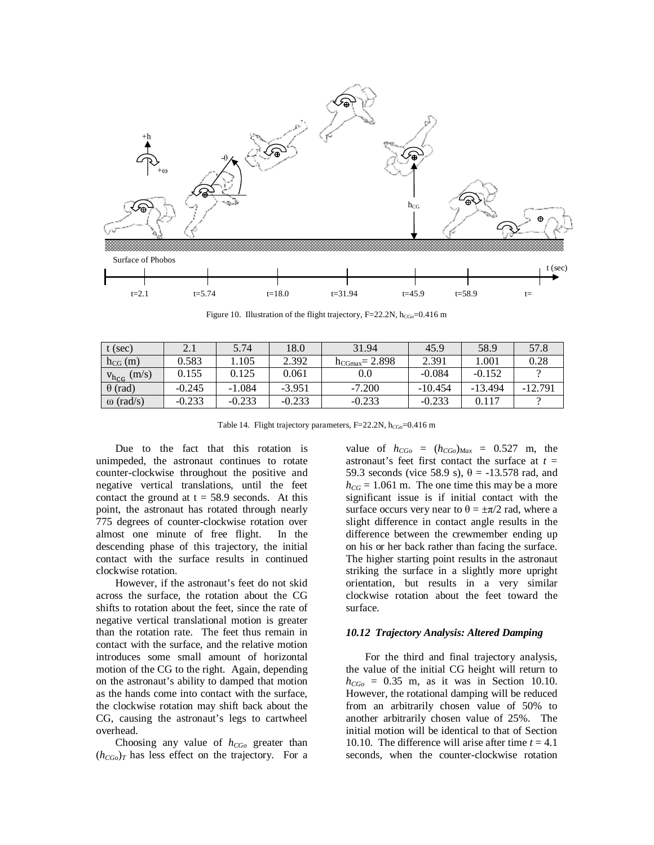

Figure 10. Illustration of the flight trajectory, F=22.2N,  $h_{CGo}=0.416$  m

| $t$ (sec)             |          | 5.74     | 18.0     | 31.94               | 45.9      | 58.9      | 57.8      |
|-----------------------|----------|----------|----------|---------------------|-----------|-----------|-----------|
| $h_{CG}$ (m)          | 0.583    | 1.105    | 2.392    | $h_{CGmax} = 2.898$ | 2.391     | 1.001     | 0.28      |
| (m/s)<br>$V_{h_{CG}}$ | 0.155    | 0.125    | 0.061    | $0.0\,$             | $-0.084$  | $-0.152$  |           |
| $\theta$ (rad)        | $-0.245$ | $-1.084$ | $-3.951$ | $-7.200$            | $-10.454$ | $-13.494$ | $-12.791$ |
| $\omega$ (rad/s)      | $-0.233$ | $-0.233$ | $-0.233$ | $-0.233$            | $-0.233$  | 0.117     |           |

Table 14. Flight trajectory parameters,  $F=22.2N$ ,  $h_{CGO}=0.416$  m

Due to the fact that this rotation is unimpeded, the astronaut continues to rotate counter-clockwise throughout the positive and negative vertical translations, until the feet contact the ground at  $t = 58.9$  seconds. At this point, the astronaut has rotated through nearly 775 degrees of counter-clockwise rotation over almost one minute of free flight. In the descending phase of this trajectory, the initial contact with the surface results in continued clockwise rotation.

However, if the astronaut's feet do not skid across the surface, the rotation about the CG shifts to rotation about the feet, since the rate of negative vertical translational motion is greater than the rotation rate. The feet thus remain in contact with the surface, and the relative motion introduces some small amount of horizontal motion of the CG to the right. Again, depending on the astronaut's ability to damped that motion as the hands come into contact with the surface, the clockwise rotation may shift back about the CG, causing the astronaut's legs to cartwheel overhead.

Choosing any value of *hCGo* greater than  $(h_{CGo})$ <sub>T</sub> has less effect on the trajectory. For a

value of  $h_{CGo} = (h_{CGo})_{Max} = 0.527$  m, the astronaut's feet first contact the surface at *t* = 59.3 seconds (vice 58.9 s),  $\theta$  = -13.578 rad, and  $h_{CG} = 1.061$  m. The one time this may be a more significant issue is if initial contact with the surface occurs very near to  $\theta = \pm \pi/2$  rad, where a slight difference in contact angle results in the difference between the crewmember ending up on his or her back rather than facing the surface. The higher starting point results in the astronaut striking the surface in a slightly more upright orientation, but results in a very similar clockwise rotation about the feet toward the surface.

#### *10.12 Trajectory Analysis: Altered Damping*

For the third and final trajectory analysis, the value of the initial CG height will return to  $h_{CGO}$  = 0.35 m, as it was in Section 10.10. However, the rotational damping will be reduced from an arbitrarily chosen value of 50% to another arbitrarily chosen value of 25%. The initial motion will be identical to that of Section 10.10. The difference will arise after time  $t = 4.1$ seconds, when the counter-clockwise rotation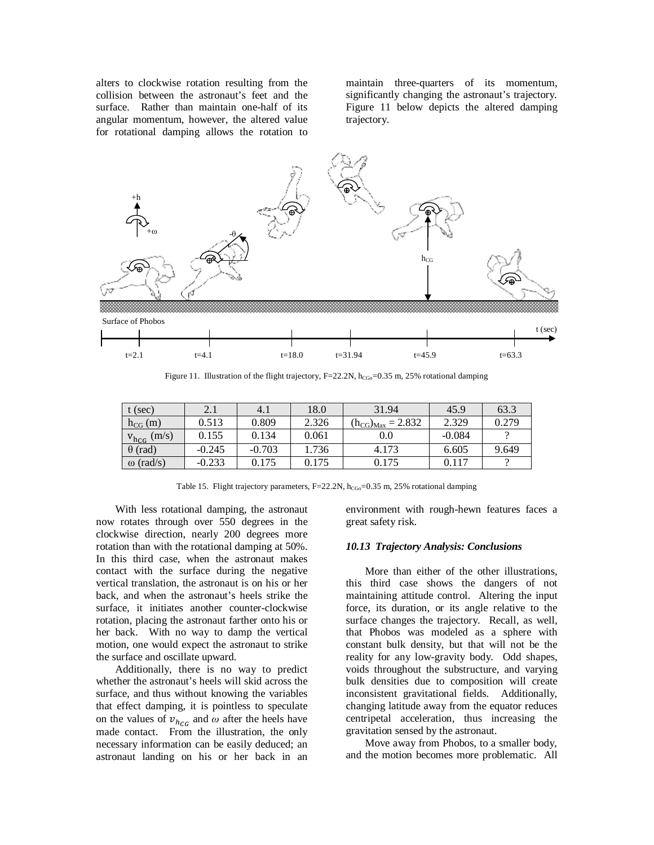alters to clockwise rotation resulting from the collision between the astronaut's feet and the surface. Rather than maintain one-half of its angular momentum, however, the altered value for rotational damping allows the rotation to maintain three-quarters of its momentum, significantly changing the astronaut's trajectory. Figure 11 below depicts the altered damping trajectory.



Figure 11. Illustration of the flight trajectory, F=22.2N, h<sub>CGo</sub>=0.35 m, 25% rotational damping

| t (sec)               | 2.1      | 4. I     | 18.0  | 31.94                         | 45.9     | 63.3  |
|-----------------------|----------|----------|-------|-------------------------------|----------|-------|
| $h_{CG}(m)$           | 0.513    | 0.809    | 2.326 | $= 2.832$<br>$(h_{CG})_{Max}$ | 2.329    | 0.279 |
| (m/s)<br>$V_{h_{CG}}$ | 0.155    | 0.134    | 0.061 | 0.0                           | $-0.084$ |       |
| $\theta$ (rad)        | $-0.245$ | $-0.703$ | 1.736 | 4.173                         | 6.605    | 9.649 |
| $\omega$ (rad/s)      | $-0.233$ | 0.175    | 0.175 | 0.175                         | 0.117    |       |

Table 15. Flight trajectory parameters, F=22.2N, h<sub>CGo</sub>=0.35 m, 25% rotational damping

With less rotational damping, the astronaut now rotates through over 550 degrees in the clockwise direction, nearly 200 degrees more rotation than with the rotational damping at 50%. In this third case, when the astronaut makes contact with the surface during the negative vertical translation, the astronaut is on his or her back, and when the astronaut's heels strike the surface, it initiates another counter-clockwise rotation, placing the astronaut farther onto his or her back. With no way to damp the vertical motion, one would expect the astronaut to strike the surface and oscillate upward.

Additionally, there is no way to predict whether the astronaut's heels will skid across the surface, and thus without knowing the variables that effect damping, it is pointless to speculate on the values of  $v_{h_{CG}}$  and  $\omega$  after the heels have made contact. From the illustration, the only necessary information can be easily deduced; an astronaut landing on his or her back in an

environment with rough-hewn features faces a great safety risk.

#### *10.13 Trajectory Analysis: Conclusions*

More than either of the other illustrations, this third case shows the dangers of not maintaining attitude control. Altering the input force, its duration, or its angle relative to the surface changes the trajectory. Recall, as well, that Phobos was modeled as a sphere with constant bulk density, but that will not be the reality for any low-gravity body. Odd shapes, voids throughout the substructure, and varying bulk densities due to composition will create inconsistent gravitational fields. Additionally, changing latitude away from the equator reduces centripetal acceleration, thus increasing the gravitation sensed by the astronaut.

Move away from Phobos, to a smaller body, and the motion becomes more problematic. All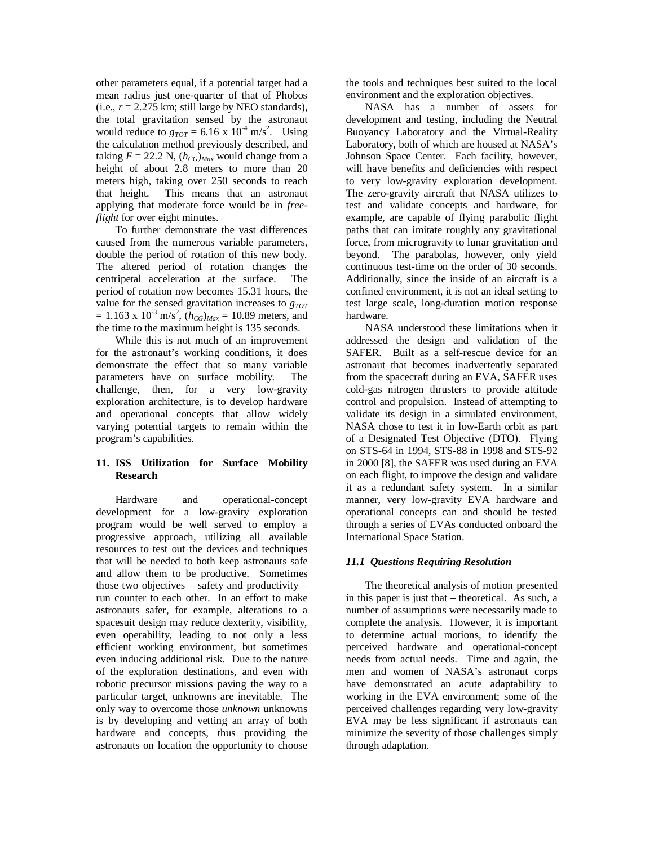other parameters equal, if a potential target had a mean radius just one-quarter of that of Phobos (i.e.,  $r = 2.275$  km; still large by NEO standards), the total gravitation sensed by the astronaut would reduce to  $g_{TOT} = 6.16 \times 10^{-4} \text{ m/s}^2$ . Using the calculation method previously described, and taking  $F = 22.2$  N,  $(h_{CG})_{Max}$  would change from a height of about 2.8 meters to more than 20 meters high, taking over 250 seconds to reach that height. This means that an astronaut applying that moderate force would be in *freeflight* for over eight minutes.

To further demonstrate the vast differences caused from the numerous variable parameters, double the period of rotation of this new body. The altered period of rotation changes the centripetal acceleration at the surface. The period of rotation now becomes 15.31 hours, the value for the sensed gravitation increases to *gTOT*  $= 1.163$  x  $10^{-3}$  m/s<sup>2</sup>,  $(h_{CG})_{Max} = 10.89$  meters, and the time to the maximum height is 135 seconds.

While this is not much of an improvement for the astronaut's working conditions, it does demonstrate the effect that so many variable parameters have on surface mobility. The challenge, then, for a very low-gravity exploration architecture, is to develop hardware and operational concepts that allow widely varying potential targets to remain within the program's capabilities.

## **11. ISS Utilization for Surface Mobility Research**

Hardware and operational-concept development for a low-gravity exploration program would be well served to employ a progressive approach, utilizing all available resources to test out the devices and techniques that will be needed to both keep astronauts safe and allow them to be productive. Sometimes those two objectives  $-$  safety and productivity  $$ run counter to each other. In an effort to make astronauts safer, for example, alterations to a spacesuit design may reduce dexterity, visibility, even operability, leading to not only a less efficient working environment, but sometimes even inducing additional risk. Due to the nature of the exploration destinations, and even with robotic precursor missions paving the way to a particular target, unknowns are inevitable. The only way to overcome those *unknown* unknowns is by developing and vetting an array of both hardware and concepts, thus providing the astronauts on location the opportunity to choose the tools and techniques best suited to the local environment and the exploration objectives.

NASA has a number of assets for development and testing, including the Neutral Buoyancy Laboratory and the Virtual-Reality Laboratory, both of which are housed at NASA's Johnson Space Center. Each facility, however, will have benefits and deficiencies with respect to very low-gravity exploration development. The zero-gravity aircraft that NASA utilizes to test and validate concepts and hardware, for example, are capable of flying parabolic flight paths that can imitate roughly any gravitational force, from microgravity to lunar gravitation and beyond. The parabolas, however, only yield continuous test-time on the order of 30 seconds. Additionally, since the inside of an aircraft is a confined environment, it is not an ideal setting to test large scale, long-duration motion response hardware.

NASA understood these limitations when it addressed the design and validation of the SAFER. Built as a self-rescue device for an astronaut that becomes inadvertently separated from the spacecraft during an EVA, SAFER uses cold-gas nitrogen thrusters to provide attitude control and propulsion. Instead of attempting to validate its design in a simulated environment, NASA chose to test it in low-Earth orbit as part of a Designated Test Objective (DTO). Flying on STS-64 in 1994, STS-88 in 1998 and STS-92 in 2000 [8], the SAFER was used during an EVA on each flight, to improve the design and validate it as a redundant safety system. In a similar manner, very low-gravity EVA hardware and operational concepts can and should be tested through a series of EVAs conducted onboard the International Space Station.

## *11.1 Questions Requiring Resolution*

The theoretical analysis of motion presented in this paper is just that – theoretical. As such, a number of assumptions were necessarily made to complete the analysis. However, it is important to determine actual motions, to identify the perceived hardware and operational-concept needs from actual needs. Time and again, the men and women of NASA's astronaut corps have demonstrated an acute adaptability to working in the EVA environment; some of the perceived challenges regarding very low-gravity EVA may be less significant if astronauts can minimize the severity of those challenges simply through adaptation.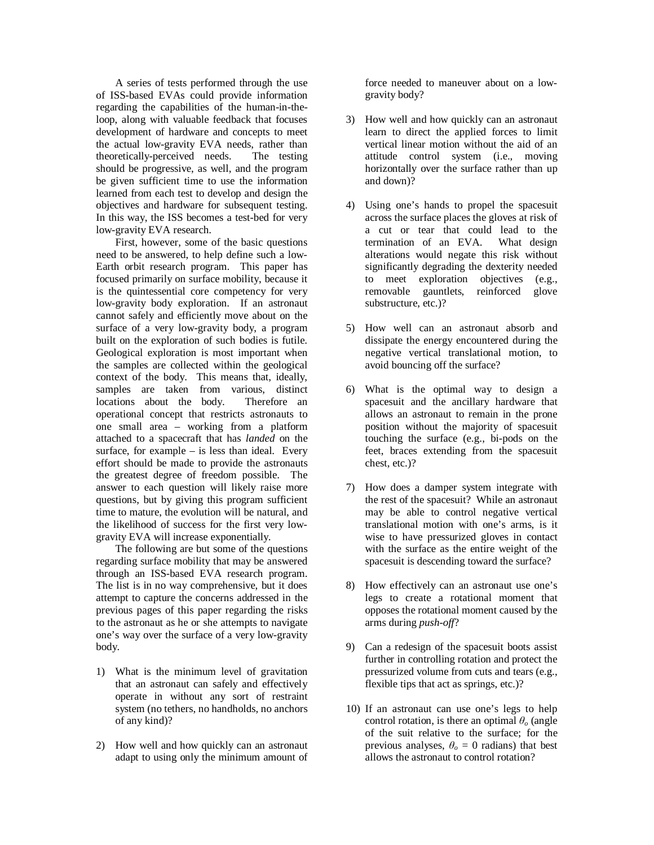A series of tests performed through the use of ISS-based EVAs could provide information regarding the capabilities of the human-in-theloop, along with valuable feedback that focuses development of hardware and concepts to meet the actual low-gravity EVA needs, rather than theoretically-perceived needs. The testing should be progressive, as well, and the program be given sufficient time to use the information learned from each test to develop and design the objectives and hardware for subsequent testing. In this way, the ISS becomes a test-bed for very low-gravity EVA research.

First, however, some of the basic questions need to be answered, to help define such a low-Earth orbit research program. This paper has focused primarily on surface mobility, because it is the quintessential core competency for very low-gravity body exploration. If an astronaut cannot safely and efficiently move about on the surface of a very low-gravity body, a program built on the exploration of such bodies is futile. Geological exploration is most important when the samples are collected within the geological context of the body. This means that, ideally, samples are taken from various, distinct locations about the body. Therefore an operational concept that restricts astronauts to one small area – working from a platform attached to a spacecraft that has *landed* on the surface, for example  $-$  is less than ideal. Every effort should be made to provide the astronauts the greatest degree of freedom possible. The answer to each question will likely raise more questions, but by giving this program sufficient time to mature, the evolution will be natural, and the likelihood of success for the first very lowgravity EVA will increase exponentially.

The following are but some of the questions regarding surface mobility that may be answered through an ISS-based EVA research program. The list is in no way comprehensive, but it does attempt to capture the concerns addressed in the previous pages of this paper regarding the risks to the astronaut as he or she attempts to navigate one's way over the surface of a very low-gravity body.

- 1) What is the minimum level of gravitation that an astronaut can safely and effectively operate in without any sort of restraint system (no tethers, no handholds, no anchors of any kind)?
- 2) How well and how quickly can an astronaut adapt to using only the minimum amount of

force needed to maneuver about on a lowgravity body?

- 3) How well and how quickly can an astronaut learn to direct the applied forces to limit vertical linear motion without the aid of an attitude control system (i.e., moving horizontally over the surface rather than up and down)?
- 4) Using one's hands to propel the spacesuit across the surface places the gloves at risk of a cut or tear that could lead to the termination of an EVA. What design alterations would negate this risk without significantly degrading the dexterity needed to meet exploration objectives (e.g., removable gauntlets, reinforced glove substructure, etc.)?
- 5) How well can an astronaut absorb and dissipate the energy encountered during the negative vertical translational motion, to avoid bouncing off the surface?
- 6) What is the optimal way to design a spacesuit and the ancillary hardware that allows an astronaut to remain in the prone position without the majority of spacesuit touching the surface (e.g., bi-pods on the feet, braces extending from the spacesuit chest, etc.)?
- 7) How does a damper system integrate with the rest of the spacesuit? While an astronaut may be able to control negative vertical translational motion with one's arms, is it wise to have pressurized gloves in contact with the surface as the entire weight of the spacesuit is descending toward the surface?
- 8) How effectively can an astronaut use one's legs to create a rotational moment that opposes the rotational moment caused by the arms during *push-off*?
- 9) Can a redesign of the spacesuit boots assist further in controlling rotation and protect the pressurized volume from cuts and tears (e.g., flexible tips that act as springs, etc.)?
- 10) If an astronaut can use one's legs to help control rotation, is there an optimal  $\theta$ <sup>*o*</sup> (angle of the suit relative to the surface; for the previous analyses,  $\theta_o = 0$  radians) that best allows the astronaut to control rotation?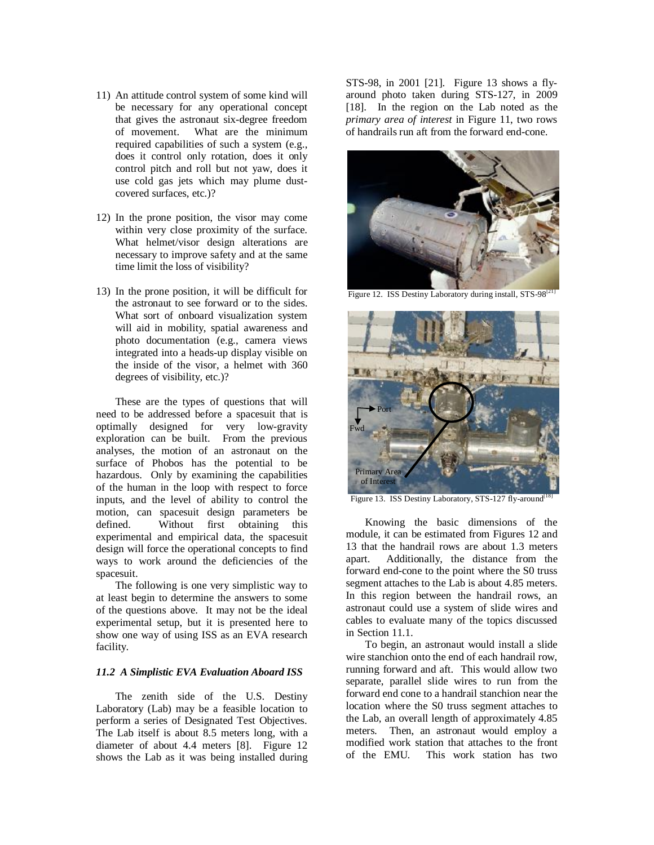- 11) An attitude control system of some kind will be necessary for any operational concept that gives the astronaut six-degree freedom of movement. What are the minimum required capabilities of such a system (e.g., does it control only rotation, does it only control pitch and roll but not yaw, does it use cold gas jets which may plume dustcovered surfaces, etc.)?
- 12) In the prone position, the visor may come within very close proximity of the surface. What helmet/visor design alterations are necessary to improve safety and at the same time limit the loss of visibility?
- 13) In the prone position, it will be difficult for the astronaut to see forward or to the sides. What sort of onboard visualization system will aid in mobility, spatial awareness and photo documentation (e.g., camera views integrated into a heads-up display visible on the inside of the visor, a helmet with 360 degrees of visibility, etc.)?

These are the types of questions that will need to be addressed before a spacesuit that is optimally designed for very low-gravity exploration can be built. From the previous analyses, the motion of an astronaut on the surface of Phobos has the potential to be hazardous. Only by examining the capabilities of the human in the loop with respect to force inputs, and the level of ability to control the motion, can spacesuit design parameters be defined. Without first obtaining this experimental and empirical data, the spacesuit design will force the operational concepts to find ways to work around the deficiencies of the spacesuit.

The following is one very simplistic way to at least begin to determine the answers to some of the questions above. It may not be the ideal experimental setup, but it is presented here to show one way of using ISS as an EVA research facility.

### *11.2 A Simplistic EVA Evaluation Aboard ISS*

The zenith side of the U.S. Destiny Laboratory (Lab) may be a feasible location to perform a series of Designated Test Objectives. The Lab itself is about 8.5 meters long, with a diameter of about 4.4 meters [8]. Figure 12 shows the Lab as it was being installed during

STS-98, in 2001 [21]. Figure 13 shows a flyaround photo taken during STS-127, in 2009 [18]. In the region on the Lab noted as the *primary area of interest* in Figure 11, two rows of handrails run aft from the forward end-cone.



Figure 12. ISS Destiny Laboratory during install, STS-98<sup>[21</sup>]



Figure 13. ISS Destiny Laboratory, STS-127 fly-around<sup>[1</sup>

Knowing the basic dimensions of the module, it can be estimated from Figures 12 and 13 that the handrail rows are about 1.3 meters apart. Additionally, the distance from the forward end-cone to the point where the S0 truss segment attaches to the Lab is about 4.85 meters. In this region between the handrail rows, an astronaut could use a system of slide wires and cables to evaluate many of the topics discussed in Section 11.1.

To begin, an astronaut would install a slide wire stanchion onto the end of each handrail row, running forward and aft. This would allow two separate, parallel slide wires to run from the forward end cone to a handrail stanchion near the location where the S0 truss segment attaches to the Lab, an overall length of approximately 4.85 meters. Then, an astronaut would employ a modified work station that attaches to the front of the EMU. This work station has two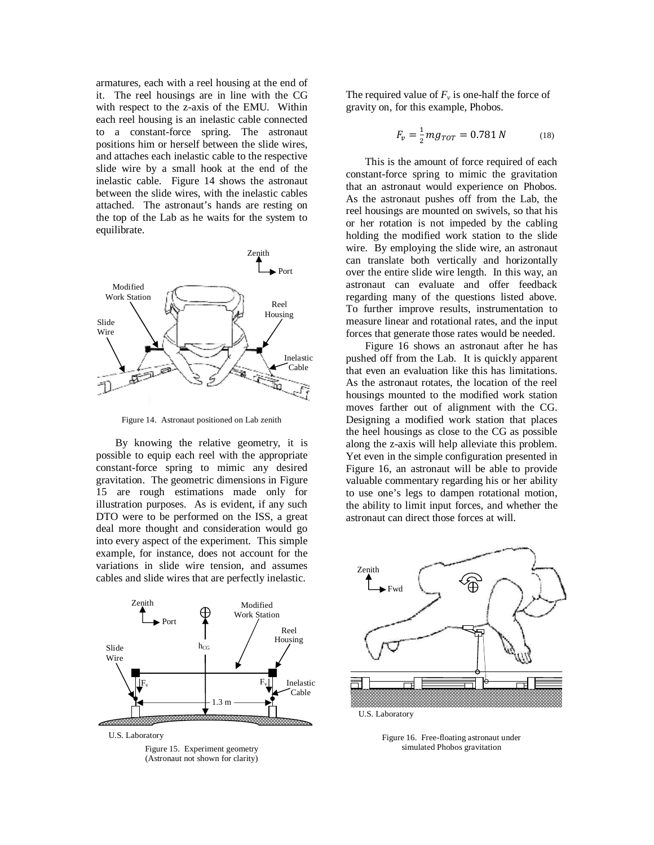armatures, each with a reel housing at the end of it. The reel housings are in line with the CG with respect to the z-axis of the EMU. Within each reel housing is an inelastic cable connected to a constant-force spring. The astronaut positions him or herself between the slide wires, and attaches each inelastic cable to the respective slide wire by a small hook at the end of the inelastic cable. Figure 14 shows the astronaut between the slide wires, with the inelastic cables attached. The astronaut's hands are resting on the top of the Lab as he waits for the system to equilibrate.



Figure 14. Astronaut positioned on Lab zenith

By knowing the relative geometry, it is possible to equip each reel with the appropriate constant-force spring to mimic any desired gravitation. The geometric dimensions in Figure 15 are rough estimations made only for illustration purposes. As is evident, if any such DTO were to be performed on the ISS, a great deal more thought and consideration would go into every aspect of the experiment. This simple example, for instance, does not account for the variations in slide wire tension, and assumes cables and slide wires that are perfectly inelastic.





The required value of  $F_\nu$  is one-half the force of gravity on, for this example, Phobos.

$$
F_v = \frac{1}{2} m g_{TOT} = 0.781 N \tag{18}
$$

This is the amount of force required of each constant-force spring to mimic the gravitation that an astronaut would experience on Phobos. As the astronaut pushes off from the Lab, the reel housings are mounted on swivels, so that his or her rotation is not impeded by the cabling holding the modified work station to the slide wire. By employing the slide wire, an astronaut can translate both vertically and horizontally over the entire slide wire length. In this way, an astronaut can evaluate and offer feedback regarding many of the questions listed above. To further improve results, instrumentation to measure linear and rotational rates, and the input forces that generate those rates would be needed.

Figure 16 shows an astronaut after he has pushed off from the Lab. It is quickly apparent that even an evaluation like this has limitations. As the astronaut rotates, the location of the reel housings mounted to the modified work station moves farther out of alignment with the CG. Designing a modified work station that places the heel housings as close to the CG as possible along the z-axis will help alleviate this problem. Yet even in the simple configuration presented in Figure 16, an astronaut will be able to provide valuable commentary regarding his or her ability to use one's legs to dampen rotational motion, the ability to limit input forces, and whether the astronaut can direct those forces at will.



U.S. Laboratory

Figure 16. Free-floating astronaut under simulated Phobos gravitation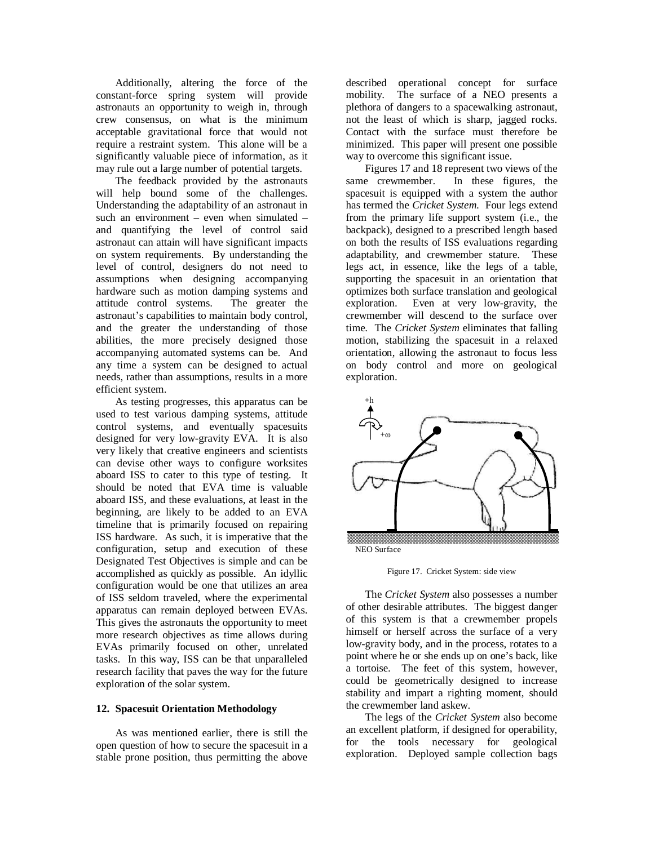Additionally, altering the force of the constant-force spring system will provide astronauts an opportunity to weigh in, through crew consensus, on what is the minimum acceptable gravitational force that would not require a restraint system. This alone will be a significantly valuable piece of information, as it may rule out a large number of potential targets.

The feedback provided by the astronauts will help bound some of the challenges. Understanding the adaptability of an astronaut in such an environment – even when simulated – and quantifying the level of control said astronaut can attain will have significant impacts on system requirements. By understanding the level of control, designers do not need to assumptions when designing accompanying hardware such as motion damping systems and attitude control systems. The greater the astronaut's capabilities to maintain body control, and the greater the understanding of those abilities, the more precisely designed those accompanying automated systems can be. And any time a system can be designed to actual needs, rather than assumptions, results in a more efficient system.

As testing progresses, this apparatus can be used to test various damping systems, attitude control systems, and eventually spacesuits designed for very low-gravity EVA. It is also very likely that creative engineers and scientists can devise other ways to configure worksites aboard ISS to cater to this type of testing. It should be noted that EVA time is valuable aboard ISS, and these evaluations, at least in the beginning, are likely to be added to an EVA timeline that is primarily focused on repairing ISS hardware. As such, it is imperative that the configuration, setup and execution of these Designated Test Objectives is simple and can be accomplished as quickly as possible. An idyllic configuration would be one that utilizes an area of ISS seldom traveled, where the experimental apparatus can remain deployed between EVAs. This gives the astronauts the opportunity to meet more research objectives as time allows during EVAs primarily focused on other, unrelated tasks. In this way, ISS can be that unparalleled research facility that paves the way for the future exploration of the solar system.

#### **12. Spacesuit Orientation Methodology**

As was mentioned earlier, there is still the open question of how to secure the spacesuit in a stable prone position, thus permitting the above described operational concept for surface mobility. The surface of a NEO presents a plethora of dangers to a spacewalking astronaut, not the least of which is sharp, jagged rocks. Contact with the surface must therefore be minimized. This paper will present one possible way to overcome this significant issue.

Figures 17 and 18 represent two views of the same crewmember. In these figures, the spacesuit is equipped with a system the author has termed the *Cricket System*. Four legs extend from the primary life support system (i.e., the backpack), designed to a prescribed length based on both the results of ISS evaluations regarding adaptability, and crewmember stature. These legs act, in essence, like the legs of a table, supporting the spacesuit in an orientation that optimizes both surface translation and geological exploration. Even at very low-gravity, the crewmember will descend to the surface over time. The *Cricket System* eliminates that falling motion, stabilizing the spacesuit in a relaxed orientation, allowing the astronaut to focus less on body control and more on geological exploration.



Figure 17. Cricket System: side view

The *Cricket System* also possesses a number of other desirable attributes. The biggest danger of this system is that a crewmember propels himself or herself across the surface of a very low-gravity body, and in the process, rotates to a point where he or she ends up on one's back, like a tortoise. The feet of this system, however, could be geometrically designed to increase stability and impart a righting moment, should the crewmember land askew.

The legs of the *Cricket System* also become an excellent platform, if designed for operability, for the tools necessary for geological exploration. Deployed sample collection bags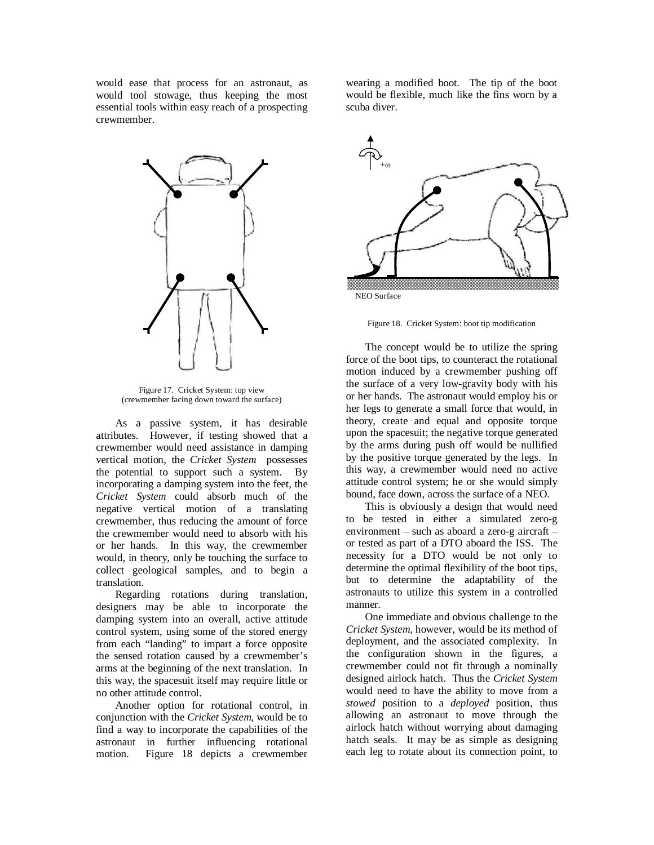would ease that process for an astronaut, as would tool stowage, thus keeping the most essential tools within easy reach of a prospecting crewmember.



Figure 17. Cricket System: top view (crewmember facing down toward the surface)

As a passive system, it has desirable attributes. However, if testing showed that a crewmember would need assistance in damping vertical motion, the *Cricket System* possesses the potential to support such a system. By incorporating a damping system into the feet, the *Cricket System* could absorb much of the negative vertical motion of a translating crewmember, thus reducing the amount of force the crewmember would need to absorb with his or her hands. In this way, the crewmember would, in theory, only be touching the surface to collect geological samples, and to begin a translation.

Regarding rotations during translation, designers may be able to incorporate the damping system into an overall, active attitude control system, using some of the stored energy from each "landing" to impart a force opposite the sensed rotation caused by a crewmember's arms at the beginning of the next translation. In this way, the spacesuit itself may require little or no other attitude control.

Another option for rotational control, in conjunction with the *Cricket System*, would be to find a way to incorporate the capabilities of the astronaut in further influencing rotational motion. Figure 18 depicts a crewmember

wearing a modified boot. The tip of the boot would be flexible, much like the fins worn by a scuba diver.



NEO Surface

Figure 18. Cricket System: boot tip modification

The concept would be to utilize the spring force of the boot tips, to counteract the rotational motion induced by a crewmember pushing off the surface of a very low-gravity body with his or her hands. The astronaut would employ his or her legs to generate a small force that would, in theory, create and equal and opposite torque upon the spacesuit; the negative torque generated by the arms during push off would be nullified by the positive torque generated by the legs. In this way, a crewmember would need no active attitude control system; he or she would simply bound, face down, across the surface of a NEO.

This is obviously a design that would need to be tested in either a simulated zero-g environment – such as aboard a zero-g aircraft – or tested as part of a DTO aboard the ISS. The necessity for a DTO would be not only to determine the optimal flexibility of the boot tips, but to determine the adaptability of the astronauts to utilize this system in a controlled manner.

One immediate and obvious challenge to the *Cricket System*, however, would be its method of deployment, and the associated complexity. In the configuration shown in the figures, a crewmember could not fit through a nominally designed airlock hatch. Thus the *Cricket System* would need to have the ability to move from a *stowed* position to a *deployed* position, thus allowing an astronaut to move through the airlock hatch without worrying about damaging hatch seals. It may be as simple as designing each leg to rotate about its connection point, to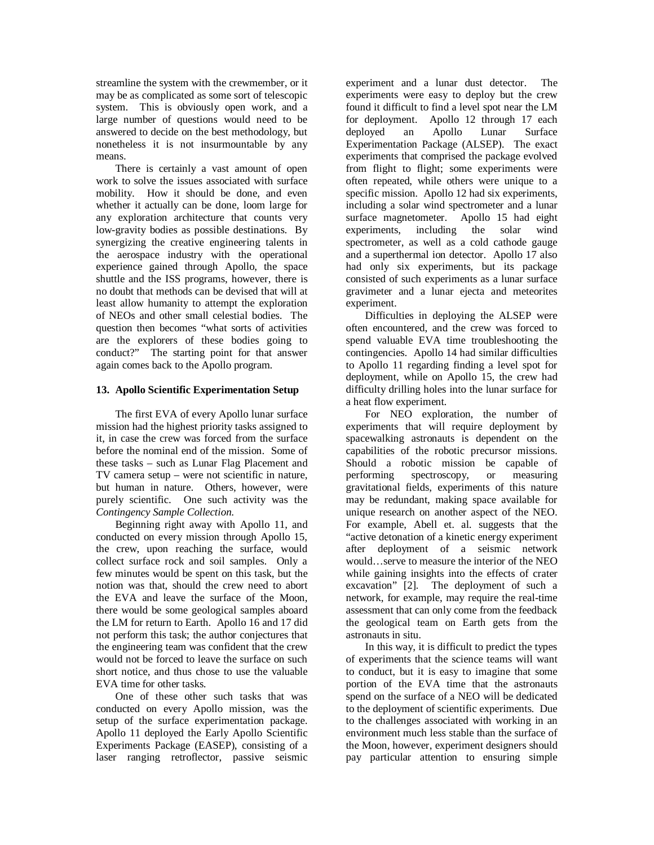streamline the system with the crewmember, or it may be as complicated as some sort of telescopic system. This is obviously open work, and a large number of questions would need to be answered to decide on the best methodology, but nonetheless it is not insurmountable by any means.

There is certainly a vast amount of open work to solve the issues associated with surface mobility. How it should be done, and even whether it actually can be done, loom large for any exploration architecture that counts very low-gravity bodies as possible destinations. By synergizing the creative engineering talents in the aerospace industry with the operational experience gained through Apollo, the space shuttle and the ISS programs, however, there is no doubt that methods can be devised that will at least allow humanity to attempt the exploration of NEOs and other small celestial bodies. The question then becomes "what sorts of activities are the explorers of these bodies going to conduct?" The starting point for that answer again comes back to the Apollo program.

### **13. Apollo Scientific Experimentation Setup**

The first EVA of every Apollo lunar surface mission had the highest priority tasks assigned to it, in case the crew was forced from the surface before the nominal end of the mission. Some of these tasks – such as Lunar Flag Placement and TV camera setup – were not scientific in nature, but human in nature. Others, however, were purely scientific. One such activity was the *Contingency Sample Collection*.

Beginning right away with Apollo 11, and conducted on every mission through Apollo 15, the crew, upon reaching the surface, would collect surface rock and soil samples. Only a few minutes would be spent on this task, but the notion was that, should the crew need to abort the EVA and leave the surface of the Moon, there would be some geological samples aboard the LM for return to Earth. Apollo 16 and 17 did not perform this task; the author conjectures that the engineering team was confident that the crew would not be forced to leave the surface on such short notice, and thus chose to use the valuable EVA time for other tasks.

One of these other such tasks that was conducted on every Apollo mission, was the setup of the surface experimentation package. Apollo 11 deployed the Early Apollo Scientific Experiments Package (EASEP), consisting of a laser ranging retroflector, passive seismic

experiment and a lunar dust detector. The experiments were easy to deploy but the crew found it difficult to find a level spot near the LM for deployment. Apollo 12 through 17 each deployed an Apollo Lunar Surface Experimentation Package (ALSEP). The exact experiments that comprised the package evolved from flight to flight; some experiments were often repeated, while others were unique to a specific mission. Apollo 12 had six experiments, including a solar wind spectrometer and a lunar surface magnetometer. Apollo 15 had eight experiments, including the solar wind spectrometer, as well as a cold cathode gauge and a superthermal ion detector. Apollo 17 also had only six experiments, but its package consisted of such experiments as a lunar surface gravimeter and a lunar ejecta and meteorites experiment.

Difficulties in deploying the ALSEP were often encountered, and the crew was forced to spend valuable EVA time troubleshooting the contingencies. Apollo 14 had similar difficulties to Apollo 11 regarding finding a level spot for deployment, while on Apollo 15, the crew had difficulty drilling holes into the lunar surface for a heat flow experiment.

For NEO exploration, the number of experiments that will require deployment by spacewalking astronauts is dependent on the capabilities of the robotic precursor missions. Should a robotic mission be capable of performing spectroscopy, or measuring gravitational fields, experiments of this nature may be redundant, making space available for unique research on another aspect of the NEO. For example, Abell et. al. suggests that the "active detonation of a kinetic energy experiment after deployment of a seismic network would…serve to measure the interior of the NEO while gaining insights into the effects of crater excavation" [2]. The deployment of such a network, for example, may require the real-time assessment that can only come from the feedback the geological team on Earth gets from the astronauts in situ.

In this way, it is difficult to predict the types of experiments that the science teams will want to conduct, but it is easy to imagine that some portion of the EVA time that the astronauts spend on the surface of a NEO will be dedicated to the deployment of scientific experiments. Due to the challenges associated with working in an environment much less stable than the surface of the Moon, however, experiment designers should pay particular attention to ensuring simple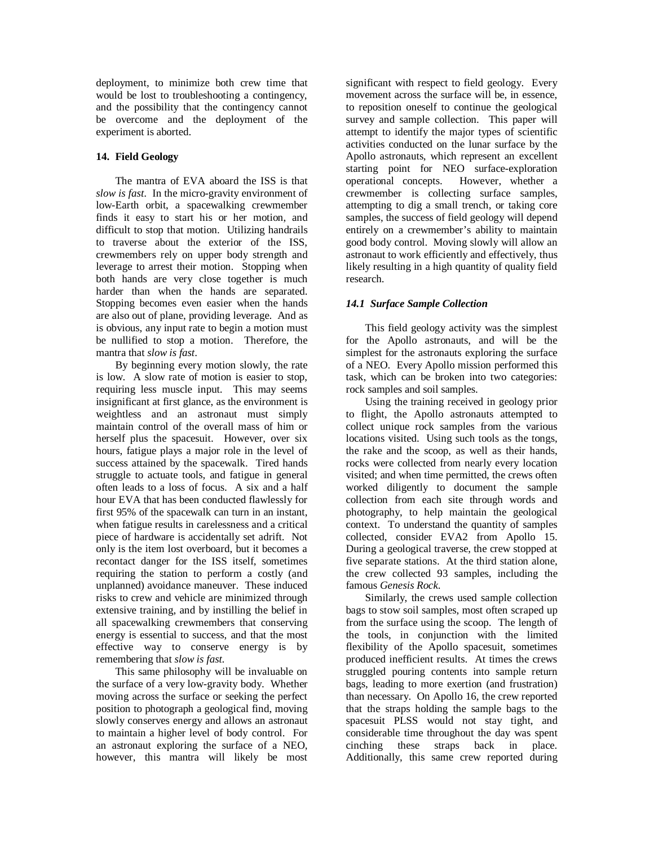deployment, to minimize both crew time that would be lost to troubleshooting a contingency, and the possibility that the contingency cannot be overcome and the deployment of the experiment is aborted.

## **14. Field Geology**

The mantra of EVA aboard the ISS is that *slow is fast*. In the micro-gravity environment of low-Earth orbit, a spacewalking crewmember finds it easy to start his or her motion, and difficult to stop that motion. Utilizing handrails to traverse about the exterior of the ISS, crewmembers rely on upper body strength and leverage to arrest their motion. Stopping when both hands are very close together is much harder than when the hands are separated. Stopping becomes even easier when the hands are also out of plane, providing leverage. And as is obvious, any input rate to begin a motion must be nullified to stop a motion. Therefore, the mantra that *slow is fast*.

By beginning every motion slowly, the rate is low. A slow rate of motion is easier to stop, requiring less muscle input. This may seems insignificant at first glance, as the environment is weightless and an astronaut must simply maintain control of the overall mass of him or herself plus the spacesuit. However, over six hours, fatigue plays a major role in the level of success attained by the spacewalk. Tired hands struggle to actuate tools, and fatigue in general often leads to a loss of focus. A six and a half hour EVA that has been conducted flawlessly for first 95% of the spacewalk can turn in an instant, when fatigue results in carelessness and a critical piece of hardware is accidentally set adrift. Not only is the item lost overboard, but it becomes a recontact danger for the ISS itself, sometimes requiring the station to perform a costly (and unplanned) avoidance maneuver. These induced risks to crew and vehicle are minimized through extensive training, and by instilling the belief in all spacewalking crewmembers that conserving energy is essential to success, and that the most effective way to conserve energy is by remembering that *slow is fast*.

This same philosophy will be invaluable on the surface of a very low-gravity body. Whether moving across the surface or seeking the perfect position to photograph a geological find, moving slowly conserves energy and allows an astronaut to maintain a higher level of body control. For an astronaut exploring the surface of a NEO, however, this mantra will likely be most

significant with respect to field geology. Every movement across the surface will be, in essence, to reposition oneself to continue the geological survey and sample collection. This paper will attempt to identify the major types of scientific activities conducted on the lunar surface by the Apollo astronauts, which represent an excellent starting point for NEO surface-exploration operational concepts. However, whether a crewmember is collecting surface samples, attempting to dig a small trench, or taking core samples, the success of field geology will depend entirely on a crewmember's ability to maintain good body control. Moving slowly will allow an astronaut to work efficiently and effectively, thus likely resulting in a high quantity of quality field research.

# *14.1 Surface Sample Collection*

This field geology activity was the simplest for the Apollo astronauts, and will be the simplest for the astronauts exploring the surface of a NEO. Every Apollo mission performed this task, which can be broken into two categories: rock samples and soil samples.

Using the training received in geology prior to flight, the Apollo astronauts attempted to collect unique rock samples from the various locations visited. Using such tools as the tongs, the rake and the scoop, as well as their hands, rocks were collected from nearly every location visited; and when time permitted, the crews often worked diligently to document the sample collection from each site through words and photography, to help maintain the geological context. To understand the quantity of samples collected, consider EVA2 from Apollo 15. During a geological traverse, the crew stopped at five separate stations. At the third station alone, the crew collected 93 samples, including the famous *Genesis Rock*.

Similarly, the crews used sample collection bags to stow soil samples, most often scraped up from the surface using the scoop. The length of the tools, in conjunction with the limited flexibility of the Apollo spacesuit, sometimes produced inefficient results. At times the crews struggled pouring contents into sample return bags, leading to more exertion (and frustration) than necessary. On Apollo 16, the crew reported that the straps holding the sample bags to the spacesuit PLSS would not stay tight, and considerable time throughout the day was spent cinching these straps back in place. Additionally, this same crew reported during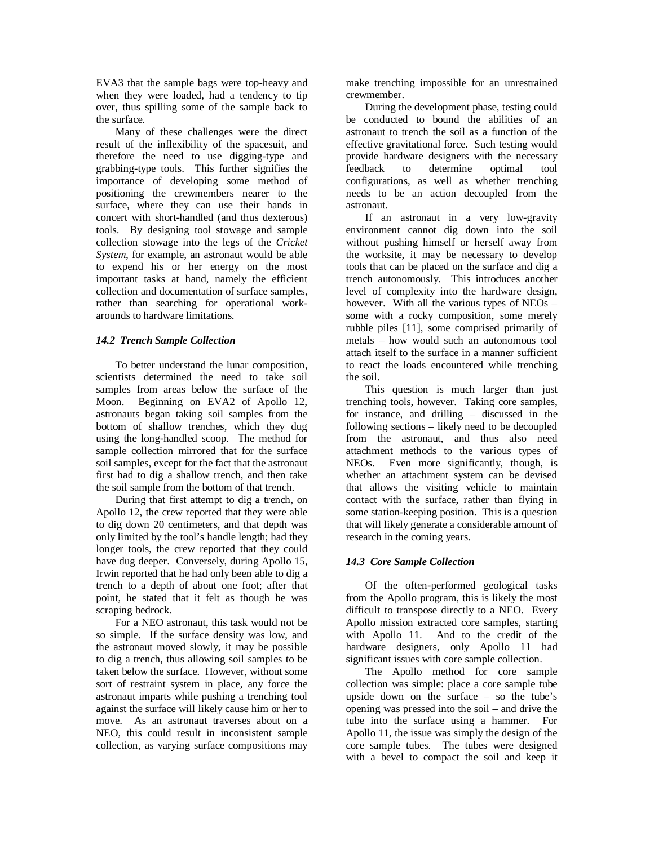EVA3 that the sample bags were top-heavy and when they were loaded, had a tendency to tip over, thus spilling some of the sample back to the surface.

Many of these challenges were the direct result of the inflexibility of the spacesuit, and therefore the need to use digging-type and grabbing-type tools. This further signifies the importance of developing some method of positioning the crewmembers nearer to the surface, where they can use their hands in concert with short-handled (and thus dexterous) tools. By designing tool stowage and sample collection stowage into the legs of the *Cricket System*, for example, an astronaut would be able to expend his or her energy on the most important tasks at hand, namely the efficient collection and documentation of surface samples, rather than searching for operational workarounds to hardware limitations.

## *14.2 Trench Sample Collection*

To better understand the lunar composition, scientists determined the need to take soil samples from areas below the surface of the Moon. Beginning on EVA2 of Apollo 12, astronauts began taking soil samples from the bottom of shallow trenches, which they dug using the long-handled scoop. The method for sample collection mirrored that for the surface soil samples, except for the fact that the astronaut first had to dig a shallow trench, and then take the soil sample from the bottom of that trench.

During that first attempt to dig a trench, on Apollo 12, the crew reported that they were able to dig down 20 centimeters, and that depth was only limited by the tool's handle length; had they longer tools, the crew reported that they could have dug deeper. Conversely, during Apollo 15, Irwin reported that he had only been able to dig a trench to a depth of about one foot; after that point, he stated that it felt as though he was scraping bedrock.

For a NEO astronaut, this task would not be so simple. If the surface density was low, and the astronaut moved slowly, it may be possible to dig a trench, thus allowing soil samples to be taken below the surface. However, without some sort of restraint system in place, any force the astronaut imparts while pushing a trenching tool against the surface will likely cause him or her to move. As an astronaut traverses about on a NEO, this could result in inconsistent sample collection, as varying surface compositions may

make trenching impossible for an unrestrained crewmember.

During the development phase, testing could be conducted to bound the abilities of an astronaut to trench the soil as a function of the effective gravitational force. Such testing would provide hardware designers with the necessary feedback to determine optimal tool configurations, as well as whether trenching needs to be an action decoupled from the astronaut.

If an astronaut in a very low-gravity environment cannot dig down into the soil without pushing himself or herself away from the worksite, it may be necessary to develop tools that can be placed on the surface and dig a trench autonomously. This introduces another level of complexity into the hardware design, however. With all the various types of NEOs – some with a rocky composition, some merely rubble piles [11], some comprised primarily of metals – how would such an autonomous tool attach itself to the surface in a manner sufficient to react the loads encountered while trenching the soil.

This question is much larger than just trenching tools, however. Taking core samples, for instance, and drilling – discussed in the following sections – likely need to be decoupled from the astronaut, and thus also need attachment methods to the various types of NEOs. Even more significantly, though, is whether an attachment system can be devised that allows the visiting vehicle to maintain contact with the surface, rather than flying in some station-keeping position. This is a question that will likely generate a considerable amount of research in the coming years.

# *14.3 Core Sample Collection*

Of the often-performed geological tasks from the Apollo program, this is likely the most difficult to transpose directly to a NEO. Every Apollo mission extracted core samples, starting with Apollo 11. And to the credit of the hardware designers, only Apollo 11 had significant issues with core sample collection.

The Apollo method for core sample collection was simple: place a core sample tube upside down on the surface – so the tube's opening was pressed into the soil – and drive the tube into the surface using a hammer. For Apollo 11, the issue was simply the design of the core sample tubes. The tubes were designed with a bevel to compact the soil and keep it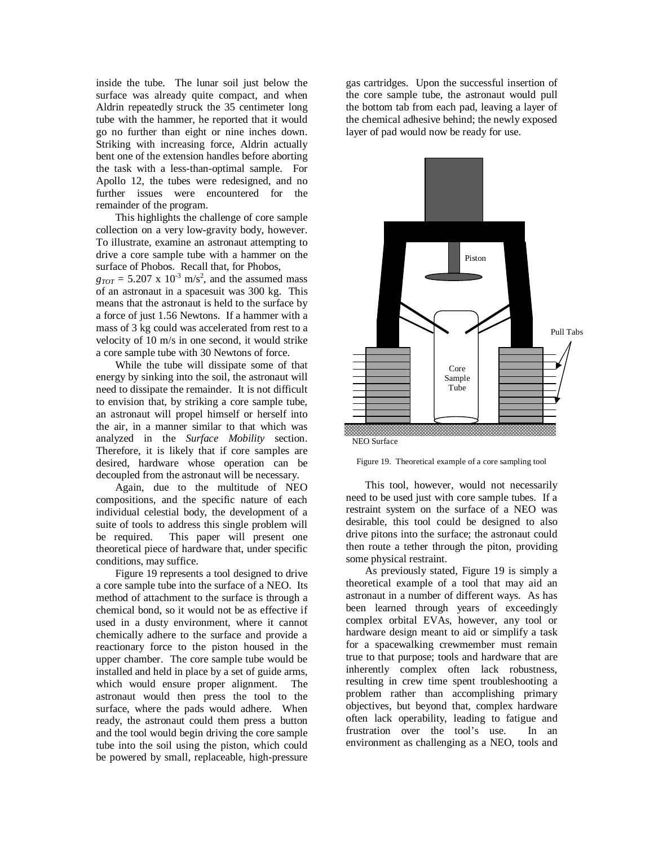inside the tube. The lunar soil just below the surface was already quite compact, and when Aldrin repeatedly struck the 35 centimeter long tube with the hammer, he reported that it would go no further than eight or nine inches down. Striking with increasing force, Aldrin actually bent one of the extension handles before aborting the task with a less-than-optimal sample. For Apollo 12, the tubes were redesigned, and no further issues were encountered for the remainder of the program.

This highlights the challenge of core sample collection on a very low-gravity body, however. To illustrate, examine an astronaut attempting to drive a core sample tube with a hammer on the surface of Phobos. Recall that, for Phobos,  $g_{TOT} = 5.207 \times 10^{-3} \text{ m/s}^2$ , and the assumed mass of an astronaut in a spacesuit was 300 kg. This means that the astronaut is held to the surface by a force of just 1.56 Newtons. If a hammer with a

mass of 3 kg could was accelerated from rest to a velocity of 10 m/s in one second, it would strike

a core sample tube with 30 Newtons of force. While the tube will dissipate some of that energy by sinking into the soil, the astronaut will need to dissipate the remainder. It is not difficult to envision that, by striking a core sample tube, an astronaut will propel himself or herself into the air, in a manner similar to that which was analyzed in the *Surface Mobility* section. Therefore, it is likely that if core samples are desired, hardware whose operation can be decoupled from the astronaut will be necessary.

Again, due to the multitude of NEO compositions, and the specific nature of each individual celestial body, the development of a suite of tools to address this single problem will be required. This paper will present one theoretical piece of hardware that, under specific conditions, may suffice.

Figure 19 represents a tool designed to drive a core sample tube into the surface of a NEO. Its method of attachment to the surface is through a chemical bond, so it would not be as effective if used in a dusty environment, where it cannot chemically adhere to the surface and provide a reactionary force to the piston housed in the upper chamber. The core sample tube would be installed and held in place by a set of guide arms, which would ensure proper alignment. The astronaut would then press the tool to the surface, where the pads would adhere. When ready, the astronaut could them press a button and the tool would begin driving the core sample tube into the soil using the piston, which could be powered by small, replaceable, high-pressure

gas cartridges. Upon the successful insertion of the core sample tube, the astronaut would pull the bottom tab from each pad, leaving a layer of the chemical adhesive behind; the newly exposed layer of pad would now be ready for use.





This tool, however, would not necessarily need to be used just with core sample tubes. If a restraint system on the surface of a NEO was desirable, this tool could be designed to also drive pitons into the surface; the astronaut could then route a tether through the piton, providing some physical restraint.

As previously stated, Figure 19 is simply a theoretical example of a tool that may aid an astronaut in a number of different ways. As has been learned through years of exceedingly complex orbital EVAs, however, any tool or hardware design meant to aid or simplify a task for a spacewalking crewmember must remain true to that purpose; tools and hardware that are inherently complex often lack robustness, resulting in crew time spent troubleshooting a problem rather than accomplishing primary objectives, but beyond that, complex hardware often lack operability, leading to fatigue and frustration over the tool's use. In an environment as challenging as a NEO, tools and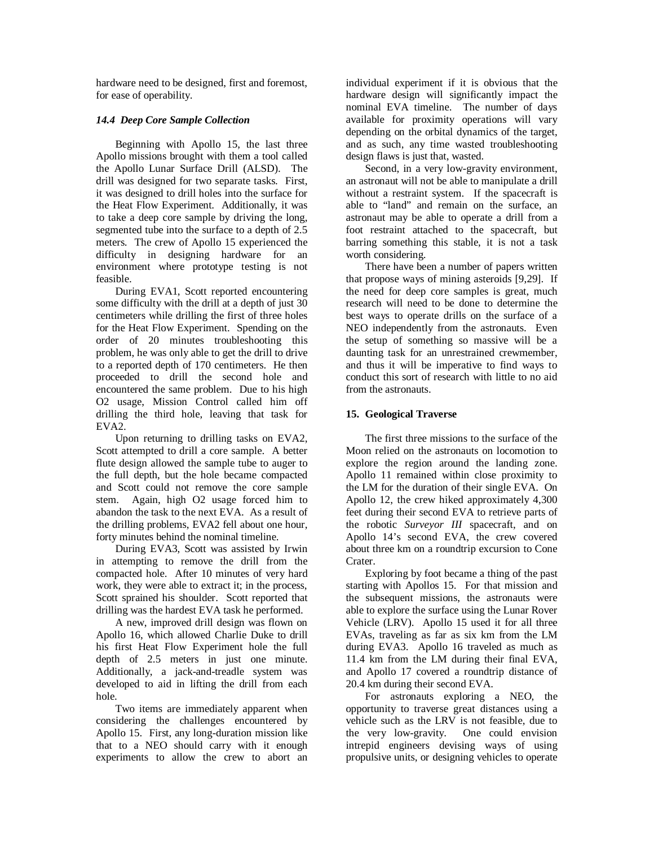hardware need to be designed, first and foremost, for ease of operability.

## *14.4 Deep Core Sample Collection*

Beginning with Apollo 15, the last three Apollo missions brought with them a tool called the Apollo Lunar Surface Drill (ALSD). The drill was designed for two separate tasks. First, it was designed to drill holes into the surface for the Heat Flow Experiment. Additionally, it was to take a deep core sample by driving the long, segmented tube into the surface to a depth of 2.5 meters. The crew of Apollo 15 experienced the difficulty in designing hardware for an environment where prototype testing is not feasible.

During EVA1, Scott reported encountering some difficulty with the drill at a depth of just 30 centimeters while drilling the first of three holes for the Heat Flow Experiment. Spending on the order of 20 minutes troubleshooting this problem, he was only able to get the drill to drive to a reported depth of 170 centimeters. He then proceeded to drill the second hole and encountered the same problem. Due to his high O2 usage, Mission Control called him off drilling the third hole, leaving that task for EVA2.

Upon returning to drilling tasks on EVA2, Scott attempted to drill a core sample. A better flute design allowed the sample tube to auger to the full depth, but the hole became compacted and Scott could not remove the core sample stem. Again, high O2 usage forced him to abandon the task to the next EVA. As a result of the drilling problems, EVA2 fell about one hour, forty minutes behind the nominal timeline.

During EVA3, Scott was assisted by Irwin in attempting to remove the drill from the compacted hole. After 10 minutes of very hard work, they were able to extract it; in the process, Scott sprained his shoulder. Scott reported that drilling was the hardest EVA task he performed.

A new, improved drill design was flown on Apollo 16, which allowed Charlie Duke to drill his first Heat Flow Experiment hole the full depth of 2.5 meters in just one minute. Additionally, a jack-and-treadle system was developed to aid in lifting the drill from each hole.

Two items are immediately apparent when considering the challenges encountered by Apollo 15. First, any long-duration mission like that to a NEO should carry with it enough experiments to allow the crew to abort an

individual experiment if it is obvious that the hardware design will significantly impact the nominal EVA timeline. The number of days available for proximity operations will vary depending on the orbital dynamics of the target, and as such, any time wasted troubleshooting design flaws is just that, wasted.

Second, in a very low-gravity environment, an astronaut will not be able to manipulate a drill without a restraint system. If the spacecraft is able to "land" and remain on the surface, an astronaut may be able to operate a drill from a foot restraint attached to the spacecraft, but barring something this stable, it is not a task worth considering.

There have been a number of papers written that propose ways of mining asteroids [9,29]. If the need for deep core samples is great, much research will need to be done to determine the best ways to operate drills on the surface of a NEO independently from the astronauts. Even the setup of something so massive will be a daunting task for an unrestrained crewmember, and thus it will be imperative to find ways to conduct this sort of research with little to no aid from the astronauts.

# **15. Geological Traverse**

The first three missions to the surface of the Moon relied on the astronauts on locomotion to explore the region around the landing zone. Apollo 11 remained within close proximity to the LM for the duration of their single EVA. On Apollo 12, the crew hiked approximately 4,300 feet during their second EVA to retrieve parts of the robotic *Surveyor III* spacecraft, and on Apollo 14's second EVA, the crew covered about three km on a roundtrip excursion to Cone Crater.

Exploring by foot became a thing of the past starting with Apollos 15. For that mission and the subsequent missions, the astronauts were able to explore the surface using the Lunar Rover Vehicle (LRV). Apollo 15 used it for all three EVAs, traveling as far as six km from the LM during EVA3. Apollo 16 traveled as much as 11.4 km from the LM during their final EVA, and Apollo 17 covered a roundtrip distance of 20.4 km during their second EVA.

For astronauts exploring a NEO, the opportunity to traverse great distances using a vehicle such as the LRV is not feasible, due to the very low-gravity. One could envision intrepid engineers devising ways of using propulsive units, or designing vehicles to operate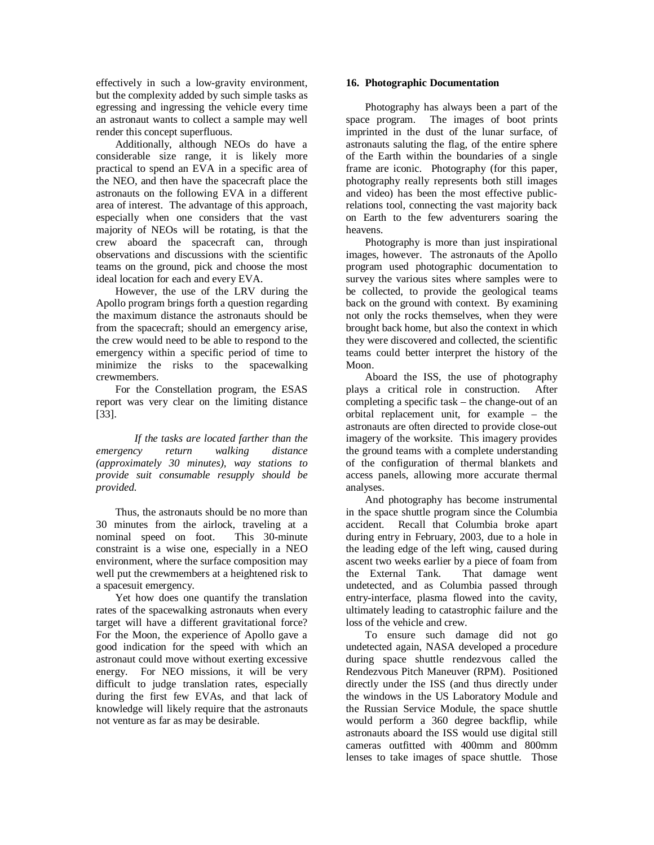effectively in such a low-gravity environment, but the complexity added by such simple tasks as egressing and ingressing the vehicle every time an astronaut wants to collect a sample may well render this concept superfluous.

Additionally, although NEOs do have a considerable size range, it is likely more practical to spend an EVA in a specific area of the NEO, and then have the spacecraft place the astronauts on the following EVA in a different area of interest. The advantage of this approach, especially when one considers that the vast majority of NEOs will be rotating, is that the crew aboard the spacecraft can, through observations and discussions with the scientific teams on the ground, pick and choose the most ideal location for each and every EVA.

However, the use of the LRV during the Apollo program brings forth a question regarding the maximum distance the astronauts should be from the spacecraft; should an emergency arise, the crew would need to be able to respond to the emergency within a specific period of time to minimize the risks to the spacewalking crewmembers.

For the Constellation program, the ESAS report was very clear on the limiting distance [33].

*If the tasks are located farther than the emergency return walking distance (approximately 30 minutes), way stations to provide suit consumable resupply should be provided.* 

Thus, the astronauts should be no more than 30 minutes from the airlock, traveling at a nominal speed on foot. This 30-minute constraint is a wise one, especially in a NEO environment, where the surface composition may well put the crewmembers at a heightened risk to a spacesuit emergency.

Yet how does one quantify the translation rates of the spacewalking astronauts when every target will have a different gravitational force? For the Moon, the experience of Apollo gave a good indication for the speed with which an astronaut could move without exerting excessive energy. For NEO missions, it will be very difficult to judge translation rates, especially during the first few EVAs, and that lack of knowledge will likely require that the astronauts not venture as far as may be desirable.

### **16. Photographic Documentation**

Photography has always been a part of the space program. The images of boot prints imprinted in the dust of the lunar surface, of astronauts saluting the flag, of the entire sphere of the Earth within the boundaries of a single frame are iconic. Photography (for this paper, photography really represents both still images and video) has been the most effective publicrelations tool, connecting the vast majority back on Earth to the few adventurers soaring the heavens.

Photography is more than just inspirational images, however. The astronauts of the Apollo program used photographic documentation to survey the various sites where samples were to be collected, to provide the geological teams back on the ground with context. By examining not only the rocks themselves, when they were brought back home, but also the context in which they were discovered and collected, the scientific teams could better interpret the history of the Moon.

Aboard the ISS, the use of photography plays a critical role in construction. After completing a specific task – the change-out of an orbital replacement unit, for example – the astronauts are often directed to provide close-out imagery of the worksite. This imagery provides the ground teams with a complete understanding of the configuration of thermal blankets and access panels, allowing more accurate thermal analyses.

And photography has become instrumental in the space shuttle program since the Columbia accident. Recall that Columbia broke apart during entry in February, 2003, due to a hole in the leading edge of the left wing, caused during ascent two weeks earlier by a piece of foam from the External Tank. That damage went undetected, and as Columbia passed through entry-interface, plasma flowed into the cavity, ultimately leading to catastrophic failure and the loss of the vehicle and crew.

To ensure such damage did not go undetected again, NASA developed a procedure during space shuttle rendezvous called the Rendezvous Pitch Maneuver (RPM). Positioned directly under the ISS (and thus directly under the windows in the US Laboratory Module and the Russian Service Module, the space shuttle would perform a 360 degree backflip, while astronauts aboard the ISS would use digital still cameras outfitted with 400mm and 800mm lenses to take images of space shuttle. Those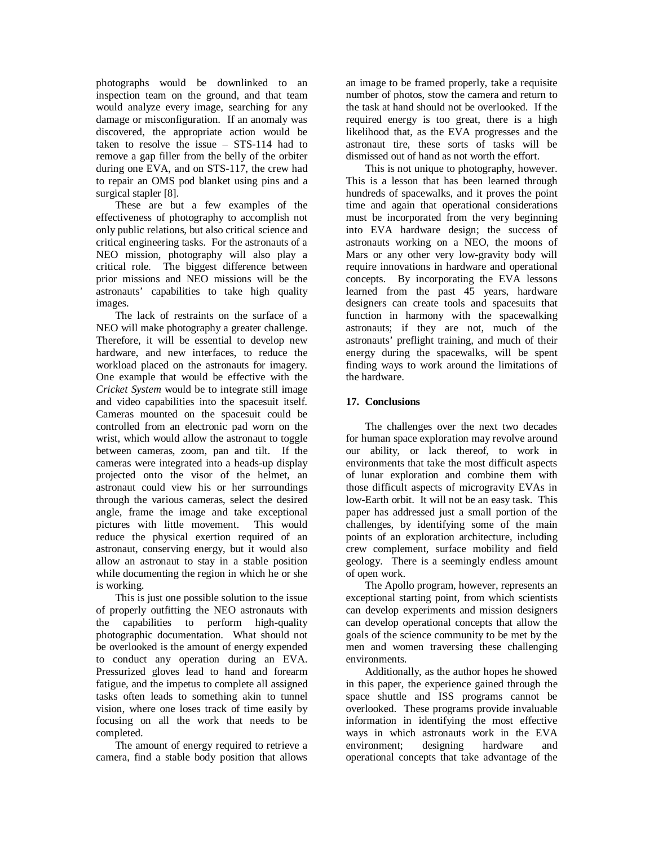photographs would be downlinked to an inspection team on the ground, and that team would analyze every image, searching for any damage or misconfiguration. If an anomaly was discovered, the appropriate action would be taken to resolve the issue – STS-114 had to remove a gap filler from the belly of the orbiter during one EVA, and on STS-117, the crew had to repair an OMS pod blanket using pins and a surgical stapler [8].

These are but a few examples of the effectiveness of photography to accomplish not only public relations, but also critical science and critical engineering tasks. For the astronauts of a NEO mission, photography will also play a critical role. The biggest difference between prior missions and NEO missions will be the astronauts' capabilities to take high quality images.

The lack of restraints on the surface of a NEO will make photography a greater challenge. Therefore, it will be essential to develop new hardware, and new interfaces, to reduce the workload placed on the astronauts for imagery. One example that would be effective with the *Cricket System* would be to integrate still image and video capabilities into the spacesuit itself. Cameras mounted on the spacesuit could be controlled from an electronic pad worn on the wrist, which would allow the astronaut to toggle between cameras, zoom, pan and tilt. If the cameras were integrated into a heads-up display projected onto the visor of the helmet, an astronaut could view his or her surroundings through the various cameras, select the desired angle, frame the image and take exceptional pictures with little movement. This would reduce the physical exertion required of an astronaut, conserving energy, but it would also allow an astronaut to stay in a stable position while documenting the region in which he or she is working.

This is just one possible solution to the issue of properly outfitting the NEO astronauts with the capabilities to perform high-quality photographic documentation. What should not be overlooked is the amount of energy expended to conduct any operation during an EVA. Pressurized gloves lead to hand and forearm fatigue, and the impetus to complete all assigned tasks often leads to something akin to tunnel vision, where one loses track of time easily by focusing on all the work that needs to be completed.

The amount of energy required to retrieve a camera, find a stable body position that allows

an image to be framed properly, take a requisite number of photos, stow the camera and return to the task at hand should not be overlooked. If the required energy is too great, there is a high likelihood that, as the EVA progresses and the astronaut tire, these sorts of tasks will be dismissed out of hand as not worth the effort.

This is not unique to photography, however. This is a lesson that has been learned through hundreds of spacewalks, and it proves the point time and again that operational considerations must be incorporated from the very beginning into EVA hardware design; the success of astronauts working on a NEO, the moons of Mars or any other very low-gravity body will require innovations in hardware and operational concepts. By incorporating the EVA lessons learned from the past 45 years, hardware designers can create tools and spacesuits that function in harmony with the spacewalking astronauts; if they are not, much of the astronauts' preflight training, and much of their energy during the spacewalks, will be spent finding ways to work around the limitations of the hardware.

# **17. Conclusions**

The challenges over the next two decades for human space exploration may revolve around our ability, or lack thereof, to work in environments that take the most difficult aspects of lunar exploration and combine them with those difficult aspects of microgravity EVAs in low-Earth orbit. It will not be an easy task. This paper has addressed just a small portion of the challenges, by identifying some of the main points of an exploration architecture, including crew complement, surface mobility and field geology. There is a seemingly endless amount of open work.

The Apollo program, however, represents an exceptional starting point, from which scientists can develop experiments and mission designers can develop operational concepts that allow the goals of the science community to be met by the men and women traversing these challenging environments.

Additionally, as the author hopes he showed in this paper, the experience gained through the space shuttle and ISS programs cannot be overlooked. These programs provide invaluable information in identifying the most effective ways in which astronauts work in the EVA environment; designing hardware and operational concepts that take advantage of the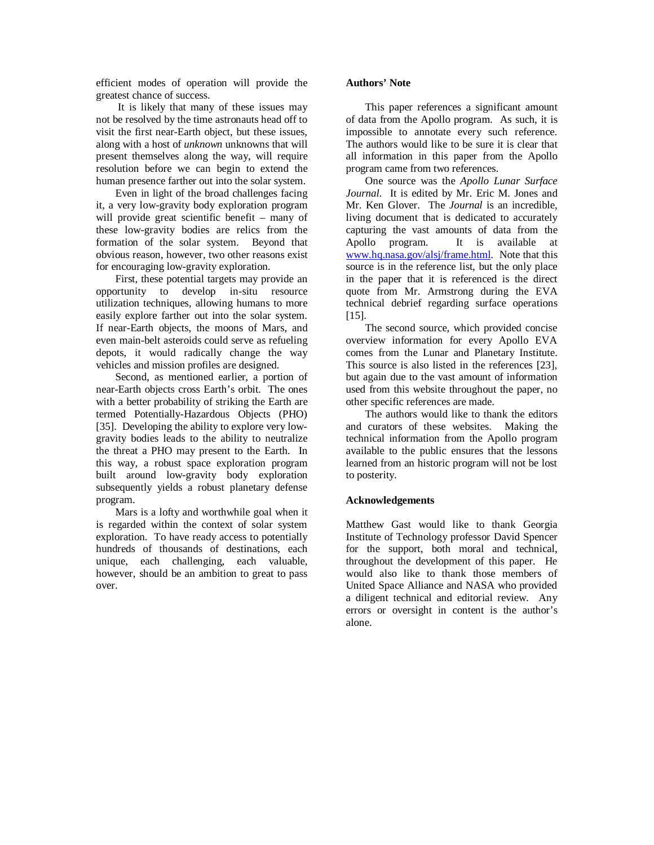efficient modes of operation will provide the greatest chance of success.

It is likely that many of these issues may not be resolved by the time astronauts head off to visit the first near-Earth object, but these issues, along with a host of *unknown* unknowns that will present themselves along the way, will require resolution before we can begin to extend the human presence farther out into the solar system.

Even in light of the broad challenges facing it, a very low-gravity body exploration program will provide great scientific benefit – many of these low-gravity bodies are relics from the formation of the solar system. Beyond that obvious reason, however, two other reasons exist for encouraging low-gravity exploration.

First, these potential targets may provide an opportunity to develop in-situ resource utilization techniques, allowing humans to more easily explore farther out into the solar system. If near-Earth objects, the moons of Mars, and even main-belt asteroids could serve as refueling depots, it would radically change the way vehicles and mission profiles are designed.

Second, as mentioned earlier, a portion of near-Earth objects cross Earth's orbit. The ones with a better probability of striking the Earth are termed Potentially-Hazardous Objects (PHO) [35]. Developing the ability to explore very lowgravity bodies leads to the ability to neutralize the threat a PHO may present to the Earth. In this way, a robust space exploration program built around low-gravity body exploration subsequently yields a robust planetary defense program.

Mars is a lofty and worthwhile goal when it is regarded within the context of solar system exploration. To have ready access to potentially hundreds of thousands of destinations, each unique, each challenging, each valuable, however, should be an ambition to great to pass over.

## **Authors' Note**

This paper references a significant amount of data from the Apollo program. As such, it is impossible to annotate every such reference. The authors would like to be sure it is clear that all information in this paper from the Apollo program came from two references.

One source was the *Apollo Lunar Surface Journal*. It is edited by Mr. Eric M. Jones and Mr. Ken Glover. The *Journal* is an incredible, living document that is dedicated to accurately capturing the vast amounts of data from the Apollo program. It is available at [www.hq.nasa.gov/alsj/frame.html.](http://www.hq.nasa.gov/alsj/frame.html) Note that this source is in the reference list, but the only place in the paper that it is referenced is the direct quote from Mr. Armstrong during the EVA technical debrief regarding surface operations [15].

The second source, which provided concise overview information for every Apollo EVA comes from the Lunar and Planetary Institute. This source is also listed in the references [23], but again due to the vast amount of information used from this website throughout the paper, no other specific references are made.

The authors would like to thank the editors and curators of these websites. Making the technical information from the Apollo program available to the public ensures that the lessons learned from an historic program will not be lost to posterity.

## **Acknowledgements**

Matthew Gast would like to thank Georgia Institute of Technology professor David Spencer for the support, both moral and technical, throughout the development of this paper. He would also like to thank those members of United Space Alliance and NASA who provided a diligent technical and editorial review. Any errors or oversight in content is the author's alone.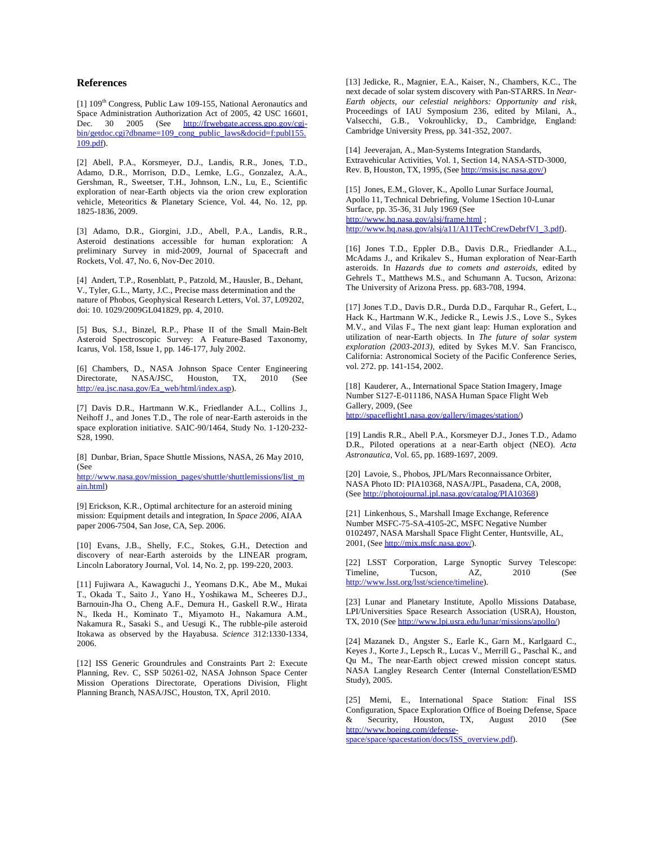#### **References**

[1] 109<sup>th</sup> Congress, Public Law 109-155, National Aeronautics and Space Administration Authorization Act of 2005, 42 USC 16601, Dec. 30 2005 (See <http://frwebgate.access.gpo.gov/cgi>bin/getdoc.cgi?dbname=109\_cong\_public\_laws&docid=f:publ155. 109.pdf).

[2] Abell, P.A., Korsmeyer, D.J., Landis, R.R., Jones, T.D., Adamo, D.R., Morrison, D.D., Lemke, L.G., Gonzalez, A.A., Gershman, R., Sweetser, T.H., Johnson, L.N., Lu, E., Scientific exploration of near-Earth objects via the orion crew exploration vehicle, Meteoritics & Planetary Science, Vol. 44, No. 12, pp. 1825-1836, 2009.

[3] Adamo, D.R., Giorgini, J.D., Abell, P.A., Landis, R.R., Asteroid destinations accessible for human exploration: A preliminary Survey in mid-2009, Journal of Spacecraft and Rockets, Vol. 47, No. 6, Nov-Dec 2010.

[4] Andert, T.P., Rosenblatt, P., Patzold, M., Hausler, B., Dehant, V., Tyler, G.L., Marty, J.C., Precise mass determination and the nature of Phobos, Geophysical Research Letters, Vol. 37, L09202, doi: 10. 1029/2009GL041829, pp. 4, 2010.

[5] Bus, S.J., Binzel, R.P., Phase II of the Small Main-Belt Asteroid Spectroscopic Survey: A Feature-Based Taxonomy, Icarus, Vol. 158, Issue 1, pp. 146-177, July 2002.

[6] Chambers, D., NASA Johnson Space Center Engineering Directorate, NASA/JSC, Houston, TX, 2010 (See [http://ea.jsc.nasa.gov/Ea\\_web/html/index.asp\)](http://ea.jsc.nasa.gov/Ea_web/html/index.asp).

[7] Davis D.R., Hartmann W.K., Friedlander A.L., Collins J., Neihoff J., and Jones T.D., The role of near-Earth asteroids in the space exploration initiative. SAIC-90/1464, Study No. 1-120-232- S28, 1990.

[8] Dunbar, Brian, Space Shuttle Missions, NASA, 26 May 2010, (See

[http://www.nasa.gov/mission\\_pages/shuttle/shuttlemissions/list\\_m](http://www.nasa.gov/mission_pages/shuttle/shuttlemissions/list_m) ain.html)

[9] Erickson, K.R., Optimal architecture for an asteroid mining mission: Equipment details and integration, In *Space 2006*, AIAA paper 2006-7504, San Jose, CA, Sep. 2006.

[10] Evans, J.B., Shelly, F.C., Stokes, G.H., Detection and discovery of near-Earth asteroids by the LINEAR program, Lincoln Laboratory Journal, Vol. 14, No. 2, pp. 199-220, 2003.

[11] Fujiwara A., Kawaguchi J., Yeomans D.K., Abe M., Mukai T., Okada T., Saito J., Yano H., Yoshikawa M., Scheeres D.J., Barnouin-Jha O., Cheng A.F., Demura H., Gaskell R.W., Hirata N., Ikeda H., Kominato T., Miyamoto H., Nakamura A.M., Nakamura R., Sasaki S., and Uesugi K., The rubble-pile asteroid Itokawa as observed by the Hayabusa. *Science* 312:1330-1334, 2006.

[12] ISS Generic Groundrules and Constraints Part 2: Execute Planning, Rev. C, SSP 50261-02, NASA Johnson Space Center Mission Operations Directorate, Operations Division, Flight Planning Branch, NASA/JSC, Houston, TX, April 2010.

[13] Jedicke, R., Magnier, E.A., Kaiser, N., Chambers, K.C., The next decade of solar system discovery with Pan-STARRS. In *Near-Earth objects, our celestial neighbors: Opportunity and risk*, Proceedings of IAU Symposium 236, edited by Milani, A., Valsecchi, G.B., Vokrouhlicky, D., Cambridge, England: Cambridge University Press, pp. 341-352, 2007.

[14] Jeeverajan, A., Man-Systems Integration Standards, Extravehicular Activities, Vol. 1, Section 14, NASA-STD-3000, Rev. B, Houston, TX, 1995, (See<http://msis.jsc.nasa.gov/>)

[15] Jones, E.M., Glover, K., Apollo Lunar Surface Journal, Apollo 11, Technical Debriefing, Volume 1Section 10-Lunar Surface, pp. 35-36, 31 July 1969 (See <http://www.hq.nasa.gov/alsj/frame.html> ; [http://www.hq.nasa.gov/alsj/a11/A11TechCrewDebrfV1\\_3.pdf\)](http://www.hq.nasa.gov/alsj/a11/A11TechCrewDebrfV1_3.pdf).

[16] Jones T.D., Eppler D.B., Davis D.R., Friedlander A.L., McAdams J., and Krikalev S., Human exploration of Near-Earth asteroids. In *Hazards due to comets and asteroids*, edited by Gehrels T., Matthews M.S., and Schumann A. Tucson, Arizona: The University of Arizona Press. pp. 683-708, 1994.

[17] Jones T.D., Davis D.R., Durda D.D., Farquhar R., Gefert, L., Hack K., Hartmann W.K., Jedicke R., Lewis J.S., Love S., Sykes M.V., and Vilas F., The next giant leap: Human exploration and utilization of near-Earth objects. In *The future of solar system exploration (2003-2013)*, edited by Sykes M.V. San Francisco, California: Astronomical Society of the Pacific Conference Series, vol. 272. pp. 141-154, 2002.

[18] Kauderer, A., International Space Station Imagery, Image Number S127-E-011186, NASA Human Space Flight Web Gallery, 2009, (See <http://spaceflight1.nasa.gov/gallery/images/station/>)

[19] Landis R.R., Abell P.A., Korsmeyer D.J., Jones T.D., Adamo D.R., Piloted operations at a near-Earth object (NEO). *Acta Astronautica,* Vol. 65, pp. 1689-1697, 2009.

[20] Lavoie, S., Phobos, JPL/Mars Reconnaissance Orbiter, NASA Photo ID: PIA10368, NASA/JPL, Pasadena, CA, 2008, (See<http://photojournal.jpl.nasa.gov/catalog/PIA10368>)

[21] Linkenhous, S., Marshall Image Exchange, Reference Number MSFC-75-SA-4105-2C, MSFC Negative Number 0102497, NASA Marshall Space Flight Center, Huntsville, AL, 2001, (See [http://mix.msfc.nasa.gov/\)](http://mix.msfc.nasa.gov/).

[22] LSST Corporation, Large Synoptic Survey Telescope: Timeline, Tucson, AZ, 2010 (See [http://www.lsst.org/lsst/science/timeline\)](http://www.lsst.org/lsst/science/timeline).

[23] Lunar and Planetary Institute, Apollo Missions Database, LPI/Universities Space Research Association (USRA), Houston, TX, 2010 (See [http://www.lpi.usra.edu/lunar/missions/apollo/\)](http://www.lpi.usra.edu/lunar/missions/apollo/)

[24] Mazanek D., Angster S., Earle K., Garn M., Karlgaard C., Keyes J., Korte J., Lepsch R., Lucas V., Merrill G., Paschal K., and Qu M., The near-Earth object crewed mission concept status. NASA Langley Research Center (Internal Constellation/ESMD Study), 2005.

[25] Memi, E., International Space Station: Final ISS Configuration, Space Exploration Office of Boeing Defense, Space & Security, Houston, TX, August 2010 (See [http://www.boeing.com/defense-](http://www.boeing.com/defense)

space/space/spacestation/docs/ISS\_overview.pdf).